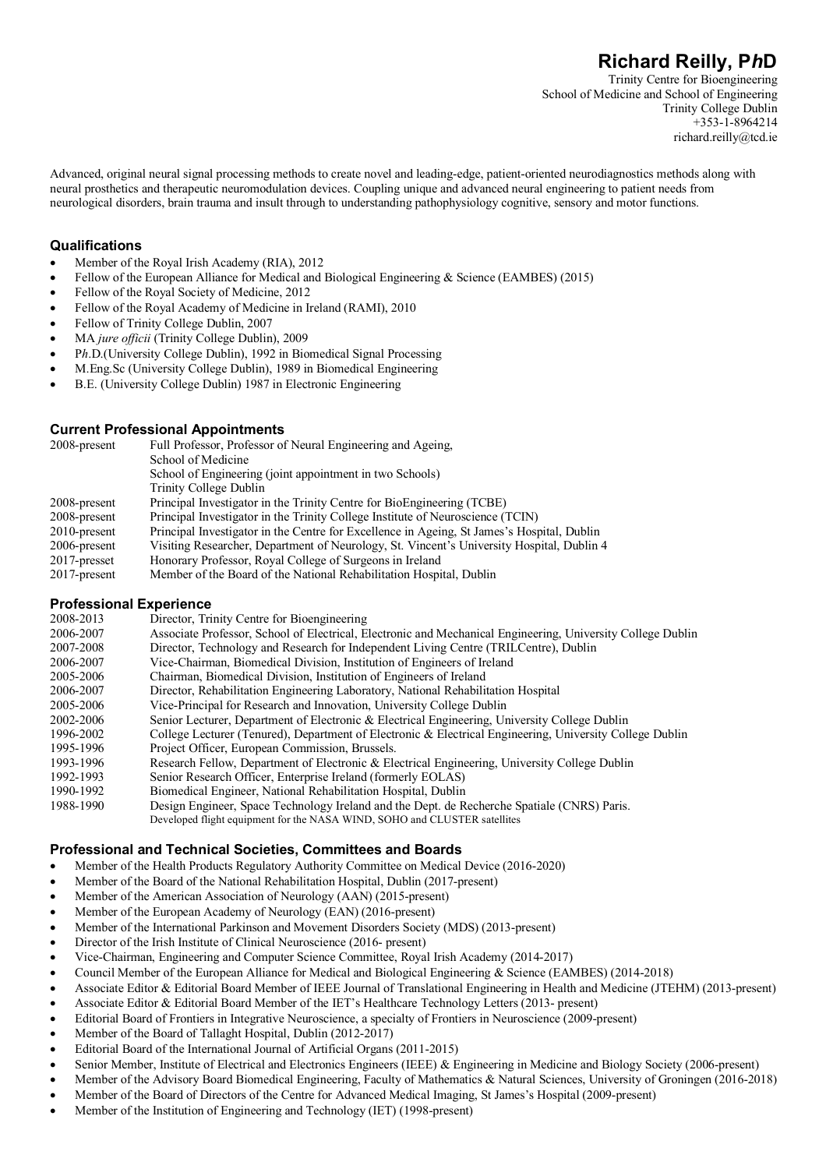Trinity Centre for Bioengineering School of Medicine and School of Engineering Trinity College Dublin +353-1-8964214 richard.reilly@tcd.ie

Advanced, original neural signal processing methods to create novel and leading-edge, patient-oriented neurodiagnostics methods along with neural prosthetics and therapeutic neuromodulation devices. Coupling unique and advanced neural engineering to patient needs from neurological disorders, brain trauma and insult through to understanding pathophysiology cognitive, sensory and motor functions.

## **Qualifications**

- Member of the Royal Irish Academy (RIA), 2012
- Fellow of the European Alliance for Medical and Biological Engineering & Science (EAMBES) (2015)
- Fellow of the Royal Society of Medicine, 2012
- Fellow of the Royal Academy of Medicine in Ireland (RAMI), 2010
- Fellow of Trinity College Dublin, 2007
- MA *jure officii* (Trinity College Dublin), 2009
- P*h*.D.(University College Dublin), 1992 in Biomedical Signal Processing
- M.Eng.Sc (University College Dublin), 1989 in Biomedical Engineering
- B.E. (University College Dublin) 1987 in Electronic Engineering

## **Current Professional Appointments**

| 2008-present    | Full Professor, Professor of Neural Engineering and Ageing,                                |
|-----------------|--------------------------------------------------------------------------------------------|
|                 | School of Medicine                                                                         |
|                 | School of Engineering (joint appointment in two Schools)                                   |
|                 | Trinity College Dublin                                                                     |
| 2008-present    | Principal Investigator in the Trinity Centre for BioEngineering (TCBE)                     |
| 2008-present    | Principal Investigator in the Trinity College Institute of Neuroscience (TCIN)             |
| $2010$ -present | Principal Investigator in the Centre for Excellence in Ageing, St James's Hospital, Dublin |
| 2006-present    | Visiting Researcher, Department of Neurology, St. Vincent's University Hospital, Dublin 4  |
| $2017$ -presset | Honorary Professor, Royal College of Surgeons in Ireland                                   |
| $2017$ -present | Member of the Board of the National Rehabilitation Hospital, Dublin                        |
|                 |                                                                                            |

## **Professional Experience**

| 2008-2013 | Director, Trinity Centre for Bioengineering                                                                 |
|-----------|-------------------------------------------------------------------------------------------------------------|
| 2006-2007 | Associate Professor, School of Electrical, Electronic and Mechanical Engineering, University College Dublin |
| 2007-2008 | Director, Technology and Research for Independent Living Centre (TRILCentre), Dublin                        |
| 2006-2007 | Vice-Chairman, Biomedical Division, Institution of Engineers of Ireland                                     |
| 2005-2006 | Chairman, Biomedical Division, Institution of Engineers of Ireland                                          |
| 2006-2007 | Director, Rehabilitation Engineering Laboratory, National Rehabilitation Hospital                           |
| 2005-2006 | Vice-Principal for Research and Innovation, University College Dublin                                       |
| 2002-2006 | Senior Lecturer, Department of Electronic & Electrical Engineering, University College Dublin               |
| 1996-2002 | College Lecturer (Tenured), Department of Electronic & Electrical Engineering, University College Dublin    |
| 1995-1996 | Project Officer, European Commission, Brussels.                                                             |
| 1993-1996 | Research Fellow, Department of Electronic & Electrical Engineering, University College Dublin               |
| 1992-1993 | Senior Research Officer, Enterprise Ireland (formerly EOLAS)                                                |
| 1990-1992 | Biomedical Engineer, National Rehabilitation Hospital, Dublin                                               |
| 1988-1990 | Design Engineer, Space Technology Ireland and the Dept. de Recherche Spatiale (CNRS) Paris.                 |
|           | Developed flight equipment for the NASA WIND, SOHO and CLUSTER satellites                                   |

## **Professional and Technical Societies, Committees and Boards**

- Member of the Health Products Regulatory Authority Committee on Medical Device (2016-2020)
- Member of the Board of the National Rehabilitation Hospital, Dublin (2017-present)
- Member of the American Association of Neurology (AAN) (2015-present)
- Member of the European Academy of Neurology (EAN) (2016-present)
- Member of the International Parkinson and Movement Disorders Society (MDS) (2013-present)
- Director of the Irish Institute of Clinical Neuroscience (2016- present)
- Vice-Chairman, Engineering and Computer Science Committee, Royal Irish Academy (2014-2017)
- Council Member of the European Alliance for Medical and Biological Engineering & Science (EAMBES) (2014-2018)
- Associate Editor & Editorial Board Member of IEEE Journal of Translational Engineering in Health and Medicine (JTEHM) (2013-present)
- Associate Editor & Editorial Board Member of the IET's Healthcare Technology Letters (2013- present)
- Editorial Board of Frontiers in Integrative Neuroscience, a specialty of Frontiers in Neuroscience (2009-present)
- Member of the Board of Tallaght Hospital, Dublin (2012-2017)
- Editorial Board of the International Journal of Artificial Organs (2011-2015)
- Senior Member, Institute of Electrical and Electronics Engineers (IEEE) & Engineering in Medicine and Biology Society (2006-present)
- Member of the Advisory Board Biomedical Engineering, Faculty of Mathematics & Natural Sciences, University of Groningen (2016-2018)
- Member of the Board of Directors of the Centre for Advanced Medical Imaging, St James's Hospital (2009-present)
- Member of the Institution of Engineering and Technology (IET) (1998-present)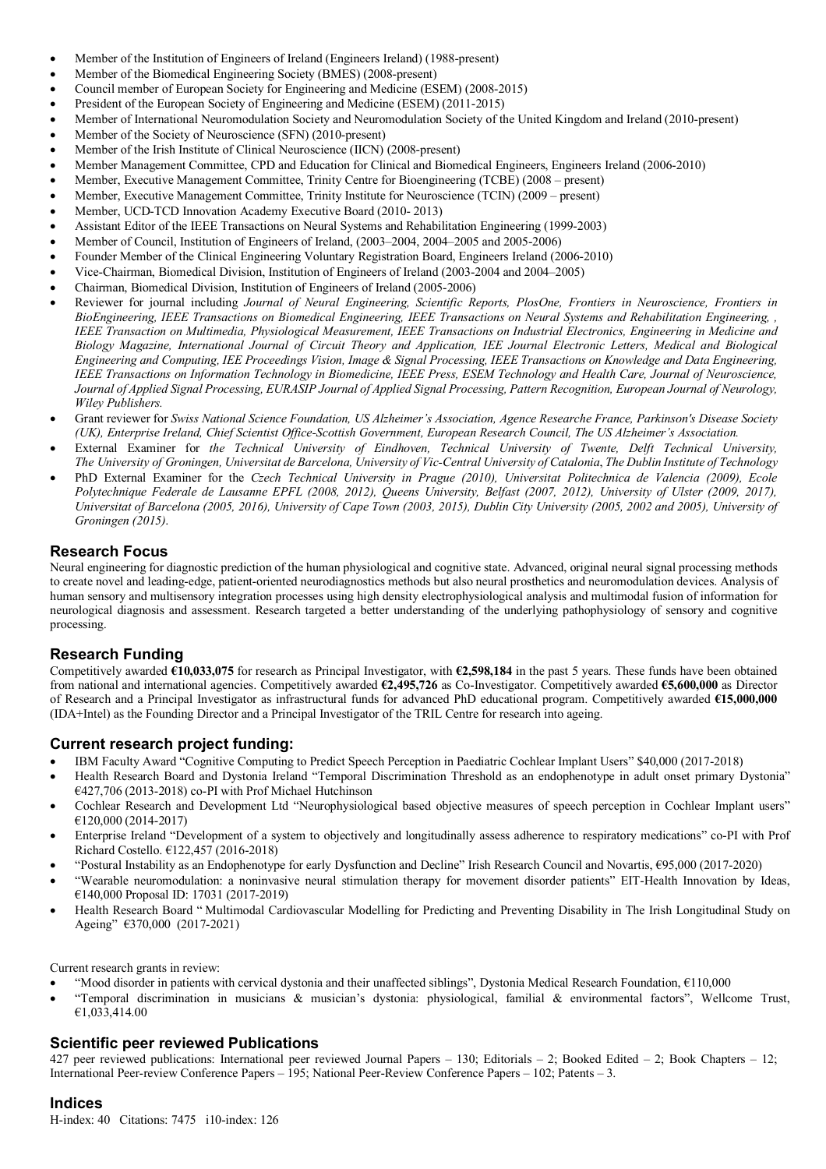- Member of the Institution of Engineers of Ireland (Engineers Ireland) (1988-present)
- Member of the Biomedical Engineering Society (BMES) (2008-present)
- Council member of European Society for Engineering and Medicine (ESEM) (2008-2015)
- President of the European Society of Engineering and Medicine (ESEM) (2011-2015)
- Member of International Neuromodulation Society and Neuromodulation Society of the United Kingdom and Ireland (2010-present)
- Member of the Society of Neuroscience (SFN) (2010-present)
- Member of the Irish Institute of Clinical Neuroscience (IICN) (2008-present)
- Member Management Committee, CPD and Education for Clinical and Biomedical Engineers, Engineers Ireland (2006-2010)
- Member, Executive Management Committee, Trinity Centre for Bioengineering (TCBE) (2008 present)
- Member, Executive Management Committee, Trinity Institute for Neuroscience (TCIN) (2009 present)
- Member, UCD-TCD Innovation Academy Executive Board (2010- 2013)
- Assistant Editor of the IEEE Transactions on Neural Systems and Rehabilitation Engineering (1999-2003)
- Member of Council, Institution of Engineers of Ireland, (2003–2004, 2004–2005 and 2005-2006)
- Founder Member of the Clinical Engineering Voluntary Registration Board, Engineers Ireland (2006-2010)
- Vice-Chairman, Biomedical Division, Institution of Engineers of Ireland (2003-2004 and 2004–2005)
- Chairman, Biomedical Division, Institution of Engineers of Ireland (2005-2006)
- Reviewer for journal including *Journal of Neural Engineering, Scientific Reports, PlosOne, Frontiers in Neuroscience, Frontiers in BioEngineering, IEEE Transactions on Biomedical Engineering, IEEE Transactions on Neural Systems and Rehabilitation Engineering, , IEEE Transaction on Multimedia, Physiological Measurement, IEEE Transactions on Industrial Electronics, Engineering in Medicine and Biology Magazine, International Journal of Circuit Theory and Application, IEE Journal Electronic Letters, Medical and Biological Engineering and Computing, IEE Proceedings Vision, Image & Signal Processing, IEEE Transactions on Knowledge and Data Engineering, IEEE Transactions on Information Technology in Biomedicine, IEEE Press, ESEM Technology and Health Care, Journal of Neuroscience, Journal of Applied Signal Processing, EURASIP Journal of Applied Signal Processing, Pattern Recognition, European Journal of Neurology, Wiley Publishers.*
- Grant reviewer for *Swiss National Science Foundation, US Alzheimer's Association, Agence Researche France, Parkinson's Disease Society (UK), Enterprise Ireland, Chief Scientist Office-Scottish Government, European Research Council, The US Alzheimer's Association.*
- External Examiner for *the Technical University of Eindhoven, Technical University of Twente, Delft Technical University, The University of Groningen, Universitat de Barcelona, University of Vic-Central University of Catalonia*, *The Dublin Institute of Technology*
- PhD External Examiner for the *Czech Technical University in Prague (2010), Universitat Politechnica de Valencia (2009), Ecole Polytechnique Federale de Lausanne EPFL (2008, 2012), Queens University, Belfast (2007, 2012), University of Ulster (2009, 2017), Universitat of Barcelona (2005, 2016), University of Cape Town (2003, 2015), Dublin City University (2005, 2002 and 2005), University of Groningen (2015)*.

# **Research Focus**

Neural engineering for diagnostic prediction of the human physiological and cognitive state. Advanced, original neural signal processing methods to create novel and leading-edge, patient-oriented neurodiagnostics methods but also neural prosthetics and neuromodulation devices. Analysis of human sensory and multisensory integration processes using high density electrophysiological analysis and multimodal fusion of information for neurological diagnosis and assessment. Research targeted a better understanding of the underlying pathophysiology of sensory and cognitive processing.

# **Research Funding**

Competitively awarded **€10,033,075** for research as Principal Investigator, with **€2,598,184** in the past 5 years. These funds have been obtained from national and international agencies. Competitively awarded **€2,495,726** as Co-Investigator. Competitively awarded **€5,600,000** as Director of Research and a Principal Investigator as infrastructural funds for advanced PhD educational program. Competitively awarded **€15,000,000** (IDA+Intel) as the Founding Director and a Principal Investigator of the TRIL Centre for research into ageing.

## **Current research project funding:**

- IBM Faculty Award "Cognitive Computing to Predict Speech Perception in Paediatric Cochlear Implant Users" \$40,000 (2017-2018)
- Health Research Board and Dystonia Ireland "Temporal Discrimination Threshold as an endophenotype in adult onset primary Dystonia" €427,706 (2013-2018) co-PI with Prof Michael Hutchinson
- Cochlear Research and Development Ltd "Neurophysiological based objective measures of speech perception in Cochlear Implant users" €120,000 (2014-2017)
- Enterprise Ireland "Development of a system to objectively and longitudinally assess adherence to respiratory medications" co-PI with Prof Richard Costello. €122,457 (2016-2018)
- "Postural Instability as an Endophenotype for early Dysfunction and Decline" Irish Research Council and Novartis, €95,000 (2017-2020)
- "Wearable neuromodulation: a noninvasive neural stimulation therapy for movement disorder patients" EIT-Health Innovation by Ideas, €140,000 Proposal ID: 17031 (2017-2019)
- Health Research Board " Multimodal Cardiovascular Modelling for Predicting and Preventing Disability in The Irish Longitudinal Study on Ageing" €370,000 (2017-2021)

Current research grants in review:

- "Mood disorder in patients with cervical dystonia and their unaffected siblings", Dystonia Medical Research Foundation, €110,000
- "Temporal discrimination in musicians & musician's dystonia: physiological, familial & environmental factors", Wellcome Trust, €1,033,414.00

## **Scientific peer reviewed Publications**

427 peer reviewed publications: International peer reviewed Journal Papers – 130; Editorials – 2; Booked Edited – 2; Book Chapters – 12; International Peer-review Conference Papers – 195; National Peer-Review Conference Papers – 102; Patents – 3.

## **Indices**

H-index: 40 Citations: 7475 i10-index: 126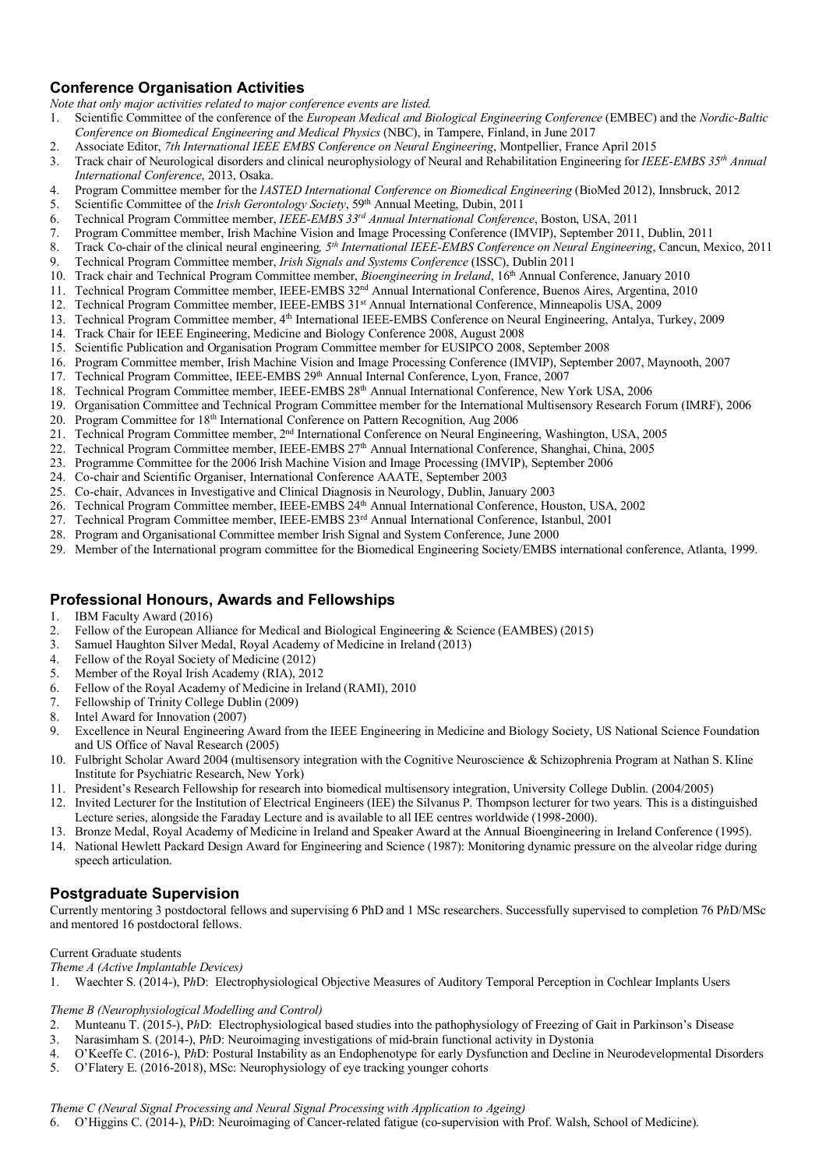# **Conference Organisation Activities**

*Note that only major activities related to major conference events are listed.*

- 1. Scientific Committee of the conference of the *European Medical and Biological Engineering Conference* (EMBEC) and the *Nordic-Baltic Conference on Biomedical Engineering and Medical Physics* (NBC), in Tampere, Finland, in June 2017
- 2. Associate Editor, *7th International IEEE EMBS Conference on Neural Engineering*, Montpellier, France April 2015
- 3. Track chair of Neurological disorders and clinical neurophysiology of Neural and Rehabilitation Engineering for *IEEE-EMBS 35th Annual International Conference*, 2013, Osaka.
- 4. Program Committee member for the *IASTED International Conference on Biomedical Engineering* (BioMed 2012), Innsbruck, 2012
- 5. Scientific Committee of the *Irish Gerontology Society*, 59th Annual Meeting, Dubin, 2011
- 6. Technical Program Committee member, *IEEE-EMBS 33rd Annual International Conference*, Boston, USA, 2011
- 7. Program Committee member, Irish Machine Vision and Image Processing Conference (IMVIP), September 2011, Dublin, 2011
- 8. Track Co-chair of the clinical neural engineering*, 5th International IEEE-EMBS Conference on Neural Engineering*, Cancun, Mexico, 2011 9. Technical Program Committee member, *Irish Signals and Systems Conference* (ISSC), Dublin 2011
- 
- 10. Track chair and Technical Program Committee member, *Bioengineering in Ireland*, 16th Annual Conference, January 2010
- 11. Technical Program Committee member, IEEE-EMBS 32nd Annual International Conference, Buenos Aires, Argentina, 2010
- 12. Technical Program Committee member, IEEE-EMBS 31<sup>st</sup> Annual International Conference, Minneapolis USA, 2009
- 13. Technical Program Committee member, 4<sup>th</sup> International IEEE-EMBS Conference on Neural Engineering, Antalya, Turkey, 2009
- 14. Track Chair for IEEE Engineering, Medicine and Biology Conference 2008, August 2008
- 15. Scientific Publication and Organisation Program Committee member for EUSIPCO 2008, September 2008
- 16. Program Committee member, Irish Machine Vision and Image Processing Conference (IMVIP), September 2007, Maynooth, 2007
- 17. Technical Program Committee, IEEE-EMBS 29<sup>th</sup> Annual Internal Conference, Lyon, France, 2007
- 18. Technical Program Committee member, IEEE-EMBS 28<sup>th</sup> Annual International Conference, New York USA, 2006
- 19. Organisation Committee and Technical Program Committee member for the International Multisensory Research Forum (IMRF), 2006
- 20. Program Committee for 18th International Conference on Pattern Recognition, Aug 2006
- 21. Technical Program Committee member, 2nd International Conference on Neural Engineering, Washington, USA, 2005
- 22. Technical Program Committee member, IEEE-EMBS 27<sup>th</sup> Annual International Conference, Shanghai, China, 2005
- 23. Programme Committee for the 2006 Irish Machine Vision and Image Processing (IMVIP), September 2006
- 24. Co-chair and Scientific Organiser, International Conference AAATE, September 2003
- 25. Co-chair, Advances in Investigative and Clinical Diagnosis in Neurology, Dublin, January 2003
- 26. Technical Program Committee member, IEEE-EMBS 24th Annual International Conference, Houston, USA, 2002
- 27. Technical Program Committee member, IEEE-EMBS 23rd Annual International Conference, Istanbul, 2001
- 28. Program and Organisational Committee member Irish Signal and System Conference, June 2000
- 29. Member of the International program committee for the Biomedical Engineering Society/EMBS international conference, Atlanta, 1999.

## **Professional Honours, Awards and Fellowships**

- 1. IBM Faculty Award (2016)
- 2. Fellow of the European Alliance for Medical and Biological Engineering & Science (EAMBES) (2015)
- 3. Samuel Haughton Silver Medal, Royal Academy of Medicine in Ireland (2013)
- 4. Fellow of the Royal Society of Medicine (2012)
- 5. Member of the Royal Irish Academy (RIA), 2012
- 6. Fellow of the Royal Academy of Medicine in Ireland (RAMI), 2010
- 7. Fellowship of Trinity College Dublin (2009)
- 8. Intel Award for Innovation (2007)
- 9. Excellence in Neural Engineering Award from the IEEE Engineering in Medicine and Biology Society, US National Science Foundation and US Office of Naval Research (2005)
- 10. Fulbright Scholar Award 2004 (multisensory integration with the Cognitive Neuroscience & Schizophrenia Program at Nathan S. Kline Institute for Psychiatric Research, New York)
- 11. President's Research Fellowship for research into biomedical multisensory integration, University College Dublin. (2004/2005)
- 12. Invited Lecturer for the Institution of Electrical Engineers (IEE) the Silvanus P. Thompson lecturer for two years. This is a distinguished Lecture series, alongside the Faraday Lecture and is available to all IEE centres worldwide (1998-2000).
- 13. Bronze Medal, Royal Academy of Medicine in Ireland and Speaker Award at the Annual Bioengineering in Ireland Conference (1995).
- 14. National Hewlett Packard Design Award for Engineering and Science (1987): Monitoring dynamic pressure on the alveolar ridge during speech articulation.

# **Postgraduate Supervision**

Currently mentoring 3 postdoctoral fellows and supervising 6 PhD and 1 MSc researchers. Successfully supervised to completion 76 P*h*D/MSc and mentored 16 postdoctoral fellows.

## Current Graduate students

*Theme A (Active Implantable Devices)*

1. Waechter S. (2014-), P*h*D: Electrophysiological Objective Measures of Auditory Temporal Perception in Cochlear Implants Users

#### *Theme B (Neurophysiological Modelling and Control)*

- 2. Munteanu T. (2015-), P*h*D: Electrophysiological based studies into the pathophysiology of Freezing of Gait in Parkinson's Disease
- 3. Narasimham S. (2014-), P*h*D: Neuroimaging investigations of mid-brain functional activity in Dystonia
- 4. O'Keeffe C. (2016-), P*h*D: Postural Instability as an Endophenotype for early Dysfunction and Decline in Neurodevelopmental Disorders
- 5. O'Flatery E. (2016-2018), MSc: Neurophysiology of eye tracking younger cohorts

#### *Theme C (Neural Signal Processing and Neural Signal Processing with Application to Ageing)*

6. O'Higgins C. (2014-), P*h*D: Neuroimaging of Cancer-related fatigue (co-supervision with Prof. Walsh, School of Medicine).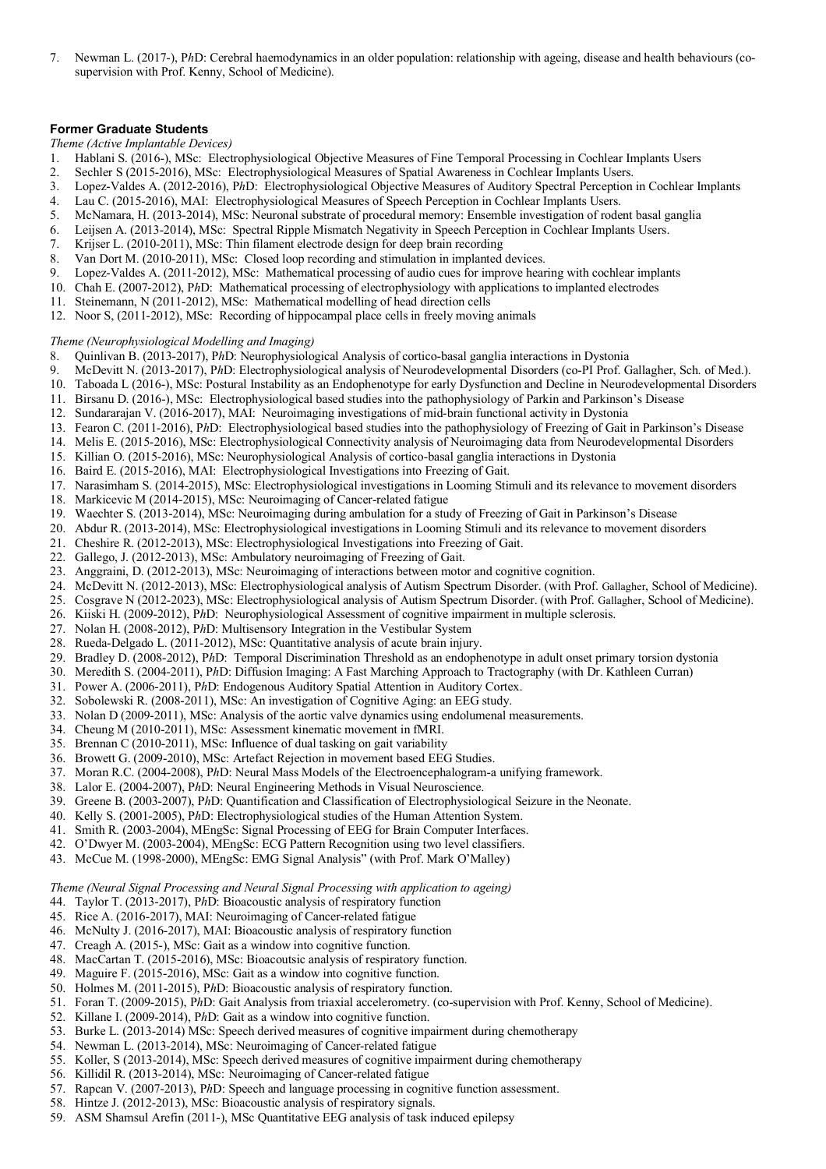7. Newman L. (2017-), P*h*D: Cerebral haemodynamics in an older population: relationship with ageing, disease and health behaviours (cosupervision with Prof. Kenny, School of Medicine).

#### **Former Graduate Students**

*Theme (Active Implantable Devices)*

- 1. Hablani S. (2016-), MSc: Electrophysiological Objective Measures of Fine Temporal Processing in Cochlear Implants Users
- 2. Sechler S (2015-2016), MSc: Electrophysiological Measures of Spatial Awareness in Cochlear Implants Users.
- 3. Lopez-Valdes A. (2012-2016), P*h*D: Electrophysiological Objective Measures of Auditory Spectral Perception in Cochlear Implants
- 4. Lau C. (2015-2016), MAI: Electrophysiological Measures of Speech Perception in Cochlear Implants Users.
- 5. McNamara, H. (2013-2014), MSc: Neuronal substrate of procedural memory: Ensemble investigation of rodent basal ganglia
- 6. Leijsen A. (2013-2014), MSc: Spectral Ripple Mismatch Negativity in Speech Perception in Cochlear Implants Users.
- 7. Krijser L. (2010-2011), MSc: Thin filament electrode design for deep brain recording
- 8. Van Dort M. (2010-2011), MSc: Closed loop recording and stimulation in implanted devices.
- 9. Lopez-Valdes A. (2011-2012), MSc: Mathematical processing of audio cues for improve hearing with cochlear implants
- 10. Chah E. (2007-2012), P*h*D: Mathematical processing of electrophysiology with applications to implanted electrodes
- 11. Steinemann, N (2011-2012), MSc: Mathematical modelling of head direction cells
- 12. Noor S, (2011-2012), MSc: Recording of hippocampal place cells in freely moving animals

*Theme (Neurophysiological Modelling and Imaging)*

- 8. Quinlivan B. (2013-2017), P*h*D: Neurophysiological Analysis of cortico-basal ganglia interactions in Dystonia
- 9. McDevitt N. (2013-2017), P*h*D: Electrophysiological analysis of Neurodevelopmental Disorders (co-PI Prof. Gallagher, Sch. of Med.).
- 10. Taboada L (2016-), MSc: Postural Instability as an Endophenotype for early Dysfunction and Decline in Neurodevelopmental Disorders
- 11. Birsanu D. (2016-), MSc: Electrophysiological based studies into the pathophysiology of Parkin and Parkinson's Disease
- 12. Sundararajan V. (2016-2017), MAI: Neuroimaging investigations of mid-brain functional activity in Dystonia
- 13. Fearon C. (2011-2016), P*h*D: Electrophysiological based studies into the pathophysiology of Freezing of Gait in Parkinson's Disease
- 14. Melis E. (2015-2016), MSc: Electrophysiological Connectivity analysis of Neuroimaging data from Neurodevelopmental Disorders
- 15. Killian O. (2015-2016), MSc: Neurophysiological Analysis of cortico-basal ganglia interactions in Dystonia
- 16. Baird E. (2015-2016), MAI: Electrophysiological Investigations into Freezing of Gait.
- 17. Narasimham S. (2014-2015), MSc: Electrophysiological investigations in Looming Stimuli and its relevance to movement disorders
- 18. Markicevic M (2014-2015), MSc: Neuroimaging of Cancer-related fatigue
- 19. Waechter S. (2013-2014), MSc: Neuroimaging during ambulation for a study of Freezing of Gait in Parkinson's Disease
- 20. Abdur R. (2013-2014), MSc: Electrophysiological investigations in Looming Stimuli and its relevance to movement disorders
- 21. Cheshire R. (2012-2013), MSc: Electrophysiological Investigations into Freezing of Gait.
- 22. Gallego, J. (2012-2013), MSc: Ambulatory neuroimaging of Freezing of Gait.
- 23. Anggraini, D. (2012-2013), MSc: Neuroimaging of interactions between motor and cognitive cognition.
- 24. McDevitt N. (2012-2013), MSc: Electrophysiological analysis of Autism Spectrum Disorder. (with Prof. Gallagher, School of Medicine).
- 25. Cosgrave N (2012-2023), MSc: Electrophysiological analysis of Autism Spectrum Disorder. (with Prof. Gallagher, School of Medicine).
- 26. Kiiski H. (2009-2012), P*h*D: Neurophysiological Assessment of cognitive impairment in multiple sclerosis.
- 27. Nolan H. (2008-2012), P*h*D: Multisensory Integration in the Vestibular System
- 28. Rueda-Delgado L. (2011-2012), MSc: Quantitative analysis of acute brain injury.
- 29. Bradley D. (2008-2012), P*h*D: Temporal Discrimination Threshold as an endophenotype in adult onset primary torsion dystonia
- 30. Meredith S. (2004-2011), P*h*D: Diffusion Imaging: A Fast Marching Approach to Tractography (with Dr. Kathleen Curran)
- 31. Power A. (2006-2011), P*h*D: Endogenous Auditory Spatial Attention in Auditory Cortex.
- 32. Sobolewski R. (2008-2011), MSc: An investigation of Cognitive Aging: an EEG study.
- 33. Nolan D (2009-2011), MSc: Analysis of the aortic valve dynamics using endolumenal measurements.
- 34. Cheung M (2010-2011), MSc: Assessment kinematic movement in fMRI.
- 35. Brennan C (2010-2011), MSc: Influence of dual tasking on gait variability
- 36. Browett G. (2009-2010), MSc: Artefact Rejection in movement based EEG Studies.
- 37. Moran R.C. (2004-2008), P*h*D: Neural Mass Models of the Electroencephalogram-a unifying framework.
- 38. Lalor E. (2004-2007), P*h*D: Neural Engineering Methods in Visual Neuroscience.
- 39. Greene B. (2003-2007), P*h*D: Quantification and Classification of Electrophysiological Seizure in the Neonate.
- 40. Kelly S. (2001-2005), P*h*D: Electrophysiological studies of the Human Attention System.
- 41. Smith R. (2003-2004), MEngSc: Signal Processing of EEG for Brain Computer Interfaces.
- 42. O'Dwyer M. (2003-2004), MEngSc: ECG Pattern Recognition using two level classifiers.
- 43. McCue M. (1998-2000), MEngSc: EMG Signal Analysis" (with Prof. Mark O'Malley)

*Theme (Neural Signal Processing and Neural Signal Processing with application to ageing)*

- 44. Taylor T. (2013-2017), P*h*D: Bioacoustic analysis of respiratory function
- 45. Rice A. (2016-2017), MAI: Neuroimaging of Cancer-related fatigue
- 46. McNulty J. (2016-2017), MAI: Bioacoustic analysis of respiratory function
- 47. Creagh A. (2015-), MSc: Gait as a window into cognitive function.
- 48. MacCartan T. (2015-2016), MSc: Bioacoutsic analysis of respiratory function.
- 49. Maguire F. (2015-2016), MSc: Gait as a window into cognitive function.
- 50. Holmes M. (2011-2015), P*h*D: Bioacoustic analysis of respiratory function.
- 51. Foran T. (2009-2015), P*h*D: Gait Analysis from triaxial accelerometry. (co-supervision with Prof. Kenny, School of Medicine).
- 52. Killane I. (2009-2014), P*h*D: Gait as a window into cognitive function.
- 53. Burke L. (2013-2014) MSc: Speech derived measures of cognitive impairment during chemotherapy
- 54. Newman L. (2013-2014), MSc: Neuroimaging of Cancer-related fatigue
- 55. Koller, S (2013-2014), MSc: Speech derived measures of cognitive impairment during chemotherapy
- 56. Killidil R. (2013-2014), MSc: Neuroimaging of Cancer-related fatigue
- 57. Rapcan V. (2007-2013), P*h*D: Speech and language processing in cognitive function assessment.
- 58. Hintze J. (2012-2013), MSc: Bioacoustic analysis of respiratory signals.
- 59. ASM Shamsul Arefin (2011-), MSc Quantitative EEG analysis of task induced epilepsy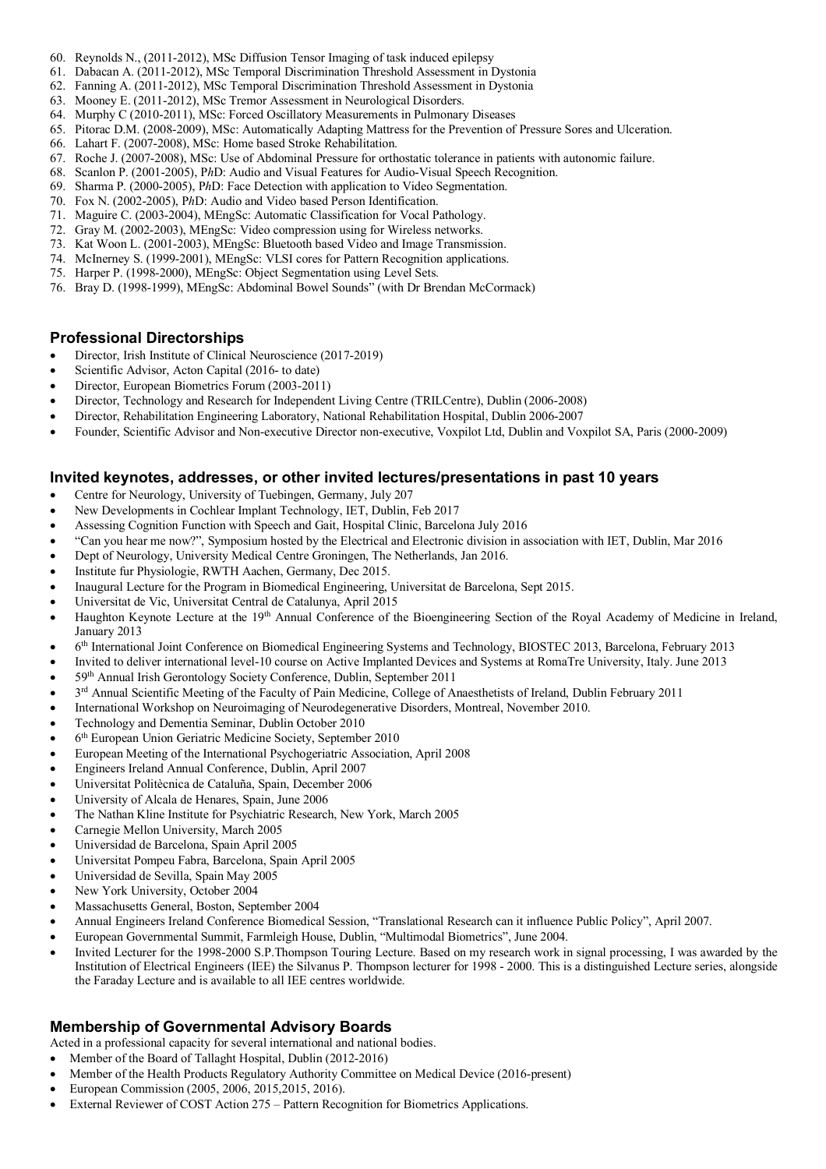- 60. Reynolds N., (2011-2012), MSc Diffusion Tensor Imaging of task induced epilepsy
- 61. Dabacan A. (2011-2012), MSc Temporal Discrimination Threshold Assessment in Dystonia
- 62. Fanning A. (2011-2012), MSc Temporal Discrimination Threshold Assessment in Dystonia
- 63. Mooney E. (2011-2012), MSc Tremor Assessment in Neurological Disorders.
- 64. Murphy C (2010-2011), MSc: Forced Oscillatory Measurements in Pulmonary Diseases
- 65. Pitorac D.M. (2008-2009), MSc: Automatically Adapting Mattress for the Prevention of Pressure Sores and Ulceration.
- 66. Lahart F. (2007-2008), MSc: Home based Stroke Rehabilitation.
- 67. Roche J. (2007-2008), MSc: Use of Abdominal Pressure for orthostatic tolerance in patients with autonomic failure.
- 68. Scanlon P. (2001-2005), P*h*D: Audio and Visual Features for Audio-Visual Speech Recognition.
- 69. Sharma P. (2000-2005), P*h*D: Face Detection with application to Video Segmentation.
- 70. Fox N. (2002-2005), P*h*D: Audio and Video based Person Identification.
- 71. Maguire C. (2003-2004), MEngSc: Automatic Classification for Vocal Pathology.
- 72. Gray M. (2002-2003), MEngSc: Video compression using for Wireless networks.
- 73. Kat Woon L. (2001-2003), MEngSc: Bluetooth based Video and Image Transmission.
- 74. McInerney S. (1999-2001), MEngSc: VLSI cores for Pattern Recognition applications.
- 75. Harper P. (1998-2000), MEngSc: Object Segmentation using Level Sets.
- 76. Bray D. (1998-1999), MEngSc: Abdominal Bowel Sounds" (with Dr Brendan McCormack)

## **Professional Directorships**

- Director, Irish Institute of Clinical Neuroscience (2017-2019)
- Scientific Advisor, Acton Capital (2016- to date)
- Director, European Biometrics Forum (2003-2011)
- Director, Technology and Research for Independent Living Centre (TRILCentre), Dublin (2006-2008)
- Director, Rehabilitation Engineering Laboratory, National Rehabilitation Hospital, Dublin 2006-2007
- Founder, Scientific Advisor and Non-executive Director non-executive, Voxpilot Ltd, Dublin and Voxpilot SA, Paris (2000-2009)

## **Invited keynotes, addresses, or other invited lectures/presentations in past 10 years**

- Centre for Neurology, University of Tuebingen, Germany, July 207
- New Developments in Cochlear Implant Technology, IET, Dublin, Feb 2017
- Assessing Cognition Function with Speech and Gait, Hospital Clinic, Barcelona July 2016
- "Can you hear me now?", Symposium hosted by the Electrical and Electronic division in association with IET, Dublin, Mar 2016
- Dept of Neurology, University Medical Centre Groningen, The Netherlands, Jan 2016.
- Institute fur Physiologie, RWTH Aachen, Germany, Dec 2015.
- Inaugural Lecture for the Program in Biomedical Engineering, Universitat de Barcelona, Sept 2015.
- Universitat de Vic, Universitat Central de Catalunya, April 2015
- Haughton Keynote Lecture at the 19th Annual Conference of the Bioengineering Section of the Royal Academy of Medicine in Ireland, January 2013
- 6th International Joint Conference on Biomedical Engineering Systems and Technology, BIOSTEC 2013, Barcelona, February 2013
- Invited to deliver international level-10 course on Active Implanted Devices and Systems at RomaTre University, Italy. June 2013
- 59th Annual Irish Gerontology Society Conference, Dublin, September 2011
- 3<sup>rd</sup> Annual Scientific Meeting of the Faculty of Pain Medicine, College of Anaesthetists of Ireland, Dublin February 2011
- International Workshop on Neuroimaging of Neurodegenerative Disorders, Montreal, November 2010.
- Technology and Dementia Seminar, Dublin October 2010
- 6<sup>th</sup> European Union Geriatric Medicine Society, September 2010
- European Meeting of the International Psychogeriatric Association, April 2008
- Engineers Ireland Annual Conference, Dublin, April 2007
- Universitat Politècnica de Cataluña, Spain, December 2006
- University of Alcala de Henares, Spain, June 2006
- The Nathan Kline Institute for Psychiatric Research, New York, March 2005
- Carnegie Mellon University, March 2005
- Universidad de Barcelona, Spain April 2005
- Universitat Pompeu Fabra, Barcelona, Spain April 2005
- Universidad de Sevilla, Spain May 2005
- New York University, October 2004
- Massachusetts General, Boston, September 2004
- Annual Engineers Ireland Conference Biomedical Session, "Translational Research can it influence Public Policy", April 2007.
- European Governmental Summit, Farmleigh House, Dublin, "Multimodal Biometrics", June 2004.
- Invited Lecturer for the 1998-2000 S.P.Thompson Touring Lecture. Based on my research work in signal processing, I was awarded by the Institution of Electrical Engineers (IEE) the Silvanus P. Thompson lecturer for 1998 - 2000. This is a distinguished Lecture series, alongside the Faraday Lecture and is available to all IEE centres worldwide.

## **Membership of Governmental Advisory Boards**

Acted in a professional capacity for several international and national bodies.

- Member of the Board of Tallaght Hospital, Dublin (2012-2016)
- Member of the Health Products Regulatory Authority Committee on Medical Device (2016-present)
- European Commission (2005, 2006, 2015,2015, 2016).
- External Reviewer of COST Action 275 Pattern Recognition for Biometrics Applications.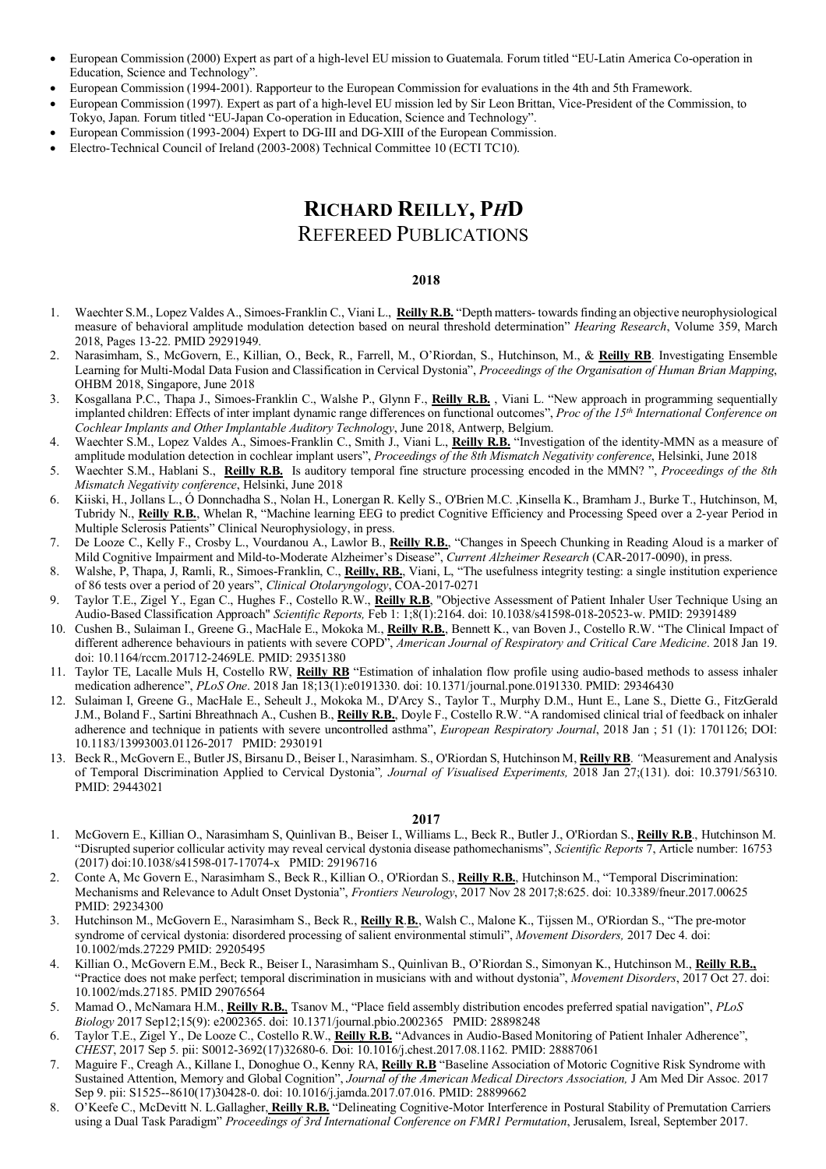- European Commission (2000) Expert as part of a high-level EU mission to Guatemala. Forum titled "EU-Latin America Co-operation in Education, Science and Technology".
- European Commission (1994-2001). Rapporteur to the European Commission for evaluations in the 4th and 5th Framework.
- European Commission (1997). Expert as part of a high-level EU mission led by Sir Leon Brittan, Vice-President of the Commission, to Tokyo, Japan. Forum titled "EU-Japan Co-operation in Education, Science and Technology".
- European Commission (1993-2004) Expert to DG-III and DG-XIII of the European Commission.
- Electro-Technical Council of Ireland (2003-2008) Technical Committee 10 (ECTI TC10).

# **RICHARD REILLY, P***H***D**

# REFEREED PUBLICATIONS

#### **2018**

- 1. Waechter S.M., Lopez Valdes A., Simoes-Franklin C., Viani L., **Reilly R.B.** "Depth matters- towards finding an objective neurophysiological measure of behavioral amplitude modulation detection based on neural threshold determination" *Hearing Research*, Volume 359, March 2018, Pages 13-22. PMID 29291949.
- 2. Narasimham, S., McGovern, E., Killian, O., Beck, R., Farrell, M., O'Riordan, S., Hutchinson, M., & **Reilly RB**. Investigating Ensemble Learning for Multi-Modal Data Fusion and Classification in Cervical Dystonia", *Proceedings of the Organisation of Human Brian Mapping*, OHBM 2018, Singapore, June 2018
- 3. Kosgallana P.C., Thapa J., Simoes-Franklin C., Walshe P., Glynn F., **Reilly R.B.** , Viani L. "New approach in programming sequentially implanted children: Effects of inter implant dynamic range differences on functional outcomes", *Proc of the 15th International Conference on Cochlear Implants and Other Implantable Auditory Technology*, June 2018, Antwerp, Belgium.
- 4. Waechter S.M., Lopez Valdes A., Simoes-Franklin C., Smith J., Viani L., **Reilly R.B.** "Investigation of the identity-MMN as a measure of amplitude modulation detection in cochlear implant users", *Proceedings of the 8th Mismatch Negativity conference*, Helsinki, June 2018
- 5. Waechter S.M., Hablani S., **Reilly R.B.** Is auditory temporal fine structure processing encoded in the MMN? ", *Proceedings of the 8th Mismatch Negativity conference*, Helsinki, June 2018
- 6. Kiiski, H., Jollans L., Ó Donnchadha S., Nolan H., Lonergan R. Kelly S., O'Brien M.C. ,Kinsella K., Bramham J., Burke T., Hutchinson, M, Tubridy N., **Reilly R.B.**, Whelan R, "Machine learning EEG to predict Cognitive Efficiency and Processing Speed over a 2-year Period in Multiple Sclerosis Patients" Clinical Neurophysiology, in press.
- 7. De Looze C., Kelly F., Crosby L., Vourdanou A., Lawlor B., **Reilly R.B.**, "Changes in Speech Chunking in Reading Aloud is a marker of Mild Cognitive Impairment and Mild-to-Moderate Alzheimer's Disease", *Current Alzheimer Research* (CAR-2017-0090), in press.
- 8. Walshe, P, Thapa, J, Ramli, R., Simoes-Franklin, C., **Reilly, RB.**, Viani, L, "The usefulness integrity testing: a single institution experience of 86 tests over a period of 20 years", *Clinical Otolaryngology*, COA-2017-0271
- 9. Taylor T.E., Zigel Y., Egan C., Hughes F., Costello R.W., **Reilly R.B**, "Objective Assessment of Patient Inhaler User Technique Using an Audio-Based Classification Approach" *Scientific Reports,* Feb 1: 1;8(1):2164. doi: 10.1038/s41598-018-20523-w. PMID: 29391489
- 10. Cushen B., Sulaiman I., Greene G., MacHale E., Mokoka M., **Reilly R.B.**, Bennett K., van Boven J., Costello R.W. "The Clinical Impact of different adherence behaviours in patients with severe COPD", *American Journal of Respiratory and Critical Care Medicine*. 2018 Jan 19. doi: 10.1164/rccm.201712-2469LE. PMID: 29351380
- 11. Taylor TE, Lacalle Muls H, Costello RW, **Reilly RB** "Estimation of inhalation flow profile using audio-based methods to assess inhaler medication adherence", *PLoS One*. 2018 Jan 18;13(1):e0191330. doi: 10.1371/journal.pone.0191330. PMID: 29346430
- 12. Sulaiman I, Greene G., MacHale E., Seheult J., Mokoka M., D'Arcy S., Taylor T., Murphy D.M., Hunt E., Lane S., Diette G., FitzGerald J.M., Boland F., Sartini Bhreathnach A., Cushen B., **Reilly R.B.**, Doyle F., Costello R.W. "A randomised clinical trial of feedback on inhaler adherence and technique in patients with severe uncontrolled asthma", *European Respiratory Journal*, 2018 Jan ; 51 (1): 1701126; DOI: 10.1183/13993003.01126-2017 PMID: 2930191
- 13. Beck R., McGovern E., Butler JS, Birsanu D., Beiser I., Narasimham. S., O'Riordan S, Hutchinson M, **Reilly RB**. *"*Measurement and Analysis of Temporal Discrimination Applied to Cervical Dystonia"*, Journal of Visualised Experiments,* 2018 Jan 27;(131). doi: 10.3791/56310. PMID: 29443021

- 1. McGovern E., Killian O., Narasimham S, Quinlivan B., Beiser I., Williams L., Beck R., Butler J., O'Riordan S., **Reilly R.B**., Hutchinson M. "Disrupted superior collicular activity may reveal cervical dystonia disease pathomechanisms", *Scientific Reports* 7, Article number: 16753 (2017) doi:10.1038/s41598-017-17074-x PMID: 29196716
- 2. Conte A, Mc Govern E., Narasimham S., Beck R., Killian O., O'Riordan S., **Reilly R.B.**, Hutchinson M., "Temporal Discrimination: Mechanisms and Relevance to Adult Onset Dystonia", *Frontiers Neurology*, 2017 Nov 28 2017;8:625. doi: 10.3389/fneur.2017.00625 PMID: 29234300
- 3. Hutchinson M., McGovern E., Narasimham S., Beck R., **Reilly R**.**B.**, Walsh C., Malone K., Tijssen M., O'Riordan S., "The pre-motor syndrome of cervical dystonia: disordered processing of salient environmental stimuli", *Movement Disorders,* 2017 Dec 4. doi: 10.1002/mds.27229 PMID: 29205495
- 4. Killian O., McGovern E.M., Beck R., Beiser I., Narasimham S., Quinlivan B., O'Riordan S., Simonyan K., Hutchinson M., **Reilly R.B.,** "Practice does not make perfect; temporal discrimination in musicians with and without dystonia", *Movement Disorders*, 2017 Oct 27. doi: 10.1002/mds.27185. PMID 29076564
- 5. Mamad O., McNamara H.M., **Reilly R.B.**, Tsanov M., "Place field assembly distribution encodes preferred spatial navigation", *PLoS Biology* 2017 Sep12;15(9): e2002365. doi: 10.1371/journal.pbio.2002365 PMID: 28898248
- 6. Taylor T.E., Zigel Y., De Looze C., Costello R.W., **Reilly R.B.** "Advances in Audio-Based Monitoring of Patient Inhaler Adherence", *CHEST*, 2017 Sep 5. pii: S0012-3692(17)32680-6. Doi: 10.1016/j.chest.2017.08.1162. PMID: 28887061
- 7. Maguire F., Creagh A., Killane I., Donoghue O., Kenny RA, **Reilly R.B** "Baseline Association of Motoric Cognitive Risk Syndrome with Sustained Attention, Memory and Global Cognition", *Journal of the American Medical Directors Association,* J Am Med Dir Assoc. 2017 Sep 9. pii: S1525--8610(17)30428-0. doi: 10.1016/j.jamda.2017.07.016. PMID: 28899662
- 8. O'Keefe C., McDevitt N. L.Gallagher, **Reilly R.B.** "Delineating Cognitive-Motor Interference in Postural Stability of Premutation Carriers using a Dual Task Paradigm" *Proceedings of 3rd International Conference on FMR1 Permutation*, Jerusalem, Isreal, September 2017.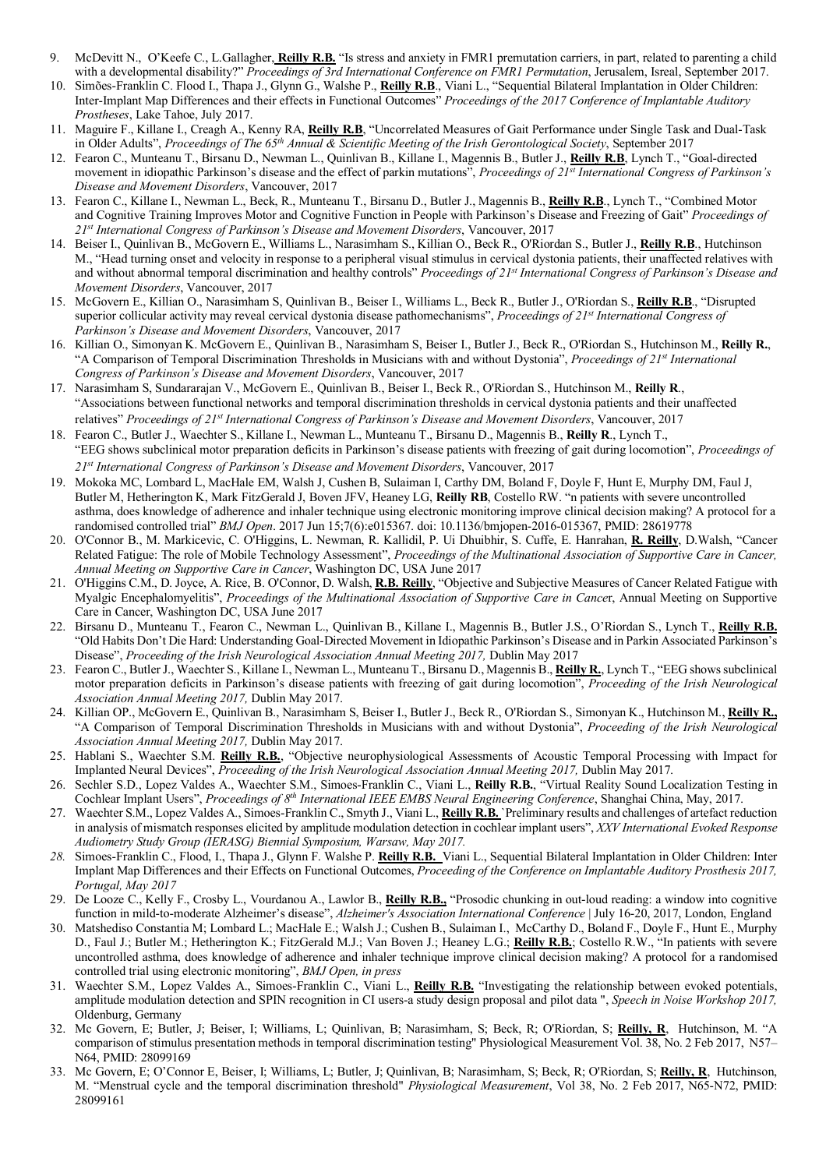- 9. McDevitt N., O'Keefe C., L.Gallagher, **Reilly R.B.** "Is stress and anxiety in FMR1 premutation carriers, in part, related to parenting a child with a developmental disability?" *Proceedings of 3rd International Conference on FMR1 Permutation*, Jerusalem, Isreal, September 2017.
- 10. Simões-Franklin C. Flood I., Thapa J., Glynn G., Walshe P., **Reilly R.B**., Viani L., "Sequential Bilateral Implantation in Older Children: Inter-Implant Map Differences and their effects in Functional Outcomes" *Proceedings of the 2017 Conference of Implantable Auditory Prostheses*, Lake Tahoe, July 2017.
- 11. Maguire F., Killane I., Creagh A., Kenny RA, **Reilly R.B**, "Uncorrelated Measures of Gait Performance under Single Task and Dual-Task in Older Adults", *Proceedings of The 65th Annual & Scientific Meeting of the Irish Gerontological Society*, September 2017
- 12. Fearon C., Munteanu T., Birsanu D., Newman L., Quinlivan B., Killane I., Magennis B., Butler J., **Reilly R.B**, Lynch T., "Goal-directed movement in idiopathic Parkinson's disease and the effect of parkin mutations", *Proceedings of 21st International Congress of Parkinson's Disease and Movement Disorders*, Vancouver, 2017
- 13. Fearon C., Killane I., Newman L., Beck, R., Munteanu T., Birsanu D., Butler J., Magennis B., **Reilly R.B**., Lynch T., "Combined Motor and Cognitive Training Improves Motor and Cognitive Function in People with Parkinson's Disease and Freezing of Gait" *Proceedings of 21st International Congress of Parkinson's Disease and Movement Disorders*, Vancouver, 2017
- 14. Beiser I., Quinlivan B., McGovern E., Williams L., Narasimham S., Killian O., Beck R., O'Riordan S., Butler J., **Reilly R.B**., Hutchinson M., "Head turning onset and velocity in response to a peripheral visual stimulus in cervical dystonia patients, their unaffected relatives with and without abnormal temporal discrimination and healthy controls" *Proceedings of 21st International Congress of Parkinson's Disease and Movement Disorders*, Vancouver, 2017
- 15. McGovern E., Killian O., Narasimham S, Quinlivan B., Beiser I., Williams L., Beck R., Butler J., O'Riordan S., **Reilly R.B**., "Disrupted superior collicular activity may reveal cervical dystonia disease pathomechanisms", *Proceedings of 21st International Congress of Parkinson's Disease and Movement Disorders*, Vancouver, 2017
- 16. Killian O., Simonyan K. McGovern E., Quinlivan B., Narasimham S, Beiser I., Butler J., Beck R., O'Riordan S., Hutchinson M., **Reilly R.**, "A Comparison of Temporal Discrimination Thresholds in Musicians with and without Dystonia", *Proceedings of 21st International Congress of Parkinson's Disease and Movement Disorders*, Vancouver, 2017
- 17. Narasimham S, Sundararajan V., McGovern E., Quinlivan B., Beiser I., Beck R., O'Riordan S., Hutchinson M., **Reilly R**., "Associations between functional networks and temporal discrimination thresholds in cervical dystonia patients and their unaffected relatives" *Proceedings of 21st International Congress of Parkinson's Disease and Movement Disorders*, Vancouver, 2017
- 18. Fearon C., Butler J., Waechter S., Killane I., Newman L., Munteanu T., Birsanu D., Magennis B., **Reilly R**., Lynch T., "EEG shows subclinical motor preparation deficits in Parkinson's disease patients with freezing of gait during locomotion", *Proceedings of 21st International Congress of Parkinson's Disease and Movement Disorders*, Vancouver, 2017
- 19. Mokoka MC, Lombard L, MacHale EM, Walsh J, Cushen B, Sulaiman I, Carthy DM, Boland F, Doyle F, Hunt E, Murphy DM, Faul J, Butler M, Hetherington K, Mark FitzGerald J, Boven JFV, Heaney LG, **Reilly RB**, Costello RW. "n patients with severe uncontrolled asthma, does knowledge of adherence and inhaler technique using electronic monitoring improve clinical decision making? A protocol for a randomised controlled trial" *BMJ Open*. 2017 Jun 15;7(6):e015367. doi: 10.1136/bmjopen-2016-015367, PMID: 28619778
- 20. O'Connor B., M. Markicevic, C. O'Higgins, L. Newman, R. Kallidil, P. Ui Dhuibhir, S. Cuffe, E. Hanrahan, **R. Reilly**, D.Walsh, "Cancer Related Fatigue: The role of Mobile Technology Assessment", *Proceedings of the Multinational Association of Supportive Care in Cancer, Annual Meeting on Supportive Care in Cancer*, Washington DC, USA June 2017
- 21. O'Higgins C.M., D. Joyce, A. Rice, B. O'Connor, D. Walsh, **R.B. Reilly**, "Objective and Subjective Measures of Cancer Related Fatigue with Myalgic Encephalomyelitis", *Proceedings of the Multinational Association of Supportive Care in Cance*r, Annual Meeting on Supportive Care in Cancer, Washington DC, USA June 2017
- 22. Birsanu D., Munteanu T., Fearon C., Newman L., Quinlivan B., Killane I., Magennis B., Butler J.S., O'Riordan S., Lynch T., **Reilly R.B.** "Old Habits Don't Die Hard: Understanding Goal-Directed Movement in Idiopathic Parkinson's Disease and in Parkin Associated Parkinson's Disease", *Proceeding of the Irish Neurological Association Annual Meeting 2017*, Dublin May 2017
- 23. Fearon C., Butler J., Waechter S., Killane I., Newman L., Munteanu T., Birsanu D., Magennis B., **Reilly R.**, Lynch T., "EEG shows subclinical motor preparation deficits in Parkinson's disease patients with freezing of gait during locomotion", *Proceeding of the Irish Neurological Association Annual Meeting 2017,* Dublin May 2017.
- 24. Killian OP., McGovern E., Quinlivan B., Narasimham S, Beiser I., Butler J., Beck R., O'Riordan S., Simonyan K., Hutchinson M., **Reilly R.,** "A Comparison of Temporal Discrimination Thresholds in Musicians with and without Dystonia", *Proceeding of the Irish Neurological Association Annual Meeting 2017,* Dublin May 2017.
- 25. Hablani S., Waechter S.M. **Reilly R.B.**, "Objective neurophysiological Assessments of Acoustic Temporal Processing with Impact for Implanted Neural Devices", *Proceeding of the Irish Neurological Association Annual Meeting 2017,* Dublin May 2017.
- 26. Sechler S.D., Lopez Valdes A., Waechter S.M., Simoes-Franklin C., Viani L., **Reilly R.B.**, "Virtual Reality Sound Localization Testing in Cochlear Implant Users", *Proceedings of 8th International IEEE EMBS Neural Engineering Conference*, Shanghai China, May, 2017.
- 27. Waechter S.M., Lopez Valdes A., Simoes-Franklin C., Smyth J., Viani L., **Reilly R.B.** `Preliminary results and challenges of artefact reduction in analysis of mismatch responses elicited by amplitude modulation detection in cochlear implant users", *XXV International Evoked Response Audiometry Study Group (IERASG) Biennial Symposium, Warsaw, May 2017.*
- *28.* Simoes-Franklin C., Flood, I., Thapa J., Glynn F. Walshe P. **Reilly R.B.** Viani L., Sequential Bilateral Implantation in Older Children: Inter Implant Map Differences and their Effects on Functional Outcomes, *Proceeding of the Conference on Implantable Auditory Prosthesis 2017, Portugal, May 2017*
- 29. De Looze C., Kelly F., Crosby L., Vourdanou A., Lawlor B., **Reilly R.B.,** "Prosodic chunking in out-loud reading: a window into cognitive function in mild-to-moderate Alzheimer's disease", *Alzheimer's Association International Conference* | July 16-20, 2017, London, England
- 30. Matshediso Constantia M; Lombard L.; MacHale E.; Walsh J.; Cushen B., Sulaiman I., McCarthy D., Boland F., Doyle F., Hunt E., Murphy D., Faul J.; Butler M.; Hetherington K.; FitzGerald M.J.; Van Boven J.; Heaney L.G.; **Reilly R.B.**; Costello R.W., "In patients with severe uncontrolled asthma, does knowledge of adherence and inhaler technique improve clinical decision making? A protocol for a randomised controlled trial using electronic monitoring", *BMJ Open, in press*
- 31. Waechter S.M., Lopez Valdes A., Simoes-Franklin C., Viani L., **Reilly R.B.** "Investigating the relationship between evoked potentials, amplitude modulation detection and SPIN recognition in CI users-a study design proposal and pilot data ", *Speech in Noise Workshop 2017,* Oldenburg, Germany
- 32. Mc Govern, E; Butler, J; Beiser, I; Williams, L; Quinlivan, B; Narasimham, S; Beck, R; O'Riordan, S; **Reilly, R**, Hutchinson, M. "A comparison of stimulus presentation methods in temporal discrimination testing" Physiological Measurement Vol. 38, No. 2 Feb 2017, N57– N64, PMID: 28099169
- 33. Mc Govern, E; O'Connor E, Beiser, I; Williams, L; Butler, J; Quinlivan, B; Narasimham, S; Beck, R; O'Riordan, S; **Reilly, R**, Hutchinson, M. "Menstrual cycle and the temporal discrimination threshold" *Physiological Measurement*, Vol 38, No. 2 Feb 2017, N65-N72, PMID: 28099161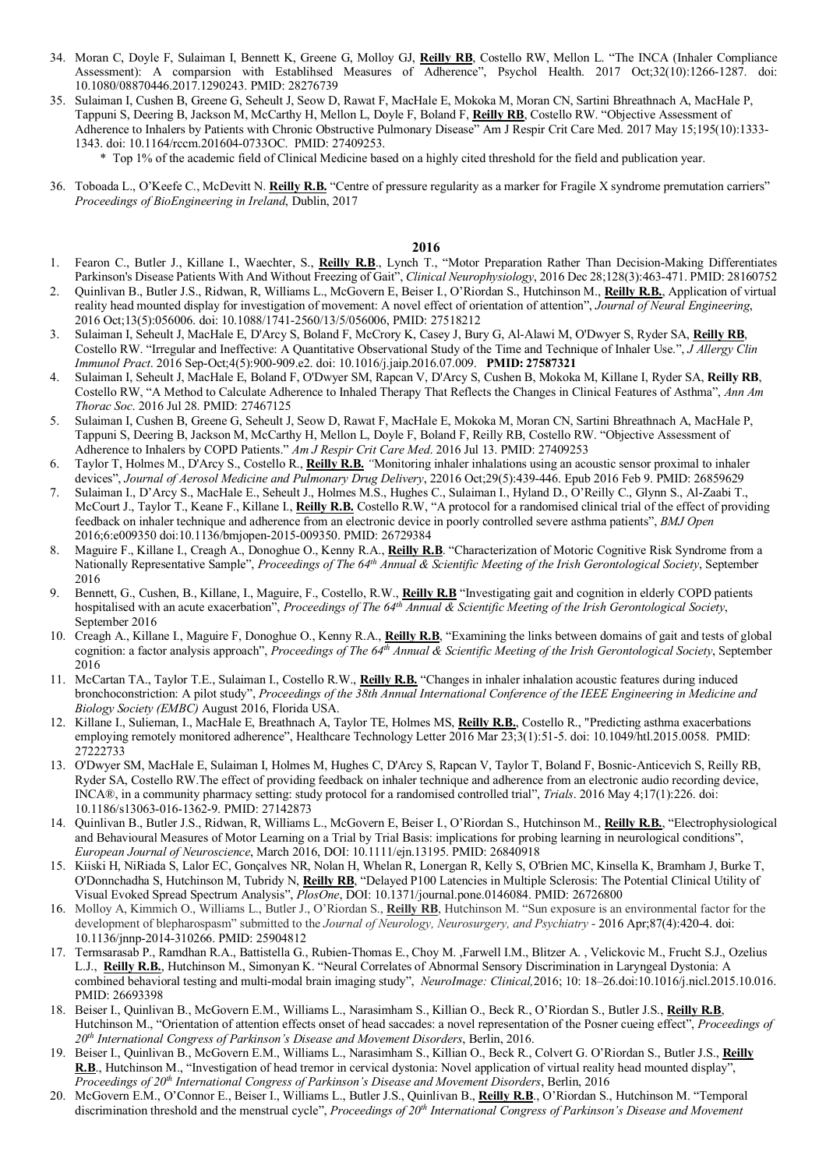- 34. Moran C, Doyle F, Sulaiman I, Bennett K, Greene G, Molloy GJ, **Reilly RB**, Costello RW, Mellon L. "The INCA (Inhaler Compliance Assessment): A comparsion with Establihsed Measures of Adherence", Psychol Health. 2017 Oct;32(10):1266-1287. doi: 10.1080/08870446.2017.1290243. PMID: 28276739
- 35. Sulaiman I, Cushen B, Greene G, Seheult J, Seow D, Rawat F, MacHale E, Mokoka M, Moran CN, Sartini Bhreathnach A, MacHale P, Tappuni S, Deering B, Jackson M, McCarthy H, Mellon L, Doyle F, Boland F, **Reilly RB**, Costello RW. "Objective Assessment of Adherence to Inhalers by Patients with Chronic Obstructive Pulmonary Disease" Am J Respir Crit Care Med. 2017 May 15;195(10):1333-1343. doi: 10.1164/rccm.201604-0733OC. PMID: 27409253.
	- \* Top 1% of the academic field of Clinical Medicine based on a highly cited threshold for the field and publication year.
- 36. Toboada L., O'Keefe C., McDevitt N. **Reilly R.B.** "Centre of pressure regularity as a marker for Fragile X syndrome premutation carriers" *Proceedings of BioEngineering in Ireland*, Dublin, 2017

- 1. Fearon C., Butler J., Killane I., Waechter, S., **Reilly R.B**., Lynch T., "Motor Preparation Rather Than Decision-Making Differentiates Parkinson's Disease Patients With And Without Freezing of Gait", *Clinical Neurophysiology*, 2016 Dec 28;128(3):463-471. PMID: 28160752
- 2. Quinlivan B., Butler J.S., Ridwan, R, Williams L., McGovern E, Beiser I., O'Riordan S., Hutchinson M., **Reilly R.B.**, Application of virtual reality head mounted display for investigation of movement: A novel effect of orientation of attention", *Journal of Neural Engineering*, 2016 Oct;13(5):056006. doi: 10.1088/1741-2560/13/5/056006, PMID: 27518212
- 3. Sulaiman I, Seheult J, MacHale E, D'Arcy S, Boland F, McCrory K, Casey J, Bury G, Al-Alawi M, O'Dwyer S, Ryder SA, **Reilly RB**, Costello RW. "Irregular and Ineffective: A Quantitative Observational Study of the Time and Technique of Inhaler Use.", *J Allergy Clin Immunol Pract*. 2016 Sep-Oct;4(5):900-909.e2. doi: 10.1016/j.jaip.2016.07.009. **PMID: 27587321**
- 4. Sulaiman I, Seheult J, MacHale E, Boland F, O'Dwyer SM, Rapcan V, D'Arcy S, Cushen B, Mokoka M, Killane I, Ryder SA, **Reilly RB**, Costello RW, "A Method to Calculate Adherence to Inhaled Therapy That Reflects the Changes in Clinical Features of Asthma", *Ann Am Thorac Soc*. 2016 Jul 28. PMID: 27467125
- 5. Sulaiman I, Cushen B, Greene G, Seheult J, Seow D, Rawat F, MacHale E, Mokoka M, Moran CN, Sartini Bhreathnach A, MacHale P, Tappuni S, Deering B, Jackson M, McCarthy H, Mellon L, Doyle F, Boland F, Reilly RB, Costello RW. "Objective Assessment of Adherence to Inhalers by COPD Patients." *Am J Respir Crit Care Med*. 2016 Jul 13. PMID: 27409253
- 6. Taylor T, Holmes M., D'Arcy S., Costello R., **Reilly R.B.** *"*Monitoring inhaler inhalations using an acoustic sensor proximal to inhaler devices", *Journal of Aerosol Medicine and Pulmonary Drug Delivery*, 22016 Oct;29(5):439-446. Epub 2016 Feb 9. PMID: 26859629
- 7. Sulaiman I., D'Arcy S., MacHale E., Seheult J., Holmes M.S., Hughes C., Sulaiman I., Hyland D., O'Reilly C., Glynn S., Al-Zaabi T., McCourt J., Taylor T., Keane F., Killane I., **Reilly R.B.** Costello R.W, "A protocol for a randomised clinical trial of the effect of providing feedback on inhaler technique and adherence from an electronic device in poorly controlled severe asthma patients", *BMJ Open* 2016;6:e009350 doi:10.1136/bmjopen-2015-009350. PMID: 26729384
- 8. Maguire F., Killane I., Creagh A., Donoghue O., Kenny R.A., **Reilly R.B**. "Characterization of Motoric Cognitive Risk Syndrome from a Nationally Representative Sample", *Proceedings of The 64th Annual & Scientific Meeting of the Irish Gerontological Society*, September 2016
- 9. Bennett, G., Cushen, B., Killane, I., Maguire, F., Costello, R.W., **Reilly R.B** "Investigating gait and cognition in elderly COPD patients hospitalised with an acute exacerbation", *Proceedings of The 64th Annual & Scientific Meeting of the Irish Gerontological Society*, September 2016
- 10. Creagh A., Killane I., Maguire F, Donoghue O., Kenny R.A., **Reilly R.B**, "Examining the links between domains of gait and tests of global cognition: a factor analysis approach", *Proceedings of The 64th Annual & Scientific Meeting of the Irish Gerontological Society*, September 2016
- 11. McCartan TA., Taylor T.E., Sulaiman I., Costello R.W., **Reilly R.B.** "Changes in inhaler inhalation acoustic features during induced bronchoconstriction: A pilot study", *Proceedings of the 38th Annual International Conference of the IEEE Engineering in Medicine and Biology Society (EMBC)* August 2016, Florida USA.
- 12. Killane I., Sulieman, I., MacHale E, Breathnach A, Taylor TE, Holmes MS, **Reilly R.B.**, Costello R., "Predicting asthma exacerbations employing remotely monitored adherence", Healthcare Technology Letter 2016 Mar 23;3(1):51-5. doi: 10.1049/htl.2015.0058. PMID: 27222733
- 13. O'Dwyer SM, MacHale E, Sulaiman I, Holmes M, Hughes C, D'Arcy S, Rapcan V, Taylor T, Boland F, Bosnic-Anticevich S, Reilly RB, Ryder SA, Costello RW.The effect of providing feedback on inhaler technique and adherence from an electronic audio recording device, INCA®, in a community pharmacy setting: study protocol for a randomised controlled trial", *Trials*. 2016 May 4;17(1):226. doi: 10.1186/s13063-016-1362-9. PMID: 27142873
- 14. Quinlivan B., Butler J.S., Ridwan, R, Williams L., McGovern E, Beiser I., O'Riordan S., Hutchinson M., **Reilly R.B.**, "Electrophysiological and Behavioural Measures of Motor Learning on a Trial by Trial Basis: implications for probing learning in neurological conditions", *European Journal of Neuroscience*, March 2016, DOI: 10.1111/ejn.13195. PMID: 26840918
- 15. Kiiski H, NiRiada S, Lalor EC, Gonçalves NR, Nolan H, Whelan R, Lonergan R, Kelly S, O'Brien MC, Kinsella K, Bramham J, Burke T, O'Donnchadha S, Hutchinson M, Tubridy N, **Reilly RB**, "Delayed P100 Latencies in Multiple Sclerosis: The Potential Clinical Utility of Visual Evoked Spread Spectrum Analysis", *PlosOne*, DOI: 10.1371/journal.pone.0146084. PMID: 26726800
- 16. Molloy A, Kimmich O., Williams L., Butler J., O'Riordan S., **Reilly RB**, Hutchinson M. "Sun exposure is an environmental factor for the development of blepharospasm" submitted to the *Journal of Neurology, Neurosurgery, and Psychiatry* - 2016 Apr;87(4):420-4. doi: 10.1136/jnnp-2014-310266. PMID: 25904812
- 17. Termsarasab P., Ramdhan R.A., Battistella G., Rubien-Thomas E., Choy M. ,Farwell I.M., Blitzer A. , Velickovic M., Frucht S.J., Ozelius L.J., **Reilly R.B.**, Hutchinson M., Simonyan K. "Neural Correlates of Abnormal Sensory Discrimination in Laryngeal Dystonia: A combined behavioral testing and multi-modal brain imaging study", *NeuroImage: Clinical,*2016; 10: 18–26.doi:10.1016/j.nicl.2015.10.016. PMID: 26693398
- 18. Beiser I., Quinlivan B., McGovern E.M., Williams L., Narasimham S., Killian O., Beck R., O'Riordan S., Butler J.S., **Reilly R.B**, Hutchinson M., "Orientation of attention effects onset of head saccades: a novel representation of the Posner cueing effect", *Proceedings of 20th International Congress of Parkinson's Disease and Movement Disorders*, Berlin, 2016.
- 19. Beiser I., Quinlivan B., McGovern E.M., Williams L., Narasimham S., Killian O., Beck R., Colvert G. O'Riordan S., Butler J.S., **Reilly R.B**., Hutchinson M., "Investigation of head tremor in cervical dystonia: Novel application of virtual reality head mounted display", *Proceedings of 20th International Congress of Parkinson's Disease and Movement Disorders*, Berlin, 2016
- 20. McGovern E.M., O'Connor E., Beiser I., Williams L., Butler J.S., Quinlivan B., **Reilly R.B**., O'Riordan S., Hutchinson M. "Temporal discrimination threshold and the menstrual cycle", *Proceedings of 20th International Congress of Parkinson's Disease and Movement*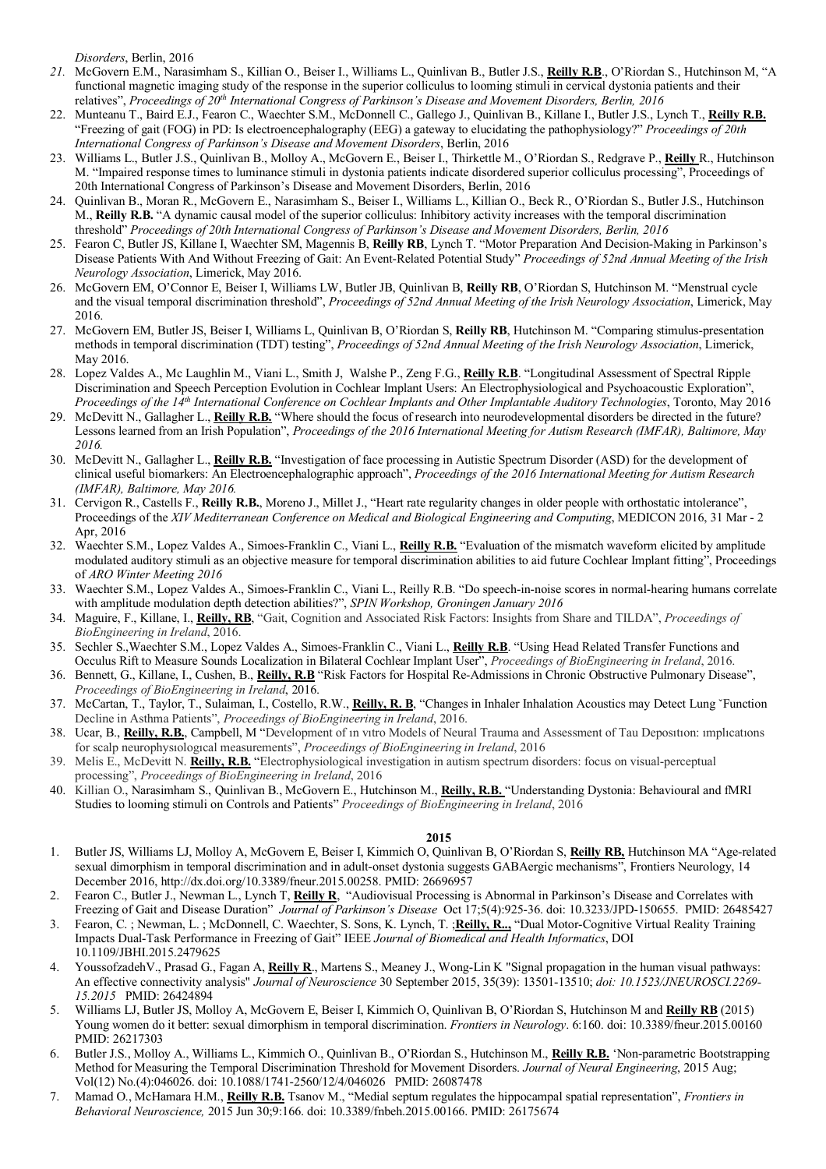*Disorders*, Berlin, 2016

- *21.* McGovern E.M., Narasimham S., Killian O., Beiser I., Williams L., Quinlivan B., Butler J.S., **Reilly R.B**., O'Riordan S., Hutchinson M, "A functional magnetic imaging study of the response in the superior colliculus to looming stimuli in cervical dystonia patients and their relatives", *Proceedings of 20th International Congress of Parkinson's Disease and Movement Disorders, Berlin, 2016*
- 22. Munteanu T., Baird E.J., Fearon C., Waechter S.M., McDonnell C., Gallego J., Quinlivan B., Killane I., Butler J.S., Lynch T., **Reilly R.B.** "Freezing of gait (FOG) in PD: Is electroencephalography (EEG) a gateway to elucidating the pathophysiology?" *Proceedings of 20th International Congress of Parkinson's Disease and Movement Disorders*, Berlin, 2016
- 23. Williams L., Butler J.S., Quinlivan B., Molloy A., McGovern E., Beiser I., Thirkettle M., O'Riordan S., Redgrave P., **Reilly** R., Hutchinson M. "Impaired response times to luminance stimuli in dystonia patients indicate disordered superior colliculus processing", Proceedings of 20th International Congress of Parkinson's Disease and Movement Disorders, Berlin, 2016
- 24. Quinlivan B., Moran R., McGovern E., Narasimham S., Beiser I., Williams L., Killian O., Beck R., O'Riordan S., Butler J.S., Hutchinson M., **Reilly R.B.** "A dynamic causal model of the superior colliculus: Inhibitory activity increases with the temporal discrimination threshold" *Proceedings of 20th International Congress of Parkinson's Disease and Movement Disorders, Berlin, 2016*
- 25. Fearon C, Butler JS, Killane I, Waechter SM, Magennis B, **Reilly RB**, Lynch T. "Motor Preparation And Decision-Making in Parkinson's Disease Patients With And Without Freezing of Gait: An Event-Related Potential Study" *Proceedings of 52nd Annual Meeting of the Irish Neurology Association*, Limerick, May 2016.
- 26. McGovern EM, O'Connor E, Beiser I, Williams LW, Butler JB, Quinlivan B, **Reilly RB**, O'Riordan S, Hutchinson M. "Menstrual cycle and the visual temporal discrimination threshold", *Proceedings of 52nd Annual Meeting of the Irish Neurology Association*, Limerick, May 2016.
- 27. McGovern EM, Butler JS, Beiser I, Williams L, Quinlivan B, O'Riordan S, **Reilly RB**, Hutchinson M. "Comparing stimulus-presentation methods in temporal discrimination (TDT) testing", *Proceedings of 52nd Annual Meeting of the Irish Neurology Association*, Limerick, May 2016.
- 28. Lopez Valdes A., Mc Laughlin M., Viani L., Smith J, Walshe P., Zeng F.G., **Reilly R.B**. "Longitudinal Assessment of Spectral Ripple Discrimination and Speech Perception Evolution in Cochlear Implant Users: An Electrophysiological and Psychoacoustic Exploration", *Proceedings of the 14th International Conference on Cochlear Implants and Other Implantable Auditory Technologies*, Toronto, May 2016
- 29. McDevitt N., Gallagher L., **Reilly R.B.** "Where should the focus of research into neurodevelopmental disorders be directed in the future? Lessons learned from an Irish Population", *Proceedings of the 2016 International Meeting for Autism Research (IMFAR), Baltimore, May 2016.*
- 30. McDevitt N., Gallagher L., **Reilly R.B.** "Investigation of face processing in Autistic Spectrum Disorder (ASD) for the development of clinical useful biomarkers: An Electroencephalographic approach", *Proceedings of the 2016 International Meeting for Autism Research (IMFAR), Baltimore, May 2016.*
- 31. Cervigon R., Castells F., **Reilly R.B.**, Moreno J., Millet J., "Heart rate regularity changes in older people with orthostatic intolerance", Proceedings of the *XIV Mediterranean Conference on Medical and Biological Engineering and Computing*, MEDICON 2016, 31 Mar - 2 Apr, 2016
- 32. Waechter S.M., Lopez Valdes A., Simoes-Franklin C., Viani L., **Reilly R.B.** "Evaluation of the mismatch waveform elicited by amplitude modulated auditory stimuli as an objective measure for temporal discrimination abilities to aid future Cochlear Implant fitting", Proceedings of *ARO Winter Meeting 2016*
- 33. Waechter S.M., Lopez Valdes A., Simoes-Franklin C., Viani L., Reilly R.B. "Do speech-in-noise scores in normal-hearing humans correlate with amplitude modulation depth detection abilities?", *SPIN Workshop, Groningen January 2016*
- 34. Maguire, F., Killane, I., **Reilly, RB**, "Gait, Cognition and Associated Risk Factors: Insights from Share and TILDA", *Proceedings of BioEngineering in Ireland*, 2016.
- 35. Sechler S.,Waechter S.M., Lopez Valdes A., Simoes-Franklin C., Viani L., **Reilly R.B**. "Using Head Related Transfer Functions and Occulus Rift to Measure Sounds Localization in Bilateral Cochlear Implant User", *Proceedings of BioEngineering in Ireland*, 2016.
- 36. Bennett, G., Killane, I., Cushen, B., **Reilly, R.B** "Risk Factors for Hospital Re-Admissions in Chronic Obstructive Pulmonary Disease", *Proceedings of BioEngineering in Ireland*, 2016.
- 37. McCartan, T., Taylor, T., Sulaiman, I., Costello, R.W., **Reilly, R. B**, "Changes in Inhaler Inhalation Acoustics may Detect Lung ˇFunction Decline in Asthma Patients", *Proceedings of BioEngineering in Ireland*, 2016.
- 38. Ucar, B., **Reilly, R.B.**, Campbell, M "Development of ın vıtro Models of Neural Trauma and Assessment of Tau Deposıtıon: ımplıcatıons for scalp neurophysıologıcal measurements", *Proceedings of BioEngineering in Ireland*, 2016
- 39. Melis E., McDevitt N. **Reilly, R.B.** "Electrophysiological investigation in autism spectrum disorders: focus on visual-perceptual processing", *Proceedings of BioEngineering in Ireland*, 2016
- 40. Killian O., Narasimham S., Quinlivan B., McGovern E., Hutchinson M., **Reilly, R.B.** "Understanding Dystonia: Behavioural and fMRI Studies to looming stimuli on Controls and Patients" *Proceedings of BioEngineering in Ireland*, 2016

- 1. Butler JS, Williams LJ, Molloy A, McGovern E, Beiser I, Kimmich O, Quinlivan B, O'Riordan S, **Reilly RB,** Hutchinson MA "Age-related sexual dimorphism in temporal discrimination and in adult-onset dystonia suggests GABAergic mechanisms", Frontiers Neurology, 14 December 2016, http://dx.doi.org/10.3389/fneur.2015.00258. PMID: 26696957
- 2. Fearon C., Butler J., Newman L., Lynch T, **Reilly R**, "Audiovisual Processing is Abnormal in Parkinson's Disease and Correlates with Freezing of Gait and Disease Duration" *Journal of Parkinson's Disease* Oct 17;5(4):925-36. doi: 10.3233/JPD-150655. PMID: 26485427
- 3. Fearon, C. ; Newman, L. ; McDonnell, C. Waechter, S. Sons, K. Lynch, T. ;**Reilly, R..,** "Dual Motor-Cognitive Virtual Reality Training Impacts Dual-Task Performance in Freezing of Gait" IEEE *Journal of Biomedical and Health Informatics*, DOI 10.1109/JBHI.2015.2479625
- 4. YoussofzadehV., Prasad G., Fagan A, **Reilly R**., Martens S., Meaney J., Wong-Lin K "Signal propagation in the human visual pathways: An effective connectivity analysis" *Journal of Neuroscience* 30 September 2015, 35(39): 13501-13510; *doi: 10.1523/JNEUROSCI.2269- 15.2015* PMID: 26424894
- 5. Williams LJ, Butler JS, Molloy A, McGovern E, Beiser I, Kimmich O, Quinlivan B, O'Riordan S, Hutchinson M and **Reilly RB** (2015) Young women do it better: sexual dimorphism in temporal discrimination. *Frontiers in Neurology*. 6:160. doi: 10.3389/fneur.2015.00160 PMID: 26217303
- 6. Butler J.S., Molloy A., Williams L., Kimmich O., Quinlivan B., O'Riordan S., Hutchinson M., **Reilly R.B.** 'Non-parametric Bootstrapping Method for Measuring the Temporal Discrimination Threshold for Movement Disorders. *Journal of Neural Engineering*, 2015 Aug; Vol(12) No.(4):046026. doi: 10.1088/1741-2560/12/4/046026 PMID: 26087478
- 7. Mamad O., McHamara H.M., **Reilly R.B.** Tsanov M., "Medial septum regulates the hippocampal spatial representation", *Frontiers in Behavioral Neuroscience,* 2015 Jun 30;9:166. doi: 10.3389/fnbeh.2015.00166. PMID: 26175674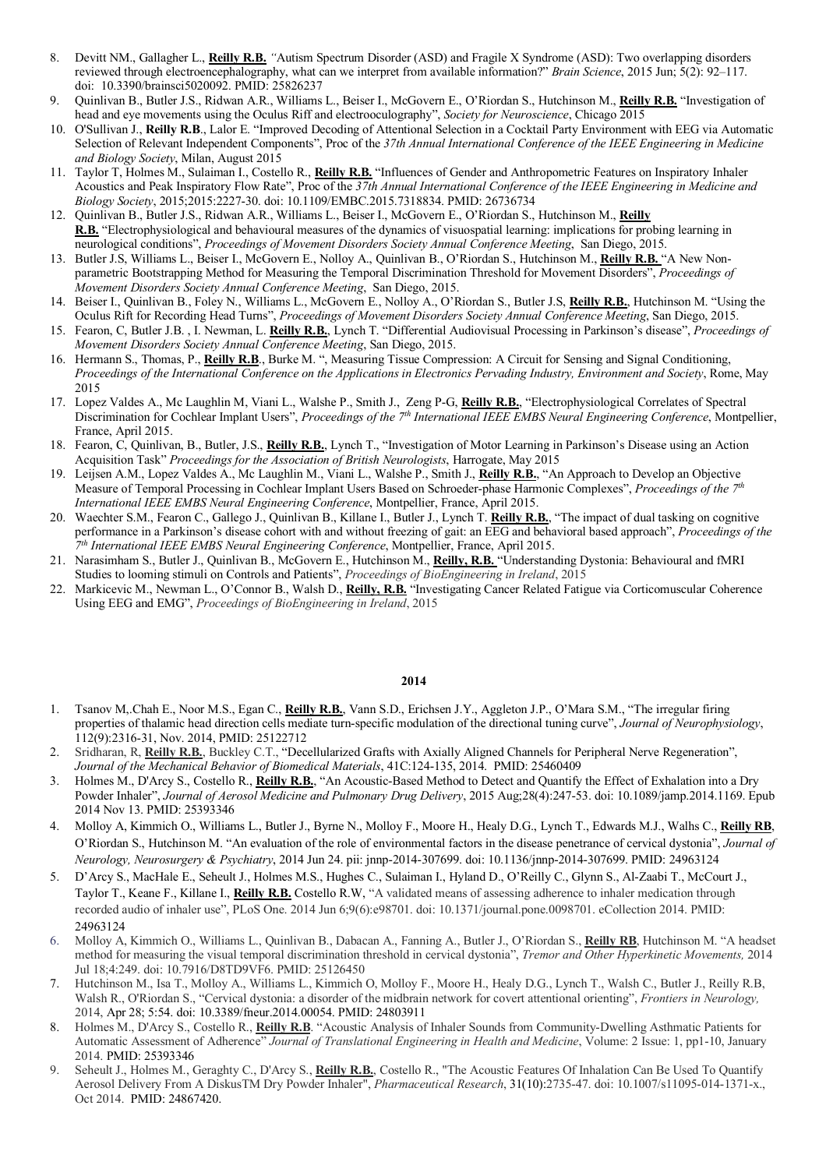- 8. Devitt NM., Gallagher L., **Reilly R.B.** *"*Autism Spectrum Disorder (ASD) and Fragile X Syndrome (ASD): Two overlapping disorders reviewed through electroencephalography, what can we interpret from available information?" *Brain Science*, 2015 Jun; 5(2): 92–117. doi: 10.3390/brainsci5020092. PMID: 25826237
- 9. Quinlivan B., Butler J.S., Ridwan A.R., Williams L., Beiser I., McGovern E., O'Riordan S., Hutchinson M., **Reilly R.B.** "Investigation of head and eye movements using the Oculus Riff and electrooculography", *Society for Neuroscience*, Chicago 2015
- 10. O'Sullivan J., **Reilly R.B**., Lalor E. "Improved Decoding of Attentional Selection in a Cocktail Party Environment with EEG via Automatic Selection of Relevant Independent Components", Proc of the *37th Annual International Conference of the IEEE Engineering in Medicine and Biology Society*, Milan, August 2015
- 11. Taylor T, Holmes M., Sulaiman I., Costello R., **Reilly R.B.** "Influences of Gender and Anthropometric Features on Inspiratory Inhaler Acoustics and Peak Inspiratory Flow Rate", Proc of the *37th Annual International Conference of the IEEE Engineering in Medicine and Biology Society*, 2015;2015:2227-30. doi: 10.1109/EMBC.2015.7318834. PMID: 26736734
- 12. Quinlivan B., Butler J.S., Ridwan A.R., Williams L., Beiser I., McGovern E., O'Riordan S., Hutchinson M., **Reilly R.B.** "Electrophysiological and behavioural measures of the dynamics of visuospatial learning: implications for probing learning in neurological conditions", *Proceedings of Movement Disorders Society Annual Conference Meeting*, San Diego, 2015.
- 13. Butler J.S, Williams L., Beiser I., McGovern E., Nolloy A., Quinlivan B., O'Riordan S., Hutchinson M., **Reilly R.B.** "A New Nonparametric Bootstrapping Method for Measuring the Temporal Discrimination Threshold for Movement Disorders", *Proceedings of Movement Disorders Society Annual Conference Meeting*, San Diego, 2015.
- 14. Beiser I., Quinlivan B., Foley N., Williams L., McGovern E., Nolloy A., O'Riordan S., Butler J.S, **Reilly R.B.**, Hutchinson M. "Using the Oculus Rift for Recording Head Turns", *Proceedings of Movement Disorders Society Annual Conference Meeting*, San Diego, 2015.
- 15. Fearon, C, Butler J.B. , I. Newman, L. **Reilly R.B.**, Lynch T. "Differential Audiovisual Processing in Parkinson's disease", *Proceedings of Movement Disorders Society Annual Conference Meeting*, San Diego, 2015.
- 16. Hermann S., Thomas, P., **Reilly R.B**., Burke M. ", Measuring Tissue Compression: A Circuit for Sensing and Signal Conditioning, *Proceedings of the International Conference on the Applications in Electronics Pervading Industry, Environment and Society*, Rome, May 2015
- 17. Lopez Valdes A., Mc Laughlin M, Viani L., Walshe P., Smith J., Zeng P-G, **Reilly R.B.**, "Electrophysiological Correlates of Spectral Discrimination for Cochlear Implant Users", *Proceedings of the 7th International IEEE EMBS Neural Engineering Conference*, Montpellier, France, April 2015.
- 18. Fearon, C, Quinlivan, B., Butler, J.S., **Reilly R.B.**, Lynch T., "Investigation of Motor Learning in Parkinson's Disease using an Action Acquisition Task" *Proceedings for the Association of British Neurologists*, Harrogate, May 2015
- 19. Leijsen A.M., Lopez Valdes A., Mc Laughlin M., Viani L., Walshe P., Smith J., **Reilly R.B.**, "An Approach to Develop an Objective Measure of Temporal Processing in Cochlear Implant Users Based on Schroeder-phase Harmonic Complexes", *Proceedings of the 7th International IEEE EMBS Neural Engineering Conference*, Montpellier, France, April 2015.
- 20. Waechter S.M., Fearon C., Gallego J., Quinlivan B., Killane I., Butler J., Lynch T. **Reilly R.B.**, "The impact of dual tasking on cognitive performance in a Parkinson's disease cohort with and without freezing of gait: an EEG and behavioral based approach", *Proceedings of the 7th International IEEE EMBS Neural Engineering Conference*, Montpellier, France, April 2015.
- 21. Narasimham S., Butler J., Quinlivan B., McGovern E., Hutchinson M., **Reilly, R.B.** "Understanding Dystonia: Behavioural and fMRI Studies to looming stimuli on Controls and Patients", *Proceedings of BioEngineering in Ireland*, 2015
- 22. Markicevic M., Newman L., O'Connor B., Walsh D., **Reilly, R.B.** "Investigating Cancer Related Fatigue via Corticomuscular Coherence Using EEG and EMG", *Proceedings of BioEngineering in Ireland*, 2015

- 1. Tsanov M,.Chah E., Noor M.S., Egan C., **Reilly R.B.**, Vann S.D., Erichsen J.Y., Aggleton J.P., O'Mara S.M., "The irregular firing properties of thalamic head direction cells mediate turn-specific modulation of the directional tuning curve", *Journal of Neurophysiology*, 112(9):2316-31, Nov. 2014, PMID: 25122712
- 2. Sridharan, R, **Reilly R.B.**, Buckley C.T., "Decellularized Grafts with Axially Aligned Channels for Peripheral Nerve Regeneration", *Journal of the Mechanical Behavior of Biomedical Materials*, 41C:124-135, 2014. PMID: 25460409
- 3. Holmes M., D'Arcy S., Costello R., **Reilly R.B.**, "An Acoustic-Based Method to Detect and Quantify the Effect of Exhalation into a Dry Powder Inhaler", *Journal of Aerosol Medicine and Pulmonary Drug Delivery*, 2015 Aug;28(4):247-53. doi: 10.1089/jamp.2014.1169. Epub 2014 Nov 13. PMID: 25393346
- 4. Molloy A, Kimmich O., Williams L., Butler J., Byrne N., Molloy F., Moore H., Healy D.G., Lynch T., Edwards M.J., Walhs C., **Reilly RB**, O'Riordan S., Hutchinson M. "An evaluation of the role of environmental factors in the disease penetrance of cervical dystonia", *Journal of Neurology, Neurosurgery & Psychiatry*, 2014 Jun 24. pii: jnnp-2014-307699. doi: 10.1136/jnnp-2014-307699. PMID: 24963124
- 5. D'Arcy S., MacHale E., Seheult J., Holmes M.S., Hughes C., Sulaiman I., Hyland D., O'Reilly C., Glynn S., Al-Zaabi T., McCourt J., Taylor T., Keane F., Killane I., **Reilly R.B.** Costello R.W, "A validated means of assessing adherence to inhaler medication through recorded audio of inhaler use", PLoS One. 2014 Jun 6;9(6):e98701. doi: 10.1371/journal.pone.0098701. eCollection 2014. PMID: 24963124
- 6. Molloy A, Kimmich O., Williams L., Quinlivan B., Dabacan A., Fanning A., Butler J., O'Riordan S., **Reilly RB**, Hutchinson M. "A headset method for measuring the visual temporal discrimination threshold in cervical dystonia", *Tremor and Other Hyperkinetic Movements,* 2014 Jul 18;4:249. doi: 10.7916/D8TD9VF6. PMID: 25126450
- 7. Hutchinson M., Isa T., Molloy A., Williams L., Kimmich O, Molloy F., Moore H., Healy D.G., Lynch T., Walsh C., Butler J., Reilly R.B, Walsh R., O'Riordan S., "Cervical dystonia: a disorder of the midbrain network for covert attentional orienting", *Frontiers in Neurology,*  2014, Apr 28; 5:54. doi: 10.3389/fneur.2014.00054. PMID: 24803911
- 8. Holmes M., D'Arcy S., Costello R., **Reilly R.B**. "Acoustic Analysis of Inhaler Sounds from Community-Dwelling Asthmatic Patients for Automatic Assessment of Adherence" *Journal of Translational Engineering in Health and Medicine*, Volume: 2 Issue: 1, pp1-10, January 2014. PMID: 25393346
- 9. Seheult J., Holmes M., Geraghty C., D'Arcy S., **Reilly R.B.**, Costello R., "The Acoustic Features Of Inhalation Can Be Used To Quantify Aerosol Delivery From A DiskusTM Dry Powder Inhaler", *Pharmaceutical Research*, 31(10):2735-47. doi: 10.1007/s11095-014-1371-x., Oct 2014. PMID: 24867420.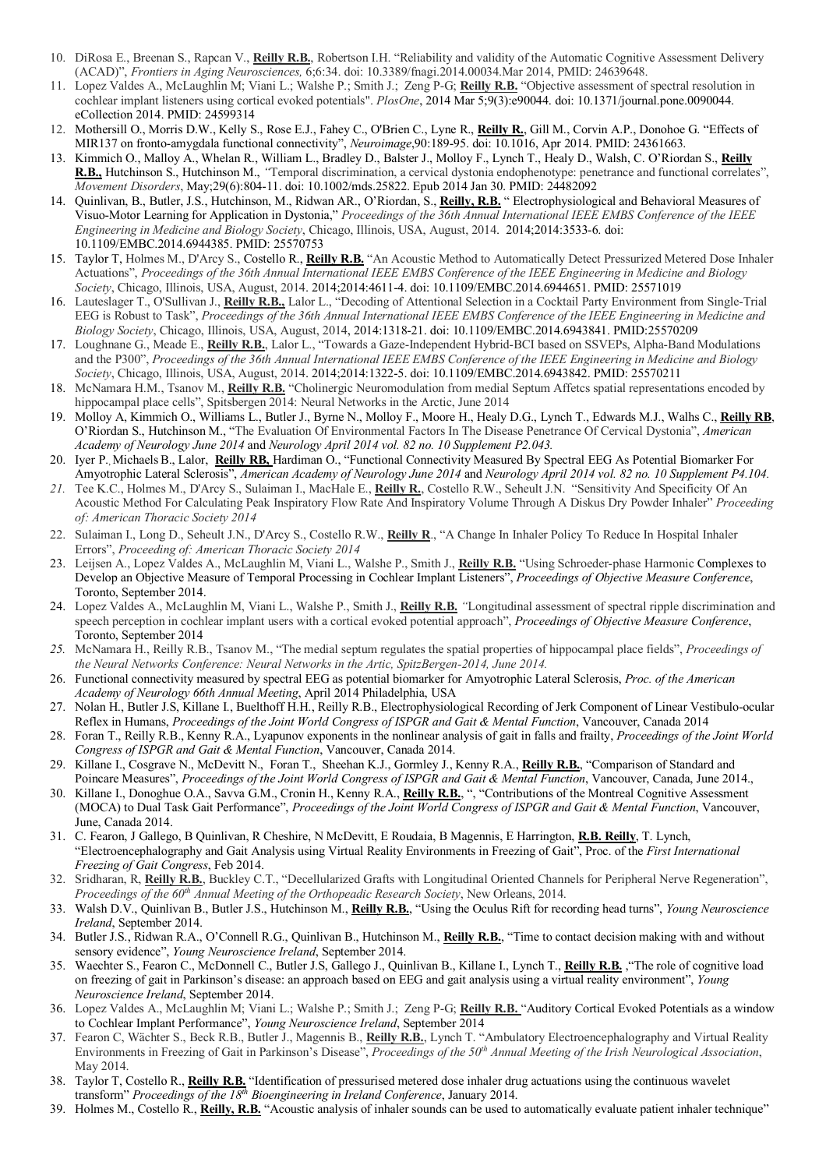- 10. DiRosa E., Breenan S., Rapcan V., **Reilly R.B.**, Robertson I.H. "Reliability and validity of the Automatic Cognitive Assessment Delivery (ACAD)", *Frontiers in Aging Neurosciences,* 6;6:34. doi: 10.3389/fnagi.2014.00034.Mar 2014, PMID: 24639648.
- 11. Lopez Valdes A., McLaughlin M; Viani L.; Walshe P.; Smith J.; Zeng P-G; **Reilly R.B.** "Objective assessment of spectral resolution in cochlear implant listeners using cortical evoked potentials". *PlosOne*, 2014 Mar 5;9(3):e90044. doi: 10.1371/journal.pone.0090044. eCollection 2014. PMID: 24599314
- 12. Mothersill O., Morris D.W., Kelly S., Rose E.J., Fahey C., O'Brien C., Lyne R., **Reilly R.**, Gill M., Corvin A.P., Donohoe G. "Effects of MIR137 on fronto-amygdala functional connectivity", *Neuroimage*,90:189-95. doi: 10.1016, Apr 2014. PMID: 24361663.
- 13. Kimmich O., Malloy A., Whelan R., William L., Bradley D., Balster J., Molloy F., Lynch T., Healy D., Walsh, C. O'Riordan S., **Reilly R.B.,** Hutchinson S., Hutchinson M., *"*Temporal discrimination, a cervical dystonia endophenotype: penetrance and functional correlates", *Movement Disorders*, May;29(6):804-11. doi: 10.1002/mds.25822. Epub 2014 Jan 30. PMID: 24482092
- 14. Quinlivan, B., Butler, J.S., Hutchinson, M., Ridwan AR., O'Riordan, S., **Reilly, R.B.** " Electrophysiological and Behavioral Measures of Visuo-Motor Learning for Application in Dystonia," *Proceedings of the 36th Annual International IEEE EMBS Conference of the IEEE Engineering in Medicine and Biology Society*, Chicago, Illinois, USA, August, 2014. 2014;2014:3533-6. doi: 10.1109/EMBC.2014.6944385. PMID: 25570753
- 15. Taylor T, Holmes M., D'Arcy S., Costello R., **Reilly R.B.** "An Acoustic Method to Automatically Detect Pressurized Metered Dose Inhaler Actuations", *Proceedings of the 36th Annual International IEEE EMBS Conference of the IEEE Engineering in Medicine and Biology Society*, Chicago, Illinois, USA, August, 2014. 2014;2014:4611-4. doi: 10.1109/EMBC.2014.6944651. PMID: 25571019
- 16. Lauteslager T., O'Sullivan J., **Reilly R.B.,** Lalor L., "Decoding of Attentional Selection in a Cocktail Party Environment from Single-Trial EEG is Robust to Task", *Proceedings of the 36th Annual International IEEE EMBS Conference of the IEEE Engineering in Medicine and Biology Society*, Chicago, Illinois, USA, August, 2014, 2014:1318-21. doi: 10.1109/EMBC.2014.6943841. PMID:25570209
- 17. Loughnane G., Meade E., **Reilly R.B.**, Lalor L., "Towards a Gaze-Independent Hybrid-BCI based on SSVEPs, Alpha-Band Modulations and the P300", *Proceedings of the 36th Annual International IEEE EMBS Conference of the IEEE Engineering in Medicine and Biology Society*, Chicago, Illinois, USA, August, 2014. 2014;2014:1322-5. doi: 10.1109/EMBC.2014.6943842. PMID: 25570211
- 18. McNamara H.M., Tsanov M., **Reilly R.B.** "Cholinergic Neuromodulation from medial Septum Affetcs spatial representations encoded by hippocampal place cells", Spitsbergen 2014: Neural Networks in the Arctic, June 2014
- 19. Molloy A, Kimmich O., Williams L., Butler J., Byrne N., Molloy F., Moore H., Healy D.G., Lynch T., Edwards M.J., Walhs C., **Reilly RB**, O'Riordan S., Hutchinson M., "The Evaluation Of Environmental Factors In The Disease Penetrance Of Cervical Dystonia", *American Academy of Neurology June 2014* and *Neurology April 2014 vol. 82 no. 10 Supplement P2.043.*
- 20. Iyer P., MichaelsB., Lalor, **Reilly RB,** Hardiman O., "Functional Connectivity Measured By Spectral EEG As Potential Biomarker For Amyotrophic Lateral Sclerosis", *American Academy of Neurology June 2014* and *Neurology April 2014 vol. 82 no. 10 Supplement P4.104.*
- *21.* Tee K.C., Holmes M., D'Arcy S., Sulaiman I., MacHale E., **Reilly R.**, Costello R.W., Seheult J.N. "Sensitivity And Specificity Of An Acoustic Method For Calculating Peak Inspiratory Flow Rate And Inspiratory Volume Through A Diskus Dry Powder Inhaler" *Proceeding of: American Thoracic Society 2014*
- 22. Sulaiman I., Long D., Seheult J.N., D'Arcy S., Costello R.W., **Reilly R**., "A Change In Inhaler Policy To Reduce In Hospital Inhaler Errors", *Proceeding of: American Thoracic Society 2014*
- 23. Leijsen A., Lopez Valdes A., McLaughlin M, Viani L., Walshe P., Smith J., **Reilly R.B.** "Using Schroeder-phase Harmonic Complexes to Develop an Objective Measure of Temporal Processing in Cochlear Implant Listeners", *Proceedings of Objective Measure Conference*, Toronto, September 2014.
- 24. Lopez Valdes A., McLaughlin M, Viani L., Walshe P., Smith J., **Reilly R.B.** *"*Longitudinal assessment of spectral ripple discrimination and speech perception in cochlear implant users with a cortical evoked potential approach", *Proceedings of Objective Measure Conference*, Toronto, September 2014
- *25.* McNamara H., Reilly R.B., Tsanov M., "The medial septum regulates the spatial properties of hippocampal place fields", *Proceedings of the Neural Networks Conference: Neural Networks in the Artic, SpitzBergen-2014, June 2014.*
- 26. Functional connectivity measured by spectral EEG as potential biomarker for Amyotrophic Lateral Sclerosis, *Proc. of the American Academy of Neurology 66th Annual Meeting*, April 2014 Philadelphia, USA
- 27. Nolan H., Butler J.S, Killane I., Buelthoff H.H., Reilly R.B., Electrophysiological Recording of Jerk Component of Linear Vestibulo-ocular Reflex in Humans, *Proceedings of the Joint World Congress of ISPGR and Gait & Mental Function*, Vancouver, Canada 2014
- 28. Foran T., Reilly R.B., Kenny R.A., Lyapunov exponents in the nonlinear analysis of gait in falls and frailty, *Proceedings of the Joint World Congress of ISPGR and Gait & Mental Function*, Vancouver, Canada 2014.
- 29. Killane I., Cosgrave N., McDevitt N., Foran T., Sheehan K.J., Gormley J., Kenny R.A., **Reilly R.B.**, "Comparison of Standard and Poincare Measures", *Proceedings of the Joint World Congress of ISPGR and Gait & Mental Function*, Vancouver, Canada, June 2014.,
- 30. Killane I., Donoghue O.A., Savva G.M., Cronin H., Kenny R.A., **Reilly R.B.**, ", "Contributions of the Montreal Cognitive Assessment (MOCA) to Dual Task Gait Performance", *Proceedings of the Joint World Congress of ISPGR and Gait & Mental Function*, Vancouver, June, Canada 2014.
- 31. C. Fearon, J Gallego, B Quinlivan, R Cheshire, N McDevitt, E Roudaia, B Magennis, E Harrington, **R.B. Reilly**, T. Lynch, "Electroencephalography and Gait Analysis using Virtual Reality Environments in Freezing of Gait", Proc. of the *First International Freezing of Gait Congress*, Feb 2014.
- 32. Sridharan, R, **Reilly R.B.**, Buckley C.T., "Decellularized Grafts with Longitudinal Oriented Channels for Peripheral Nerve Regeneration", *Proceedings of the 60th Annual Meeting of the Orthopeadic Research Society*, New Orleans, 2014.
- 33. Walsh D.V., Quinlivan B., Butler J.S., Hutchinson M., **Reilly R.B.**, "Using the Oculus Rift for recording head turns", *Young Neuroscience Ireland*, September 2014.
- 34. Butler J.S., Ridwan R.A., O'Connell R.G., Quinlivan B., Hutchinson M., **Reilly R.B.**, "Time to contact decision making with and without sensory evidence", *Young Neuroscience Ireland*, September 2014.
- 35. Waechter S., Fearon C., McDonnell C., Butler J.S, Gallego J., Quinlivan B., Killane I., Lynch T., **Reilly R.B.** ,"The role of cognitive load on freezing of gait in Parkinson's disease: an approach based on EEG and gait analysis using a virtual reality environment", *Young Neuroscience Ireland*, September 2014.
- 36. Lopez Valdes A., McLaughlin M; Viani L.; Walshe P.; Smith J.; Zeng P-G; **Reilly R.B.** "Auditory Cortical Evoked Potentials as a window to Cochlear Implant Performance", *Young Neuroscience Ireland*, September 2014
- 37. Fearon C, Wächter S., Beck R.B., Butler J., Magennis B., **Reilly R.B.**, Lynch T. "Ambulatory Electroencephalography and Virtual Reality Environments in Freezing of Gait in Parkinson's Disease", *Proceedings of the 50th Annual Meeting of the Irish Neurological Association*, May 2014.
- 38. Taylor T, Costello R., **Reilly R.B.** "Identification of pressurised metered dose inhaler drug actuations using the continuous wavelet transform" *Proceedings of the 18th Bioengineering in Ireland Conference*, January 2014.
- 39. Holmes M., Costello R., **Reilly, R.B.** "Acoustic analysis of inhaler sounds can be used to automatically evaluate patient inhaler technique"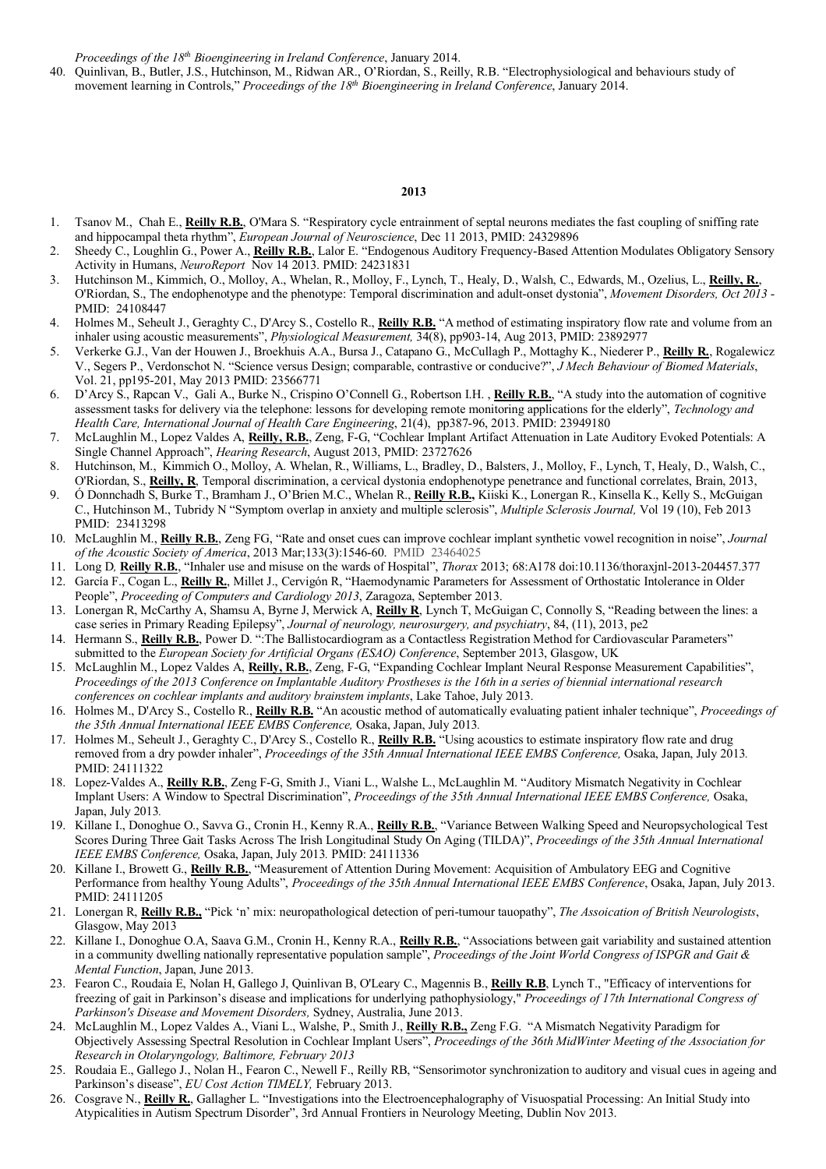*Proceedings of the 18th Bioengineering in Ireland Conference*, January 2014.

40. Quinlivan, B., Butler, J.S., Hutchinson, M., Ridwan AR., O'Riordan, S., Reilly, R.B. "Electrophysiological and behaviours study of movement learning in Controls," *Proceedings of the 18th Bioengineering in Ireland Conference*, January 2014.

- 1. Tsanov M., Chah E., **Reilly R.B.**, O'Mara S. "Respiratory cycle entrainment of septal neurons mediates the fast coupling of sniffing rate and hippocampal theta rhythm", *European Journal of Neuroscience*, Dec 11 2013, PMID: 24329896
- 2. Sheedy C., Loughlin G., Power A., **Reilly R.B.**, Lalor E. "Endogenous Auditory Frequency-Based Attention Modulates Obligatory Sensory Activity in Humans, *NeuroReport* Nov 14 2013. PMID: 24231831
- 3. Hutchinson M., Kimmich, O., Molloy, A., Whelan, R., Molloy, F., Lynch, T., Healy, D., Walsh, C., Edwards, M., Ozelius, L., **Reilly, R.**, O'Riordan, S., The endophenotype and the phenotype: Temporal discrimination and adult-onset dystonia", *Movement Disorders, Oct 2013* - PMID: 24108447
- 4. Holmes M., Seheult J., Geraghty C., D'Arcy S., Costello R., **Reilly R.B.** "A method of estimating inspiratory flow rate and volume from an inhaler using acoustic measurements", *Physiological Measurement,* 34(8), pp903-14, Aug 2013, PMID: 23892977
- 5. Verkerke G.J., Van der Houwen J., Broekhuis A.A., Bursa J., Catapano G., McCullagh P., Mottaghy K., Niederer P., **Reilly R.**, Rogalewicz V., Segers P., Verdonschot N. "Science versus Design; comparable, contrastive or conducive?", *J Mech Behaviour of Biomed Materials*, Vol. 21, pp195-201, May 2013 PMID: 23566771
- 6. D'Arcy S., Rapcan V., Gali A., Burke N., Crispino O'Connell G., Robertson I.H. , **Reilly R.B.**, "A study into the automation of cognitive assessment tasks for delivery via the telephone: lessons for developing remote monitoring applications for the elderly", *Technology and Health Care, International Journal of Health Care Engineering*, 21(4), pp387-96, 2013. PMID: 23949180
- 7. McLaughlin M., Lopez Valdes A, **Reilly, R.B.**, Zeng, F-G, "Cochlear Implant Artifact Attenuation in Late Auditory Evoked Potentials: A Single Channel Approach", *Hearing Research*, August 2013, PMID: 23727626
- 8. Hutchinson, M., Kimmich O., Molloy, A. Whelan, R., Williams, L., Bradley, D., Balsters, J., Molloy, F., Lynch, T, Healy, D., Walsh, C., O'Riordan, S., **Reilly, R**, Temporal discrimination, a cervical dystonia endophenotype penetrance and functional correlates, Brain, 2013,
- 9. Ó Donnchadh S, Burke T., Bramham J., O'Brien M.C., Whelan R., **Reilly R.B.,** Kiiski K., Lonergan R., Kinsella K., Kelly S., McGuigan C., Hutchinson M., Tubridy N "Symptom overlap in anxiety and multiple sclerosis", *Multiple Sclerosis Journal,* Vol 19 (10), Feb 2013 PMID: 23413298
- 10. McLaughlin M., **Reilly R.B.**, Zeng FG, "Rate and onset cues can improve cochlear implant synthetic vowel recognition in noise", *Journal of the Acoustic Society of America*, 2013 Mar;133(3):1546-60. PMID 23464025
- 11. Long D*,* **Reilly R.B.**, "Inhaler use and misuse on the wards of Hospital", *Thorax* 2013; 68:A178 doi:10.1136/thoraxjnl-2013-204457.377
- 12. García F., Cogan L., **Reilly R.**, Millet J., Cervigón R, "Haemodynamic Parameters for Assessment of Orthostatic Intolerance in Older People", *Proceeding of Computers and Cardiology 2013*, Zaragoza, September 2013.
- 13. Lonergan R, McCarthy A, Shamsu A, Byrne J, Merwick A, **Reilly R**, Lynch T, McGuigan C, Connolly S, "Reading between the lines: a case series in Primary Reading Epilepsy", *Journal of neurology, neurosurgery, and psychiatry*, 84, (11), 2013, pe2
- 14. Hermann S., **Reilly R.B.**, Power D. ":The Ballistocardiogram as a Contactless Registration Method for Cardiovascular Parameters" submitted to the *European Society for Artificial Organs (ESAO) Conference*, September 2013, Glasgow, UK
- 15. McLaughlin M., Lopez Valdes A, **Reilly, R.B.**, Zeng, F-G, "Expanding Cochlear Implant Neural Response Measurement Capabilities", *Proceedings of the 2013 Conference on Implantable Auditory Prostheses is the 16th in a series of biennial international research conferences on cochlear implants and auditory brainstem implants*, Lake Tahoe, July 2013.
- 16. Holmes M., D'Arcy S., Costello R., **Reilly R.B.** "An acoustic method of automatically evaluating patient inhaler technique", *Proceedings of the 35th Annual International IEEE EMBS Conference,* Osaka, Japan, July 2013*.*
- 17. Holmes M., Seheult J., Geraghty C., D'Arcy S., Costello R., **Reilly R.B.** "Using acoustics to estimate inspiratory flow rate and drug removed from a dry powder inhaler", *Proceedings of the 35th Annual International IEEE EMBS Conference,* Osaka, Japan, July 2013*.*  PMID: 24111322
- 18. Lopez-Valdes A., **Reilly R.B.**, Zeng F-G, Smith J., Viani L., Walshe L., McLaughlin M. "Auditory Mismatch Negativity in Cochlear Implant Users: A Window to Spectral Discrimination", *Proceedings of the 35th Annual International IEEE EMBS Conference,* Osaka, Japan, July 2013*.*
- 19. Killane I., Donoghue O., Savva G., Cronin H., Kenny R.A., **Reilly R.B.**, "Variance Between Walking Speed and Neuropsychological Test Scores During Three Gait Tasks Across The Irish Longitudinal Study On Aging (TILDA)", *Proceedings of the 35th Annual International IEEE EMBS Conference,* Osaka, Japan, July 2013*.* PMID: 24111336
- 20. Killane I., Browett G., **Reilly R.B.**, "Measurement of Attention During Movement: Acquisition of Ambulatory EEG and Cognitive Performance from healthy Young Adults", *Proceedings of the 35th Annual International IEEE EMBS Conference*, Osaka, Japan, July 2013. PMID: 24111205
- 21. Lonergan R, **Reilly R.B.,** "Pick 'n' mix: neuropathological detection of peri-tumour tauopathy", *The Assoication of British Neurologists*, Glasgow, May 2013
- 22. Killane I., Donoghue O.A, Saava G.M., Cronin H., Kenny R.A., **Reilly R.B.**, "Associations between gait variability and sustained attention in a community dwelling nationally representative population sample", *Proceedings of the Joint World Congress of ISPGR and Gait & Mental Function*, Japan, June 2013.
- 23. Fearon C., Roudaia E, Nolan H, Gallego J, Quinlivan B, O'Leary C., Magennis B., **Reilly R.B**, Lynch T., "Efficacy of interventions for freezing of gait in Parkinson's disease and implications for underlying pathophysiology," *Proceedings of 17th International Congress of Parkinson's Disease and Movement Disorders,* Sydney, Australia, June 2013.
- 24. McLaughlin M., Lopez Valdes A., Viani L., Walshe, P., Smith J., **Reilly R.B.,** Zeng F.G. "A Mismatch Negativity Paradigm for Objectively Assessing Spectral Resolution in Cochlear Implant Users", *Proceedings of the 36th MidWinter Meeting of the Association for Research in Otolaryngology, Baltimore, February 2013*
- 25. Roudaia E., Gallego J., Nolan H., Fearon C., Newell F., Reilly RB, "Sensorimotor synchronization to auditory and visual cues in ageing and Parkinson's disease", *EU Cost Action TIMELY,* February 2013.
- 26. Cosgrave N., **Reilly R.**, Gallagher L. "Investigations into the Electroencephalography of Visuospatial Processing: An Initial Study into Atypicalities in Autism Spectrum Disorder", 3rd Annual Frontiers in Neurology Meeting, Dublin Nov 2013.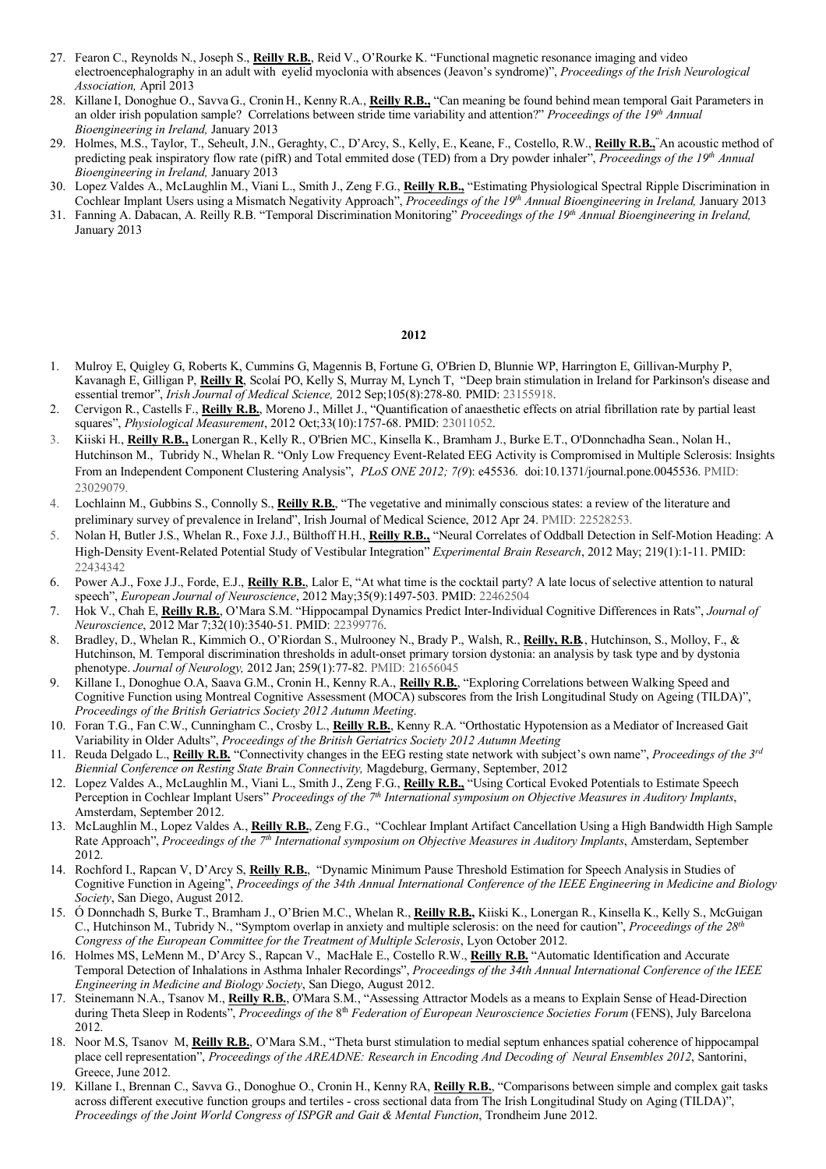- 27. Fearon C., Reynolds N., Joseph S., **Reilly R.B.**, Reid V., O'Rourke K. "Functional magnetic resonance imaging and video electroencephalography in an adult with eyelid myoclonia with absences (Jeavon's syndrome)", *Proceedings of the Irish Neurological Association,* April 2013
- 28. Killane I, Donoghue O., Savva G., Cronin H., KennyR.A., **Reilly R.B.,** "Can meaning be found behind mean temporal Gait Parameters in an older irish population sample? Correlations between stride time variability and attention?" *Proceedings of the 19th Annual Bioengineering in Ireland,* January 2013
- 29. Holmes, M.S., Taylor, T., Seheult, J.N., Geraghty, C., D'Arcy, S., Kelly, E., Keane, F., Costello, R.W., **Reilly R.B.,**" An acoustic method of predicting peak inspiratory flow rate (pifR) and Total emmited dose (TED) from a Dry powder inhaler", *Proceedings of the 19th Annual Bioengineering in Ireland,* January 2013
- 30. Lopez Valdes A., McLaughlin M., Viani L., Smith J., Zeng F.G., **Reilly R.B.,** "Estimating Physiological Spectral Ripple Discrimination in Cochlear Implant Users using a Mismatch Negativity Approach", *Proceedings of the 19th Annual Bioengineering in Ireland,* January 2013
- 31. Fanning A. Dabacan, A. Reilly R.B. "Temporal Discrimination Monitoring" *Proceedings of the 19th Annual Bioengineering in Ireland,*  January 2013

- 1. Mulroy E, Quigley G, Roberts K, Cummins G, Magennis B, Fortune G, O'Brien D, Blunnie WP, Harrington E, Gillivan-Murphy P, Kavanagh E, Gilligan P, **Reilly R**, Scolaí PO, Kelly S, Murray M, Lynch T, "Deep brain stimulation in Ireland for Parkinson's disease and essential tremor", *Irish Journal of Medical Science,* 2012 Sep;105(8):278-80. PMID: 23155918.
- 2. Cervigon R., Castells F., **Reilly R.B.**, Moreno J., Millet J., "Quantification of anaesthetic effects on atrial fibrillation rate by partial least squares", *Physiological Measurement*, 2012 Oct;33(10):1757-68. PMID: 23011052.
- 3. Kiiski H., **Reilly R.B.,** Lonergan R., Kelly R., O'Brien MC., Kinsella K., Bramham J., Burke E.T., O'Donnchadha Sean., Nolan H., Hutchinson M., Tubridy N., Whelan R. "Only Low Frequency Event-Related EEG Activity is Compromised in Multiple Sclerosis: Insights From an Independent Component Clustering Analysis", *PLoS ONE 2012; 7(9*): e45536. doi:10.1371/journal.pone.0045536. PMID: 23029079.
- 4. Lochlainn M., Gubbins S., Connolly S., **Reilly R.B.**, "The vegetative and minimally conscious states: a review of the literature and preliminary survey of prevalence in Ireland", Irish Journal of Medical Science, 2012 Apr 24. PMID: 22528253.
- 5. Nolan H, Butler J.S., Whelan R., Foxe J.J., Bülthoff H.H., **Reilly R.B.,** "Neural Correlates of Oddball Detection in Self-Motion Heading: A High-Density Event-Related Potential Study of Vestibular Integration" *Experimental Brain Research*, 2012 May; 219(1):1-11. PMID: 22434342
- 6. Power A.J., Foxe J.J., Forde, E.J., **Reilly R.B.**, Lalor E, "At what time is the cocktail party? A late locus of selective attention to natural speech", *European Journal of Neuroscience*, 2012 May;35(9):1497-503. PMID: 22462504
- 7. Hok V., Chah E, **Reilly R.B.**, O'Mara S.M. "Hippocampal Dynamics Predict Inter-Individual Cognitive Differences in Rats", *Journal of Neuroscience*, 2012 Mar 7;32(10):3540-51. PMID: 22399776.
- 8. Bradley, D., Whelan R., Kimmich O., O'Riordan S., Mulrooney N., Brady P., Walsh, R., **Reilly, R.B***.*, Hutchinson, S., Molloy, F., & Hutchinson, M. Temporal discrimination thresholds in adult-onset primary torsion dystonia: an analysis by task type and by dystonia phenotype. *Journal of Neurology,* 2012 Jan; 259(1):77-82. PMID: 21656045
- 9. Killane I., Donoghue O.A, Saava G.M., Cronin H., Kenny R.A., **Reilly R.B.**, "Exploring Correlations between Walking Speed and Cognitive Function using Montreal Cognitive Assessment (MOCA) subscores from the Irish Longitudinal Study on Ageing (TILDA)", *Proceedings of the British Geriatrics Society 2012 Autumn Meeting*.
- 10. Foran T.G., Fan C.W., Cunningham C., Crosby L., **Reilly R.B.**, Kenny R.A. "Orthostatic Hypotension as a Mediator of Increased Gait Variability in Older Adults", *Proceedings of the British Geriatrics Society 2012 Autumn Meeting*
- 11. Reuda Delgado L., **Reilly R.B.** "Connectivity changes in the EEG resting state network with subject's own name", *Proceedings of the 3rd Biennial Conference on Resting State Brain Connectivity,* Magdeburg, Germany, September, 2012
- 12. Lopez Valdes A., McLaughlin M., Viani L., Smith J., Zeng F.G., **Reilly R.B.,** "Using Cortical Evoked Potentials to Estimate Speech Perception in Cochlear Implant Users" *Proceedings of the 7th International symposium on Objective Measures in Auditory Implants*, Amsterdam, September 2012.
- 13. McLaughlin M., Lopez Valdes A., **Reilly R.B.**, Zeng F.G., "Cochlear Implant Artifact Cancellation Using a High Bandwidth High Sample Rate Approach", *Proceedings of the 7th International symposium on Objective Measures in Auditory Implants*, Amsterdam, September 2012.
- 14. Rochford I., Rapcan V, D'Arcy S, **Reilly R.B.**, "Dynamic Minimum Pause Threshold Estimation for Speech Analysis in Studies of Cognitive Function in Ageing", *Proceedings of the 34th Annual International Conference of the IEEE Engineering in Medicine and Biology Society*, San Diego, August 2012.
- 15. Ó Donnchadh S, Burke T., Bramham J., O'Brien M.C., Whelan R., **Reilly R.B.,** Kiiski K., Lonergan R., Kinsella K., Kelly S., McGuigan C., Hutchinson M., Tubridy N., "Symptom overlap in anxiety and multiple sclerosis: on the need for caution", *Proceedings of the 28th Congress of the European Committee for the Treatment of Multiple Sclerosis*, Lyon October 2012.
- 16. Holmes MS, LeMenn M., D'Arcy S., Rapcan V., MacHale E., Costello R.W., **Reilly R.B.** "Automatic Identification and Accurate Temporal Detection of Inhalations in Asthma Inhaler Recordings", *Proceedings of the 34th Annual International Conference of the IEEE Engineering in Medicine and Biology Society*, San Diego, August 2012.
- 17. Steinemann N.A., Tsanov M., **Reilly R.B.**, O'Mara S.M., "Assessing Attractor Models as a means to Explain Sense of Head-Direction during Theta Sleep in Rodents", *Proceedings of the* 8<sup>th</sup> *Federation of European Neuroscience Societies Forum* (FENS), July Barcelona 2012.
- 18. Noor M.S, Tsanov M, **Reilly R.B.**, O'Mara S.M., "Theta burst stimulation to medial septum enhances spatial coherence of hippocampal place cell representation", *Proceedings of the AREADNE: Research in Encoding And Decoding of Neural Ensembles 2012*, Santorini, Greece, June 2012.
- 19. Killane I., Brennan C., Savva G., Donoghue O., Cronin H., Kenny RA, **Reilly R.B.**, "Comparisons between simple and complex gait tasks across different executive function groups and tertiles - cross sectional data from The Irish Longitudinal Study on Aging (TILDA)", *Proceedings of the Joint World Congress of ISPGR and Gait & Mental Function*, Trondheim June 2012.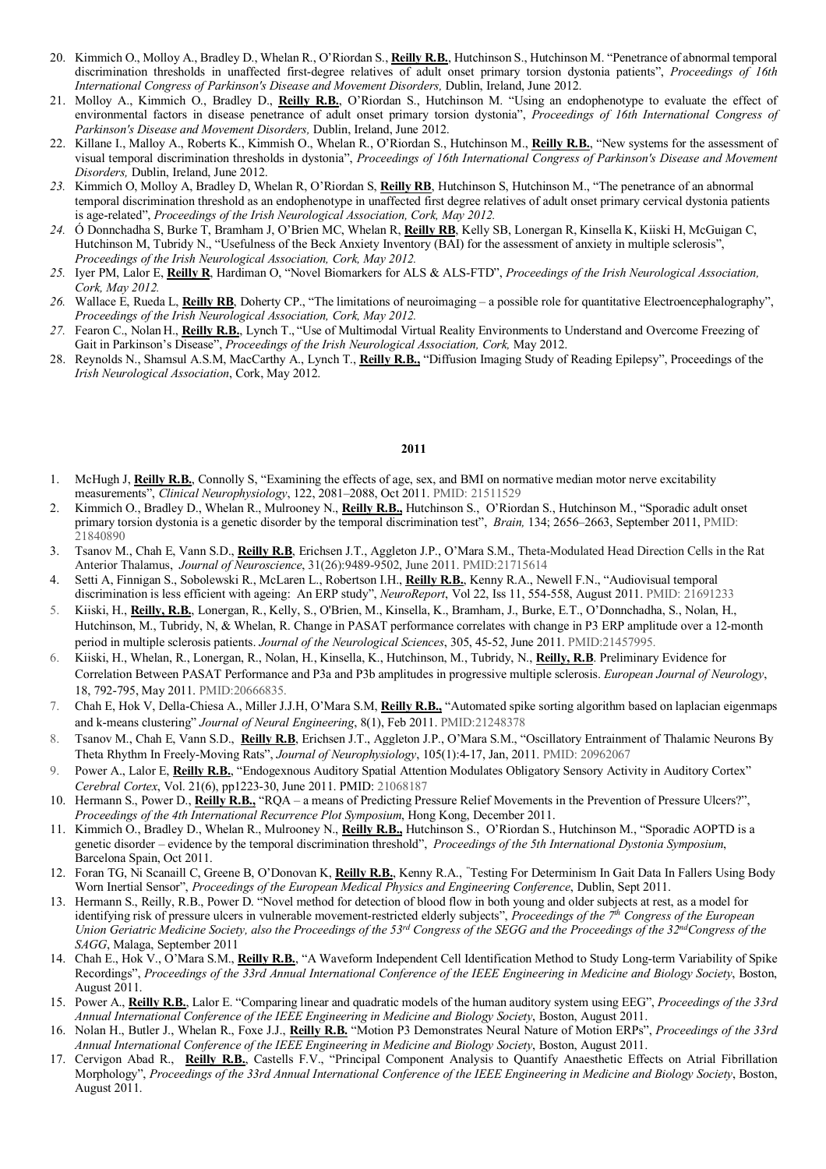- 20. Kimmich O., Molloy A., Bradley D., Whelan R., O'Riordan S., **Reilly R.B.**, Hutchinson S., Hutchinson M. "Penetrance of abnormal temporal discrimination thresholds in unaffected first-degree relatives of adult onset primary torsion dystonia patients", *Proceedings of 16th International Congress of Parkinson's Disease and Movement Disorders,* Dublin, Ireland, June 2012.
- 21. Molloy A., Kimmich O., Bradley D., **Reilly R.B.**, O'Riordan S., Hutchinson M. "Using an endophenotype to evaluate the effect of environmental factors in disease penetrance of adult onset primary torsion dystonia", *Proceedings of 16th International Congress of Parkinson's Disease and Movement Disorders,* Dublin, Ireland, June 2012.
- 22. Killane I., Malloy A., Roberts K., Kimmish O., Whelan R., O'Riordan S., Hutchinson M., **Reilly R.B.**, "New systems for the assessment of visual temporal discrimination thresholds in dystonia", *Proceedings of 16th International Congress of Parkinson's Disease and Movement Disorders,* Dublin, Ireland, June 2012.
- *23.* Kimmich O, Molloy A, Bradley D, Whelan R, O'Riordan S, **Reilly RB**, Hutchinson S, Hutchinson M., "The penetrance of an abnormal temporal discrimination threshold as an endophenotype in unaffected first degree relatives of adult onset primary cervical dystonia patients is age-related", *Proceedings of the Irish Neurological Association, Cork, May 2012.*
- *24.* Ó Donnchadha S, Burke T, Bramham J, O'Brien MC, Whelan R, **Reilly RB**, Kelly SB, Lonergan R, Kinsella K, Kiiski H, McGuigan C, Hutchinson M, Tubridy N., "Usefulness of the Beck Anxiety Inventory (BAI) for the assessment of anxiety in multiple sclerosis", *Proceedings of the Irish Neurological Association, Cork, May 2012.*
- *25.* Iyer PM, Lalor E, **Reilly R**, Hardiman O, "Novel Biomarkers for ALS & ALS-FTD", *Proceedings of the Irish Neurological Association, Cork, May 2012.*
- *26.* Wallace E, Rueda L, **Reilly RB**, Doherty CP., "The limitations of neuroimaging a possible role for quantitative Electroencephalography", *Proceedings of the Irish Neurological Association, Cork, May 2012.*
- *27.* Fearon C., Nolan H., **Reilly R.B.**, Lynch T., "Use of Multimodal Virtual Reality Environments to Understand and Overcome Freezing of Gait in Parkinson's Disease", *Proceedings of the Irish Neurological Association, Cork*, May 2012.
- 28. Reynolds N., Shamsul A.S.M, MacCarthy A., Lynch T., **Reilly R.B.,** "Diffusion Imaging Study of Reading Epilepsy", Proceedings of the *Irish Neurological Association*, Cork, May 2012.

- 1. McHugh J, **Reilly R.B.**, Connolly S, "Examining the effects of age, sex, and BMI on normative median motor nerve excitability measurements", *Clinical Neurophysiology*, 122, 2081–2088, Oct 2011. PMID: 21511529
- 2. Kimmich O., Bradley D., Whelan R., Mulrooney N., **Reilly R.B.,** Hutchinson S., O'Riordan S., Hutchinson M., "Sporadic adult onset primary torsion dystonia is a genetic disorder by the temporal discrimination test", *Brain,* 134; 2656–2663, September 2011, PMID: 21840890
- 3. Tsanov M., Chah E, Vann S.D., **Reilly R.B**, Erichsen J.T., Aggleton J.P., O'Mara S.M., Theta-Modulated Head Direction Cells in the Rat Anterior Thalamus, *Journal of Neuroscience*, 31(26):9489-9502, June 2011. PMID:21715614
- 4. Setti A, Finnigan S., Sobolewski R., McLaren L., Robertson I.H., **Reilly R.B.**, Kenny R.A., Newell F.N., "Audiovisual temporal discrimination is less efficient with ageing: An ERP study", *NeuroReport*, Vol 22, Iss 11, 554-558, August 2011. PMID: 21691233
- 5. Kiiski, H., **Reilly, R.B.**, Lonergan, R., Kelly, S., O'Brien, M., Kinsella, K., Bramham, J., Burke, E.T., O'Donnchadha, S., Nolan, H., Hutchinson, M., Tubridy, N, & Whelan, R. Change in PASAT performance correlates with change in P3 ERP amplitude over a 12-month period in multiple sclerosis patients. *Journal of the Neurological Sciences*, 305, 45-52, June 2011. PMID:21457995.
- 6. Kiiski, H., Whelan, R., Lonergan, R., Nolan, H., Kinsella, K., Hutchinson, M., Tubridy, N., **Reilly, R.B**. Preliminary Evidence for Correlation Between PASAT Performance and P3a and P3b amplitudes in progressive multiple sclerosis. *European Journal of Neurology*, 18, 792-795, May 2011. PMID:20666835.
- 7. Chah E, Hok V, Della-Chiesa A., Miller J.J.H, O'Mara S.M, **Reilly R.B.,** "Automated spike sorting algorithm based on laplacian eigenmaps and k-means clustering" *Journal of Neural Engineering*, 8(1), Feb 2011. PMID:21248378
- 8. Tsanov M., Chah E, Vann S.D., **Reilly R.B**, Erichsen J.T., Aggleton J.P., O'Mara S.M., "Oscillatory Entrainment of Thalamic Neurons By Theta Rhythm In Freely-Moving Rats", *Journal of Neurophysiology*, 105(1):4-17, Jan, 2011. PMID: 20962067
- 9. Power A., Lalor E, **Reilly R.B.**, "Endogexnous Auditory Spatial Attention Modulates Obligatory Sensory Activity in Auditory Cortex" *Cerebral Cortex*, Vol. 21(6), pp1223-30, June 2011. PMID: 21068187
- 10. Hermann S., Power D., **Reilly R.B.,** "RQA a means of Predicting Pressure Relief Movements in the Prevention of Pressure Ulcers?", *Proceedings of the 4th International Recurrence Plot Symposium*, Hong Kong, December 2011.
- 11. Kimmich O., Bradley D., Whelan R., Mulrooney N., **Reilly R.B.,** Hutchinson S., O'Riordan S., Hutchinson M., "Sporadic AOPTD is a genetic disorder – evidence by the temporal discrimination threshold", *Proceedings of the 5th International Dystonia Symposium*, Barcelona Spain, Oct 2011.
- 12. Foran TG, Ni Scanaill C, Greene B, O'Donovan K, **Reilly R.B.**, Kenny R.A., " Testing For Determinism In Gait Data In Fallers Using Body Worn Inertial Sensor", *Proceedings of the European Medical Physics and Engineering Conference*, Dublin, Sept 2011.
- 13. Hermann S., Reilly, R.B., Power D. "Novel method for detection of blood flow in both young and older subjects at rest, as a model for identifying risk of pressure ulcers in vulnerable movement-restricted elderly subjects", *Proceedings of the 7th Congress of the European Union Geriatric Medicine Society, also the Proceedings of the 53<sup>rd</sup> Congress of the SEGG and the Proceedings of the 32<sup>nd</sup>Congress of the SAGG*, Malaga, September 2011
- 14. Chah E., Hok V., O'Mara S.M., **Reilly R.B.**, "A Waveform Independent Cell Identification Method to Study Long-term Variability of Spike Recordings", *Proceedings of the 33rd Annual International Conference of the IEEE Engineering in Medicine and Biology Society*, Boston, August 2011.
- 15. Power A., **Reilly R.B.**, Lalor E. "Comparing linear and quadratic models of the human auditory system using EEG", *Proceedings of the 33rd Annual International Conference of the IEEE Engineering in Medicine and Biology Society*, Boston, August 2011.
- 16. Nolan H., Butler J., Whelan R., Foxe J.J., **Reilly R.B.** "Motion P3 Demonstrates Neural Nature of Motion ERPs", *Proceedings of the 33rd Annual International Conference of the IEEE Engineering in Medicine and Biology Society*, Boston, August 2011.
- 17. Cervigon Abad R., **Reilly R.B.**, Castells F.V., "Principal Component Analysis to Quantify Anaesthetic Effects on Atrial Fibrillation Morphology", *Proceedings of the 33rd Annual International Conference of the IEEE Engineering in Medicine and Biology Society*, Boston, August 2011.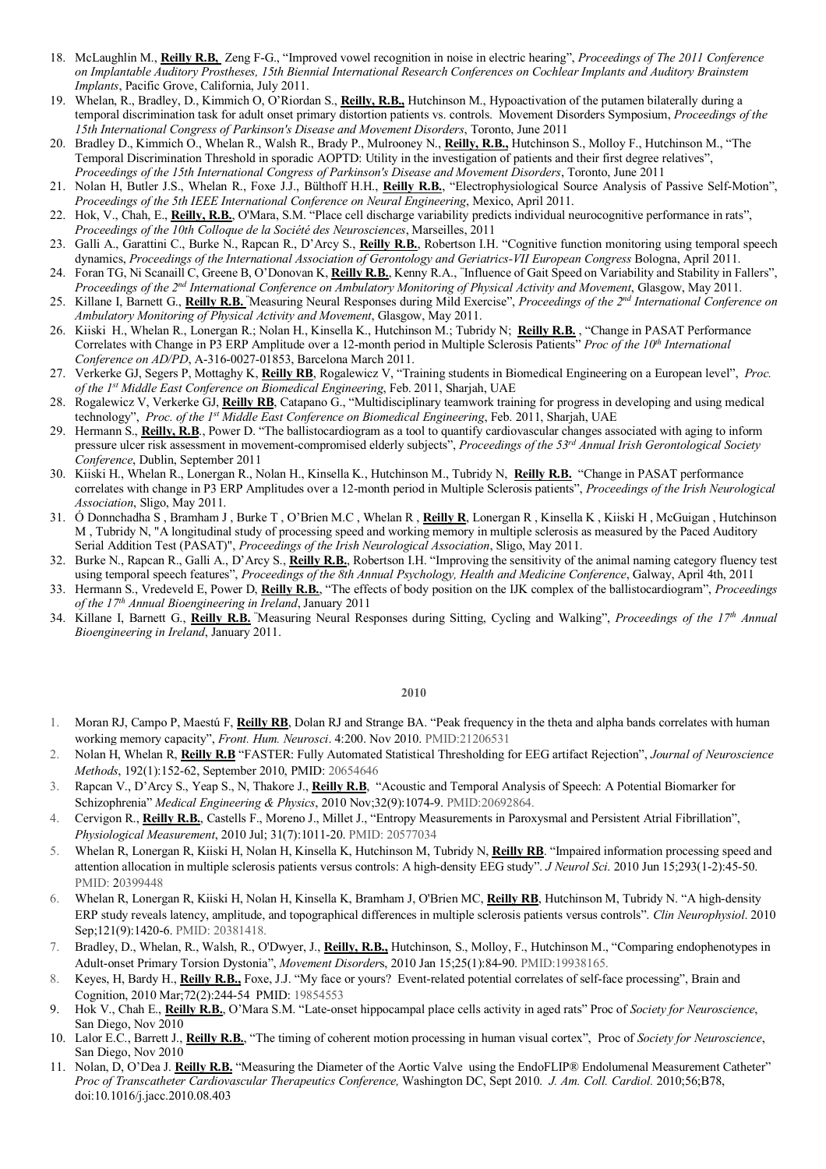- 18. McLaughlin M., **Reilly R.B,** Zeng F-G., "Improved vowel recognition in noise in electric hearing", *Proceedings of The 2011 Conference on Implantable Auditory Prostheses, 15th Biennial International Research Conferences on Cochlear Implants and Auditory Brainstem Implants*, Pacific Grove, California, July 2011.
- 19. Whelan, R., Bradley, D., Kimmich O, O'Riordan S., **Reilly, R.B.,** Hutchinson M., Hypoactivation of the putamen bilaterally during a temporal discrimination task for adult onset primary distortion patients vs. controls. Movement Disorders Symposium, *Proceedings of the 15th International Congress of Parkinson's Disease and Movement Disorders*, Toronto, June 2011
- 20. Bradley D., Kimmich O., Whelan R., Walsh R., Brady P., Mulrooney N., **Reilly, R.B.,** Hutchinson S., Molloy F., Hutchinson M., "The Temporal Discrimination Threshold in sporadic AOPTD: Utility in the investigation of patients and their first degree relatives", *Proceedings of the 15th International Congress of Parkinson's Disease and Movement Disorders*, Toronto, June 2011
- 21. Nolan H, Butler J.S., Whelan R., Foxe J.J., Bülthoff H.H., **Reilly R.B.**, "Electrophysiological Source Analysis of Passive Self-Motion", *Proceedings of the 5th IEEE International Conference on Neural Engineering*, Mexico, April 2011.
- 22. Hok, V., Chah, E., **Reilly, R.B.**, O'Mara, S.M. "Place cell discharge variability predicts individual neurocognitive performance in rats", *Proceedings of the 10th Colloque de la Société des Neurosciences*, Marseilles, 2011
- 23. Galli A., Garattini C., Burke N., Rapcan R., D'Arcy S., **Reilly R.B.**, Robertson I.H. "Cognitive function monitoring using temporal speech dynamics, *Proceedings of the International Association of Gerontology and Geriatrics-VII European Congress* Bologna, April 2011.
- 24. Foran TG, Ni Scanaill C, Greene B, O'Donovan K, **Reilly R.B.**, Kenny R.A., " Influence of Gait Speed on Variability and Stability in Fallers", *Proceedings of the 2nd International Conference on Ambulatory Monitoring of Physical Activity and Movement*, Glasgow, May 2011.
- 25. Killane I, Barnett G., **Reilly R.B.** " Measuring Neural Responses during Mild Exercise", *Proceedings of the 2nd International Conference on Ambulatory Monitoring of Physical Activity and Movement*, Glasgow, May 2011.
- 26. Kiiski H., Whelan R., Lonergan R.; Nolan H., Kinsella K., Hutchinson M.; Tubridy N; **Reilly R.B.** , "Change in PASAT Performance Correlates with Change in P3 ERP Amplitude over a 12-month period in Multiple Sclerosis Patients" *Proc of the 10<sup>th</sup> International Conference on AD/PD*, A-316-0027-01853, Barcelona March 2011.
- 27. Verkerke GJ, Segers P, Mottaghy K, **Reilly RB**, Rogalewicz V, "Training students in Biomedical Engineering on a European level", *Proc. of the 1st Middle East Conference on Biomedical Engineering*, Feb. 2011, Sharjah, UAE
- 28. Rogalewicz V, Verkerke GJ, **Reilly RB**, Catapano G., "Multidisciplinary teamwork training for progress in developing and using medical technology", *Proc. of the 1st Middle East Conference on Biomedical Engineering*, Feb. 2011, Sharjah, UAE
- 29. Hermann S., **Reilly, R.B**., Power D. "The ballistocardiogram as a tool to quantify cardiovascular changes associated with aging to inform pressure ulcer risk assessment in movement-compromised elderly subjects", *Proceedings of the 53rd Annual Irish Gerontological Society Conference*, Dublin, September 2011
- 30. Kiiski H., Whelan R., Lonergan R., Nolan H., Kinsella K., Hutchinson M., Tubridy N, **Reilly R.B.** "Change in PASAT performance correlates with change in P3 ERP Amplitudes over a 12-month period in Multiple Sclerosis patients", *Proceedings of the Irish Neurological Association*, Sligo, May 2011.
- 31. Ó Donnchadha S , Bramham J , Burke T , O'Brien M.C , Whelan R , **Reilly R**, Lonergan R , Kinsella K , Kiiski H , McGuigan , Hutchinson M , Tubridy N, "A longitudinal study of processing speed and working memory in multiple sclerosis as measured by the Paced Auditory Serial Addition Test (PASAT)", *Proceedings of the Irish Neurological Association*, Sligo, May 2011.
- 32. Burke N., Rapcan R., Galli A., D'Arcy S., **Reilly R.B.**, Robertson I.H. "Improving the sensitivity of the animal naming category fluency test using temporal speech features", *Proceedings of the 8th Annual Psychology, Health and Medicine Conference*, Galway, April 4th, 2011
- 33. Hermann S., Vredeveld E, Power D, **Reilly R.B.**, "The effects of body position on the IJK complex of the ballistocardiogram", *Proceedings of the 17th Annual Bioengineering in Ireland*, January 2011
- 34. Killane I, Barnett G., **Reilly R.B.** " Measuring Neural Responses during Sitting, Cycling and Walking", *Proceedings of the 17th Annual Bioengineering in Ireland*, January 2011.

- 1. Moran RJ, Campo P, Maestú F, **Reilly RB**, Dolan RJ and Strange BA. "Peak frequency in the theta and alpha bands correlates with human working memory capacity", *Front. Hum. Neurosci*. 4:200. Nov 2010. PMID:21206531
- 2. Nolan H, Whelan R, **Reilly R.B** "FASTER: Fully Automated Statistical Thresholding for EEG artifact Rejection", *Journal of Neuroscience Methods*, 192(1):152-62, September 2010, PMID: 20654646
- 3. Rapcan V., D'Arcy S., Yeap S., N, Thakore J., **Reilly R.B**, "Acoustic and Temporal Analysis of Speech: A Potential Biomarker for Schizophrenia" *Medical Engineering & Physics*, 2010 Nov;32(9):1074-9. PMID:20692864.
- 4. Cervigon R., **Reilly R.B.**, Castells F., Moreno J., Millet J., "Entropy Measurements in Paroxysmal and Persistent Atrial Fibrillation", *Physiological Measurement*, 2010 Jul; 31(7):1011-20. PMID: 20577034
- 5. Whelan R, Lonergan R, Kiiski H, Nolan H, Kinsella K, Hutchinson M, Tubridy N, **Reilly RB**. "Impaired information processing speed and attention allocation in multiple sclerosis patients versus controls: A high-density EEG study". *J Neurol Sci*. 2010 Jun 15;293(1-2):45-50. PMID: 20399448
- 6. Whelan R, Lonergan R, Kiiski H, Nolan H, Kinsella K, Bramham J, O'Brien MC, **Reilly RB**, Hutchinson M, Tubridy N. "A high-density ERP study reveals latency, amplitude, and topographical differences in multiple sclerosis patients versus controls". *Clin Neurophysiol*. 2010 Sep;121(9):1420-6. PMID: 20381418.
- 7. Bradley, D., Whelan, R., Walsh, R., O'Dwyer, J., **Reilly, R.B.,** Hutchinson, S., Molloy, F., Hutchinson M., "Comparing endophenotypes in Adult-onset Primary Torsion Dystonia", *Movement Disorder*s, 2010 Jan 15;25(1):84-90. PMID:19938165.
- 8. Keyes, H, Bardy H., **Reilly R.B.,** Foxe, J.J. "My face or yours? Event-related potential correlates of self-face processing", Brain and Cognition, 2010 Mar;72(2):244-54 PMID: 19854553
- 9. Hok V., Chah E., **Reilly R.B.**, O'Mara S.M. "Late-onset hippocampal place cells activity in aged rats" Proc of *Society for Neuroscience*, San Diego, Nov 2010
- 10. Lalor E.C., Barrett J., **Reilly R.B.**, "The timing of coherent motion processing in human visual cortex", Proc of *Society for Neuroscience*, San Diego, Nov 2010
- 11. Nolan, D, O'Dea J. **Reilly R.B.** "Measuring the Diameter of the Aortic Valve using the EndoFLIP® Endolumenal Measurement Catheter" *Proc of Transcatheter Cardiovascular Therapeutics Conference,* Washington DC, Sept 2010. *J. Am. Coll. Cardiol.* 2010;56;B78, doi:10.1016/j.jacc.2010.08.403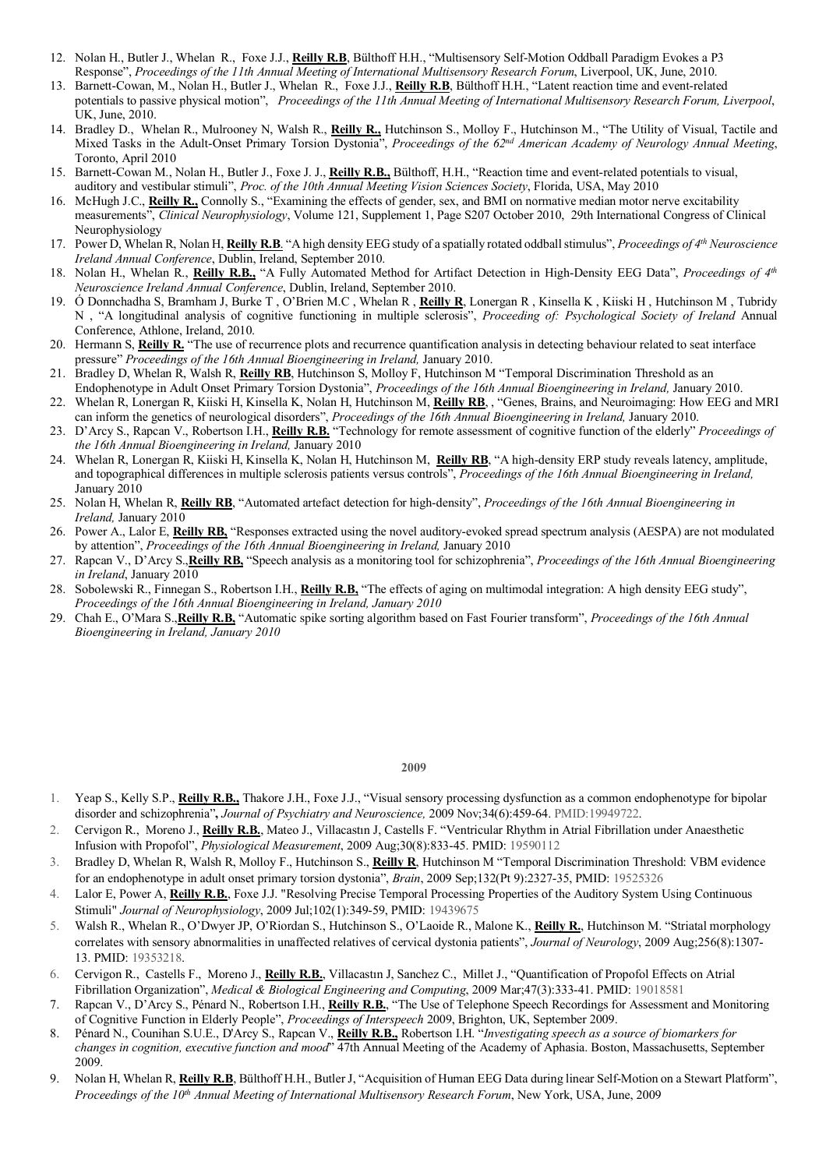- 12. Nolan H., Butler J., Whelan R., Foxe J.J., **Reilly R.B**, Bülthoff H.H., "Multisensory Self-Motion Oddball Paradigm Evokes a P3 Response", *Proceedings of the 11th Annual Meeting of International Multisensory Research Forum*, Liverpool, UK, June, 2010.
- 13. Barnett-Cowan, M., Nolan H., Butler J., Whelan R., Foxe J.J., **Reilly R.B**, Bülthoff H.H., "Latent reaction time and event-related potentials to passive physical motion", *Proceedings of the 11th Annual Meeting of International Multisensory Research Forum, Liverpool*, UK, June, 2010.
- 14. Bradley D., Whelan R., Mulrooney N, Walsh R., **Reilly R.,** Hutchinson S., Molloy F., Hutchinson M., "The Utility of Visual, Tactile and Mixed Tasks in the Adult-Onset Primary Torsion Dystonia", *Proceedings of the 62nd American Academy of Neurology Annual Meeting*, Toronto, April 2010
- 15. Barnett-Cowan M., Nolan H., Butler J., Foxe J. J., **Reilly R.B.,** Bülthoff, H.H., "Reaction time and event-related potentials to visual, auditory and vestibular stimuli", *Proc. of the 10th Annual Meeting Vision Sciences Society*, Florida, USA, May 2010
- 16. McHugh J.C., **Reilly R.,** Connolly S., "Examining the effects of gender, sex, and BMI on normative median motor nerve excitability measurements", *Clinical Neurophysiology*, Volume 121, Supplement 1, Page S207 October 2010, 29th International Congress of Clinical Neurophysiology
- 17. Power D, Whelan R, Nolan H, **Reilly R.B**. "A high density EEG study of a spatially rotated oddball stimulus", *Proceedings of 4th Neuroscience Ireland Annual Conference*, Dublin, Ireland, September 2010.
- 18. Nolan H., Whelan R., **Reilly R.B.,** "A Fully Automated Method for Artifact Detection in High-Density EEG Data", *Proceedings of 4th Neuroscience Ireland Annual Conference*, Dublin, Ireland, September 2010.
- 19. Ó Donnchadha S, Bramham J, Burke T , O'Brien M.C , Whelan R , **Reilly R**, Lonergan R , Kinsella K , Kiiski H , Hutchinson M , Tubridy N , "A longitudinal analysis of cognitive functioning in multiple sclerosis", *Proceeding of: Psychological Society of Ireland* Annual Conference, Athlone, Ireland, 2010.
- 20. Hermann S, **Reilly R.** "The use of recurrence plots and recurrence quantification analysis in detecting behaviour related to seat interface pressure" *Proceedings of the 16th Annual Bioengineering in Ireland,* January 2010.
- 21. Bradley D, Whelan R, Walsh R, **Reilly RB**, Hutchinson S, Molloy F, Hutchinson M "Temporal Discrimination Threshold as an Endophenotype in Adult Onset Primary Torsion Dystonia", *Proceedings of the 16th Annual Bioengineering in Ireland,* January 2010.
- 22. Whelan R, Lonergan R, Kiiski H, Kinsella K, Nolan H, Hutchinson M, **Reilly RB**, , "Genes, Brains, and Neuroimaging: How EEG and MRI can inform the genetics of neurological disorders", *Proceedings of the 16th Annual Bioengineering in Ireland,* January 2010.
- 23. D'Arcy S., Rapcan V., Robertson I.H., **Reilly R.B.** "Technology for remote assessment of cognitive function of the elderly" *Proceedings of the 16th Annual Bioengineering in Ireland,* January 2010
- 24. Whelan R, Lonergan R, Kiiski H, Kinsella K, Nolan H, Hutchinson M, **Reilly RB**, "A high-density ERP study reveals latency, amplitude, and topographical differences in multiple sclerosis patients versus controls", *Proceedings of the 16th Annual Bioengineering in Ireland,*  January 2010
- 25. Nolan H, Whelan R, **Reilly RB**, "Automated artefact detection for high-density", *Proceedings of the 16th Annual Bioengineering in Ireland,* January 2010
- 26. Power A., Lalor E, **Reilly RB,** "Responses extracted using the novel auditory-evoked spread spectrum analysis (AESPA) are not modulated by attention", *Proceedings of the 16th Annual Bioengineering in Ireland,* January 2010
- 27. Rapcan V., D'Arcy S.,**Reilly RB,** "Speech analysis as a monitoring tool for schizophrenia", *Proceedings of the 16th Annual Bioengineering in Ireland*, January 2010
- 28. Sobolewski R., Finnegan S., Robertson I.H., **Reilly R.B,** "The effects of aging on multimodal integration: A high density EEG study", *Proceedings of the 16th Annual Bioengineering in Ireland, January 2010*
- 29. Chah E., O'Mara S.,**Reilly R.B,** "Automatic spike sorting algorithm based on Fast Fourier transform", *Proceedings of the 16th Annual Bioengineering in Ireland, January 2010*

- 1. Yeap S., Kelly S.P., **Reilly R.B.,** Thakore J.H., Foxe J.J., "Visual sensory processing dysfunction as a common endophenotype for bipolar disorder and schizophrenia"**,** *Journal of Psychiatry and Neuroscience,* 2009 Nov;34(6):459-64. PMID:19949722.
- 2. Cervigon R., Moreno J., **Reilly R.B.**, Mateo J., Villacastın J, Castells F. "Ventricular Rhythm in Atrial Fibrillation under Anaesthetic Infusion with Propofol", *Physiological Measurement*, 2009 Aug;30(8):833-45. PMID: 19590112
- 3. Bradley D, Whelan R, Walsh R, Molloy F., Hutchinson S., **Reilly R**, Hutchinson M "Temporal Discrimination Threshold: VBM evidence for an endophenotype in adult onset primary torsion dystonia", *Brain*, 2009 Sep;132(Pt 9):2327-35, PMID: 19525326
- 4. Lalor E, Power A, **Reilly R.B.**, Foxe J.J. "Resolving Precise Temporal Processing Properties of the Auditory System Using Continuous Stimuli" *Journal of Neurophysiology*, 2009 Jul;102(1):349-59, PMID: 19439675
- 5. Walsh R., Whelan R., O'Dwyer JP, O'Riordan S., Hutchinson S., O'Laoide R., Malone K., **Reilly R.**, Hutchinson M. "Striatal morphology correlates with sensory abnormalities in unaffected relatives of cervical dystonia patients", *Journal of Neurology*, 2009 Aug;256(8):1307- 13. PMID: 19353218.
- 6. Cervigon R., Castells F., Moreno J., **Reilly R.B.**, Villacastın J, Sanchez C., Millet J., "Quantification of Propofol Effects on Atrial Fibrillation Organization", *Medical & Biological Engineering and Computing*, 2009 Mar;47(3):333-41. PMID: 19018581
- 7. Rapcan V., D'Arcy S., Pénard N., Robertson I.H., **Reilly R.B.**, "The Use of Telephone Speech Recordings for Assessment and Monitoring of Cognitive Function in Elderly People", *Proceedings of Interspeech* 2009, Brighton, UK, September 2009.
- 8. Pénard N., Counihan S.U.E., D'Arcy S., Rapcan V., **Reilly R.B.,** Robertson I.H. "*Investigating speech as a source of biomarkers for changes in cognition, executive function and mood*" 47th Annual Meeting of the Academy of Aphasia. Boston, Massachusetts, September 2009.
- 9. Nolan H, Whelan R, **Reilly R.B**, Bülthoff H.H., Butler J, "Acquisition of Human EEG Data during linear Self-Motion on a Stewart Platform", *Proceedings of the 10th Annual Meeting of International Multisensory Research Forum*, New York, USA, June, 2009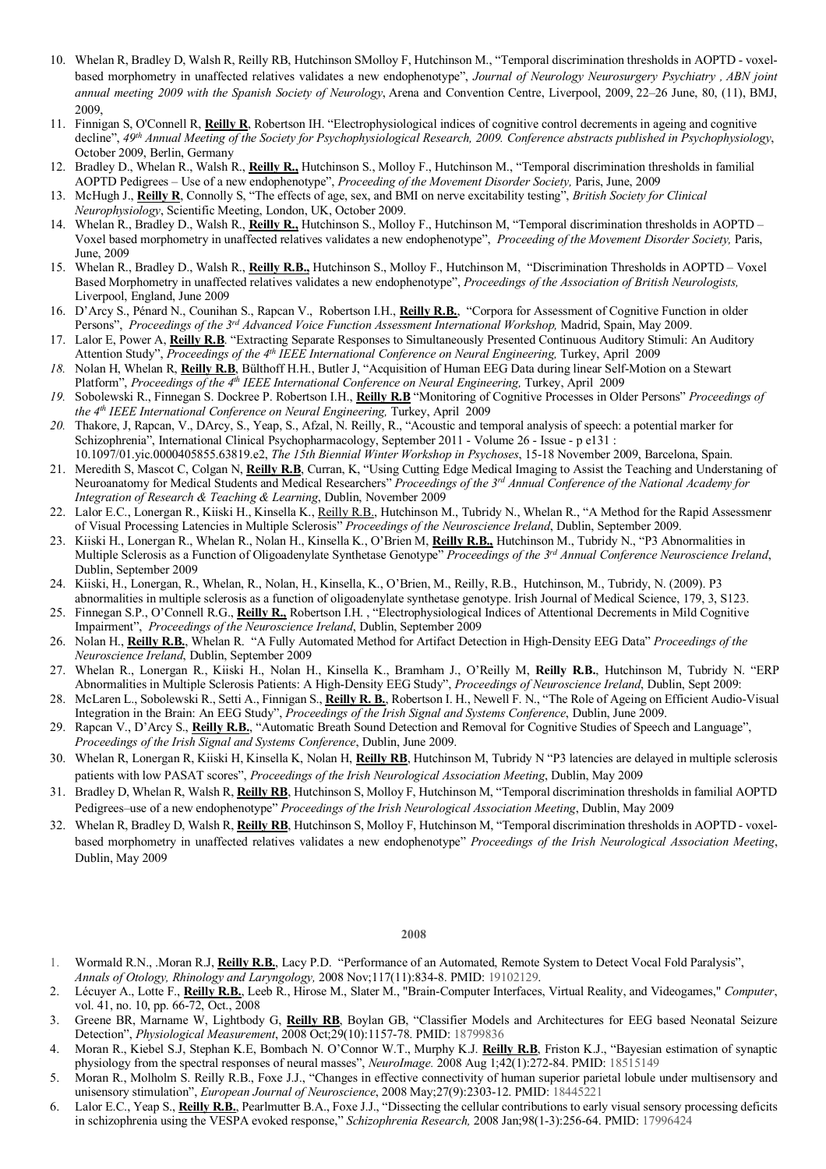- 10. Whelan R, Bradley D, Walsh R, Reilly RB, Hutchinson SMolloy F, Hutchinson M., "Temporal discrimination thresholds in AOPTD voxelbased morphometry in unaffected relatives validates a new endophenotype", *Journal of Neurology Neurosurgery Psychiatry , ABN joint annual meeting 2009 with the Spanish Society of Neurology*, Arena and Convention Centre, Liverpool, 2009, 22–26 June, 80, (11), BMJ, 2009,
- 11. Finnigan S, O'Connell R, **Reilly R**, Robertson IH. "Electrophysiological indices of cognitive control decrements in ageing and cognitive decline", *49th Annual Meeting of the Society for Psychophysiological Research, 2009. Conference abstracts published in Psychophysiology*, October 2009, Berlin, Germany
- 12. Bradley D., Whelan R., Walsh R., **Reilly R.,** Hutchinson S., Molloy F., Hutchinson M., "Temporal discrimination thresholds in familial AOPTD Pedigrees – Use of a new endophenotype", *Proceeding of the Movement Disorder Society,* Paris, June, 2009
- 13. McHugh J., **Reilly R**, Connolly S, "The effects of age, sex, and BMI on nerve excitability testing", *British Society for Clinical Neurophysiology*, Scientific Meeting, London, UK, October 2009.
- 14. Whelan R., Bradley D., Walsh R., **Reilly R.,** Hutchinson S., Molloy F., Hutchinson M, "Temporal discrimination thresholds in AOPTD Voxel based morphometry in unaffected relatives validates a new endophenotype", *Proceeding of the Movement Disorder Society,* Paris, June, 2009
- 15. Whelan R., Bradley D., Walsh R., **Reilly R.B.,** Hutchinson S., Molloy F., Hutchinson M, "Discrimination Thresholds in AOPTD Voxel Based Morphometry in unaffected relatives validates a new endophenotype", *Proceedings of the Association of British Neurologists,*  Liverpool, England, June 2009
- 16. D'Arcy S., Pénard N., Counihan S., Rapcan V., Robertson I.H., **Reilly R.B.**, "Corpora for Assessment of Cognitive Function in older Persons", *Proceedings of the 3rd Advanced Voice Function Assessment International Workshop,* Madrid, Spain, May 2009.
- 17. Lalor E, Power A, **Reilly R.B**. "Extracting Separate Responses to Simultaneously Presented Continuous Auditory Stimuli: An Auditory Attention Study", *Proceedings of the 4th IEEE International Conference on Neural Engineering,* Turkey, April 2009
- *18.* Nolan H, Whelan R, **Reilly R.B**, Bülthoff H.H., Butler J, "Acquisition of Human EEG Data during linear Self-Motion on a Stewart Platform", *Proceedings of the 4th IEEE International Conference on Neural Engineering,* Turkey, April 2009
- *19.* Sobolewski R., Finnegan S. Dockree P. Robertson I.H., **Reilly R.B** "Monitoring of Cognitive Processes in Older Persons" *Proceedings of the 4th IEEE International Conference on Neural Engineering,* Turkey, April 2009
- *20.* Thakore, J, Rapcan, V., DArcy, S., Yeap, S., Afzal, N. Reilly, R., "Acoustic and temporal analysis of speech: a potential marker for Schizophrenia", International Clinical Psychopharmacology, September 2011 - Volume 26 - Issue - p e131 :
- 10.1097/01.yic.0000405855.63819.e2, *The 15th Biennial Winter Workshop in Psychoses*, 15-18 November 2009, Barcelona, Spain. 21. Meredith S, Mascot C, Colgan N, **Reilly R.B**, Curran, K, "Using Cutting Edge Medical Imaging to Assist the Teaching and Understaning of Neuroanatomy for Medical Students and Medical Researchers" *Proceedings of the 3rd Annual Conference of the National Academy for Integration of Research & Teaching & Learning*, Dublin, November 2009
- 22. Lalor E.C., Lonergan R., Kiiski H., Kinsella K., Reilly R.B., Hutchinson M., Tubridy N., Whelan R., "A Method for the Rapid Assessmenr of Visual Processing Latencies in Multiple Sclerosis" *Proceedings of the Neuroscience Ireland*, Dublin, September 2009.
- 23. Kiiski H., Lonergan R., Whelan R., Nolan H., Kinsella K., O'Brien M, **Reilly R.B.,** Hutchinson M., Tubridy N., "P3 Abnormalities in Multiple Sclerosis as a Function of Oligoadenylate Synthetase Genotype" *Proceedings of the 3rd Annual Conference Neuroscience Ireland*, Dublin, September 2009
- 24. Kiiski, H., Lonergan, R., Whelan, R., Nolan, H., Kinsella, K., O'Brien, M., Reilly, R.B., Hutchinson, M., Tubridy, N. (2009). P3 abnormalities in multiple sclerosis as a function of oligoadenylate synthetase genotype. Irish Journal of Medical Science, 179, 3, S123.
- 25. Finnegan S.P., O'Connell R.G., **Reilly R.,** Robertson I.H. , "Electrophysiological Indices of Attentional Decrements in Mild Cognitive Impairment", *Proceedings of the Neuroscience Ireland*, Dublin, September 2009
- 26. Nolan H., **Reilly R.B.**, Whelan R. "A Fully Automated Method for Artifact Detection in High-Density EEG Data" *Proceedings of the Neuroscience Ireland*, Dublin, September 2009
- 27. Whelan R., Lonergan R., Kiiski H., Nolan H., Kinsella K., Bramham J., O'Reilly M, **Reilly R.B.**, Hutchinson M, Tubridy N. "ERP Abnormalities in Multiple Sclerosis Patients: A High-Density EEG Study", *Proceedings of Neuroscience Ireland*, Dublin, Sept 2009:
- 28. McLaren L., Sobolewski R., Setti A., Finnigan S., **Reilly R. B.**, Robertson I. H., Newell F. N., "The Role of Ageing on Efficient Audio-Visual Integration in the Brain: An EEG Study", *Proceedings of the Irish Signal and Systems Conference*, Dublin, June 2009.
- 29. Rapcan V., D'Arcy S., **Reilly R.B.**, "Automatic Breath Sound Detection and Removal for Cognitive Studies of Speech and Language", *Proceedings of the Irish Signal and Systems Conference*, Dublin, June 2009.
- 30. Whelan R, Lonergan R, Kiiski H, Kinsella K, Nolan H, **Reilly RB**, Hutchinson M, Tubridy N "P3 latencies are delayed in multiple sclerosis patients with low PASAT scores", *Proceedings of the Irish Neurological Association Meeting*, Dublin, May 2009
- 31. Bradley D, Whelan R, Walsh R, **Reilly RB**, Hutchinson S, Molloy F, Hutchinson M, "Temporal discrimination thresholds in familial AOPTD Pedigrees–use of a new endophenotype" *Proceedings of the Irish Neurological Association Meeting*, Dublin, May 2009
- 32. Whelan R, Bradley D, Walsh R, **Reilly RB**, Hutchinson S, Molloy F, Hutchinson M, "Temporal discrimination thresholds in AOPTD voxelbased morphometry in unaffected relatives validates a new endophenotype" *Proceedings of the Irish Neurological Association Meeting*, Dublin, May 2009

- 1. Wormald R.N., .Moran R.J, **Reilly R.B.**, Lacy P.D. "Performance of an Automated, Remote System to Detect Vocal Fold Paralysis",
- *Annals of Otology, Rhinology and Laryngology,* 2008 Nov;117(11):834-8. PMID: 19102129.
- 2. Lécuyer A., Lotte F., **Reilly R.B.**, Leeb R., Hirose M., Slater M., "Brain-Computer Interfaces, Virtual Reality, and Videogames," *Computer*, vol. 41, no. 10, pp. 66-72, Oct., 2008
- 3. Greene BR, Marname W, Lightbody G, **Reilly RB**, Boylan GB, "Classifier Models and Architectures for EEG based Neonatal Seizure Detection", *Physiological Measurement*, 2008 Oct;29(10):1157-78. PMID: 18799836
- 4. Moran R., Kiebel S.J, Stephan K.E, Bombach N. O'Connor W.T., Murphy K.J. **Reilly R.B**, Friston K.J., "Bayesian estimation of synaptic physiology from the spectral responses of neural masses", *NeuroImage.* 2008 Aug 1;42(1):272-84. PMID: 18515149
- 5. Moran R., Molholm S. Reilly R.B., Foxe J.J., "Changes in effective connectivity of human superior parietal lobule under multisensory and unisensory stimulation", *European Journal of Neuroscience*, 2008 May;27(9):2303-12. PMID: 18445221
- 6. Lalor E.C., Yeap S., **Reilly R.B.**, Pearlmutter B.A., Foxe J.J., "Dissecting the cellular contributions to early visual sensory processing deficits in schizophrenia using the VESPA evoked response," *Schizophrenia Research,* 2008 Jan;98(1-3):256-64. PMID: 17996424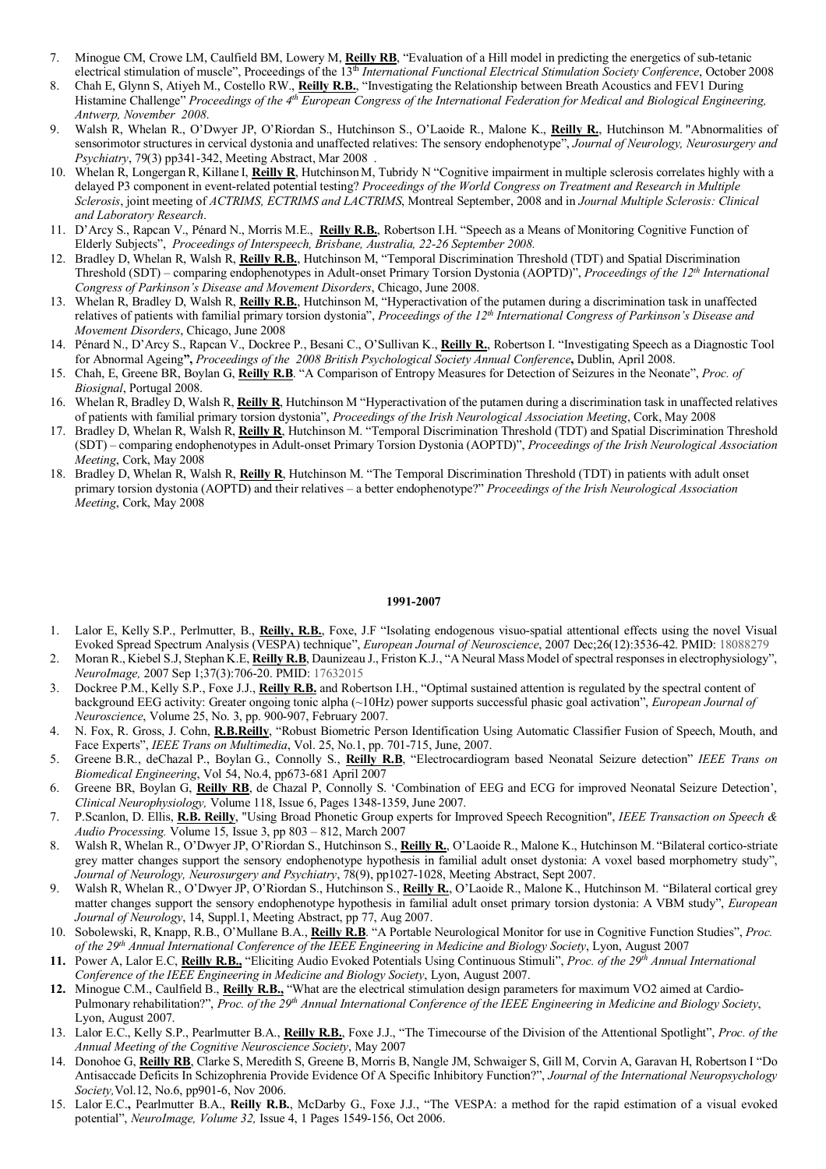- 7. Minogue CM, Crowe LM, Caulfield BM, Lowery M, **Reilly RB**, "Evaluation of a Hill model in predicting the energetics of sub-tetanic electrical stimulation of muscle", Proceedings of the 13<sup>th</sup> *International Functional Electrical Stimulation Society Conference*, October 2008
- 8. Chah E, Glynn S, Atiyeh M., Costello RW., **Reilly R.B.**, "Investigating the Relationship between Breath Acoustics and FEV1 During Histamine Challenge" *Proceedings of the 4th European Congress of the International Federation for Medical and Biological Engineering, Antwerp, November 2008*.
- 9. Walsh R, Whelan R., O'Dwyer JP, O'Riordan S., Hutchinson S., O'Laoide R., Malone K., **Reilly R.**, Hutchinson M. "Abnormalities of sensorimotor structures in cervical dystonia and unaffected relatives: The sensory endophenotype", *Journal of Neurology, Neurosurgery and Psychiatry*, 79(3) pp341-342, Meeting Abstract, Mar 2008 .
- 10. Whelan R, LongerganR, Killane I, **Reilly R**, HutchinsonM, Tubridy N "Cognitive impairment in multiple sclerosis correlates highly with a delayed P3 component in event-related potential testing? *Proceedings of the World Congress on Treatment and Research in Multiple Sclerosis*, joint meeting of *ACTRIMS, ECTRIMS and LACTRIMS*, Montreal September, 2008 and in *Journal Multiple Sclerosis: Clinical and Laboratory Research*.
- 11. D'Arcy S., Rapcan V., Pénard N., Morris M.E., **Reilly R.B.**, Robertson I.H. "Speech as a Means of Monitoring Cognitive Function of Elderly Subjects", *Proceedings of Interspeech, Brisbane, Australia, 22-26 September 2008.*
- 12. Bradley D, Whelan R, Walsh R, **Reilly R.B.**, Hutchinson M, "Temporal Discrimination Threshold (TDT) and Spatial Discrimination Threshold (SDT) – comparing endophenotypes in Adult-onset Primary Torsion Dystonia (AOPTD)", *Proceedings of the 12th International Congress of Parkinson's Disease and Movement Disorders*, Chicago, June 2008.
- 13. Whelan R, Bradley D, Walsh R, **Reilly R.B.**, Hutchinson M, "Hyperactivation of the putamen during a discrimination task in unaffected relatives of patients with familial primary torsion dystonia", *Proceedings of the 12th International Congress of Parkinson's Disease and Movement Disorders*, Chicago, June 2008
- 14. Pénard N., D'Arcy S., Rapcan V., Dockree P., Besani C., O'Sullivan K., **Reilly R.**, Robertson I. "Investigating Speech as a Diagnostic Tool for Abnormal Ageing**",** *Proceedings of the 2008 British Psychological Society Annual Conference***,** Dublin, April 2008.
- 15. Chah, E, Greene BR, Boylan G, **Reilly R.B**. "A Comparison of Entropy Measures for Detection of Seizures in the Neonate", *Proc. of Biosignal*, Portugal 2008.
- 16. Whelan R, Bradley D, Walsh R, **Reilly R**, Hutchinson M "Hyperactivation of the putamen during a discrimination task in unaffected relatives of patients with familial primary torsion dystonia", *Proceedings of the Irish Neurological Association Meeting*, Cork, May 2008
- 17. Bradley D, Whelan R, Walsh R, **Reilly R**, Hutchinson M. "Temporal Discrimination Threshold (TDT) and Spatial Discrimination Threshold (SDT) – comparing endophenotypes in Adult-onset Primary Torsion Dystonia (AOPTD)", *Proceedings of the Irish Neurological Association Meeting*, Cork, May 2008
- 18. Bradley D, Whelan R, Walsh R, **Reilly R**, Hutchinson M. "The Temporal Discrimination Threshold (TDT) in patients with adult onset primary torsion dystonia (AOPTD) and their relatives – a better endophenotype?" *Proceedings of the Irish Neurological Association Meeting*, Cork, May 2008

#### **1991-2007**

- 1. Lalor E, Kelly S.P., Perlmutter, B., **Reilly, R.B.**, Foxe, J.F "Isolating endogenous visuo-spatial attentional effects using the novel Visual Evoked Spread Spectrum Analysis (VESPA) technique", *European Journal of Neuroscience*, 2007 Dec;26(12):3536-42. PMID: 18088279
- 2. Moran R., Kiebel S.J, Stephan K.E, **Reilly R.B**, Daunizeau J., Friston K.J., "A Neural Mass Model of spectral responses in electrophysiology", *NeuroImage,* 2007 Sep 1;37(3):706-20. PMID: 17632015
- 3. Dockree P.M., Kelly S.P., Foxe J.J., **Reilly R.B.** and Robertson I.H., "Optimal sustained attention is regulated by the spectral content of background EEG activity: Greater ongoing tonic alpha (~10Hz) power supports successful phasic goal activation", *European Journal of Neuroscience*, Volume 25, No. 3, pp. 900-907, February 2007.
- 4. N. Fox, R. Gross, J. Cohn, **R.B.Reilly**, "Robust Biometric Person Identification Using Automatic Classifier Fusion of Speech, Mouth, and Face Experts", *IEEE Trans on Multimedia*, Vol. 25, No.1, pp. 701-715, June, 2007.
- 5. Greene B.R., deChazal P., Boylan G., Connolly S., **Reilly R.B**, "Electrocardiogram based Neonatal Seizure detection" *IEEE Trans on Biomedical Engineering*, Vol 54, No.4, pp673-681 April 2007
- 6. Greene BR, Boylan G, **Reilly RB**, de Chazal P, Connolly S. 'Combination of EEG and ECG for improved Neonatal Seizure Detection', *Clinical Neurophysiology,* Volume 118, Issue 6, Pages 1348-1359, June 2007.
- 7. P.Scanlon, D. Ellis, **R.B. Reilly**, "Using Broad Phonetic Group experts for Improved Speech Recognition", *IEEE Transaction on Speech & Audio Processing.* Volume 15, Issue 3, pp 803 – 812, March 2007
- 8. Walsh R, Whelan R., O'Dwyer JP, O'Riordan S., Hutchinson S., **Reilly R.**, O'Laoide R., Malone K., Hutchinson M. "Bilateral cortico-striate grey matter changes support the sensory endophenotype hypothesis in familial adult onset dystonia: A voxel based morphometry study", *Journal of Neurology, Neurosurgery and Psychiatry*, 78(9), pp1027-1028, Meeting Abstract, Sept 2007.
- 9. Walsh R, Whelan R., O'Dwyer JP, O'Riordan S., Hutchinson S., **Reilly R.**, O'Laoide R., Malone K., Hutchinson M. "Bilateral cortical grey matter changes support the sensory endophenotype hypothesis in familial adult onset primary torsion dystonia: A VBM study", *European Journal of Neurology*, 14, Suppl.1, Meeting Abstract, pp 77, Aug 2007.
- 10. Sobolewski, R, Knapp, R.B., O'Mullane B.A., **Reilly R.B**. "A Portable Neurological Monitor for use in Cognitive Function Studies", *Proc. of the 29th Annual International Conference of the IEEE Engineering in Medicine and Biology Society*, Lyon, August 2007
- **11.** Power A, Lalor E.C, **Reilly R.B.,** "Eliciting Audio Evoked Potentials Using Continuous Stimuli", *Proc. of the 29th Annual International Conference of the IEEE Engineering in Medicine and Biology Society*, Lyon, August 2007.
- **12.** Minogue C.M., Caulfield B., **Reilly R.B.,** "What are the electrical stimulation design parameters for maximum VO2 aimed at Cardio-Pulmonary rehabilitation?", *Proc. of the 29th Annual International Conference of the IEEE Engineering in Medicine and Biology Society*, Lyon, August 2007.
- 13. Lalor E.C., Kelly S.P., Pearlmutter B.A., **Reilly R.B.**, Foxe J.J., "The Timecourse of the Division of the Attentional Spotlight", *Proc. of the Annual Meeting of the Cognitive Neuroscience Society*, May 2007
- 14. Donohoe G, **Reilly RB**, Clarke S, Meredith S, Greene B, Morris B, Nangle JM, Schwaiger S, Gill M, Corvin A, Garavan H, Robertson I "Do Antisaccade Deficits In Schizophrenia Provide Evidence Of A Specific Inhibitory Function?", *Journal of the International Neuropsychology Society,*Vol.12, No.6, pp901-6, Nov 2006.
- 15. Lalor E.C.**,** Pearlmutter B.A., **Reilly R.B.**, McDarby G., Foxe J.J., "The VESPA: a method for the rapid estimation of a visual evoked potential", *NeuroImage, Volume 32,* Issue 4, 1 Pages 1549-156, Oct 2006.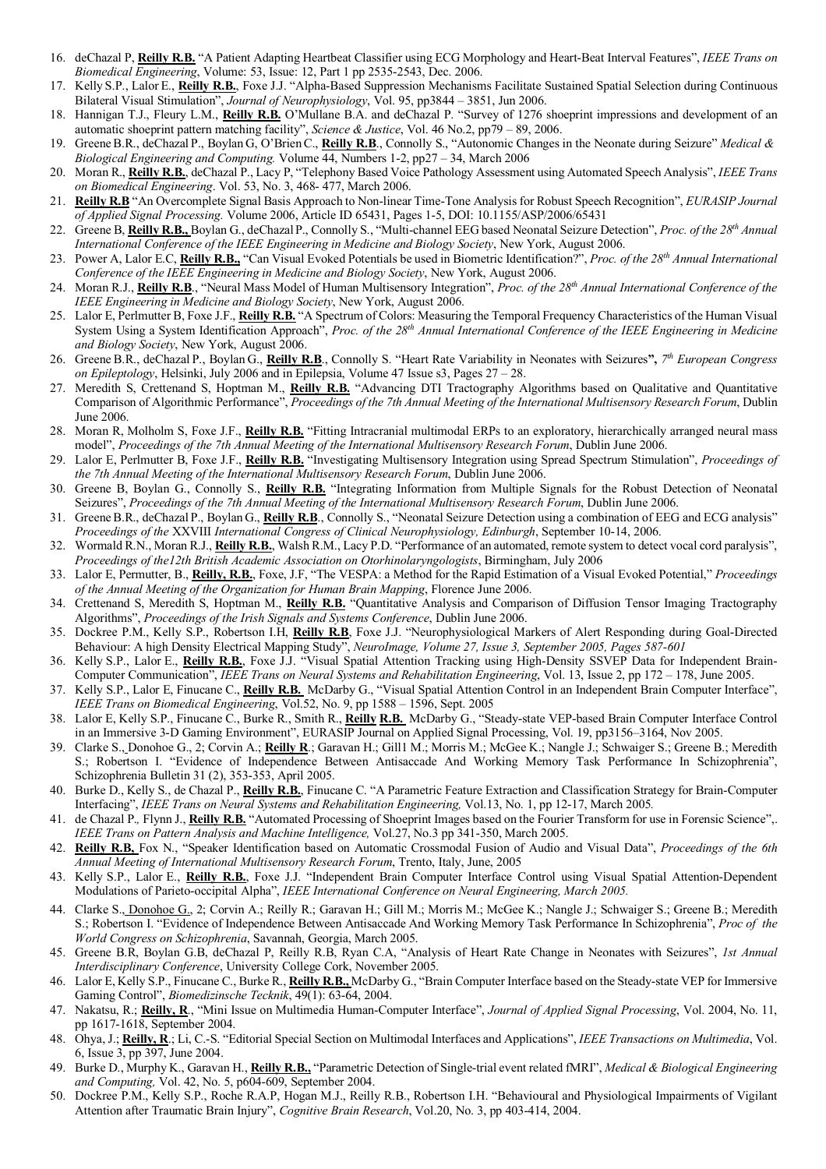- 16. deChazal P, **Reilly R.B.** "A Patient Adapting Heartbeat Classifier using ECG Morphology and Heart-Beat Interval Features", *IEEE Trans on Biomedical Engineering*, Volume: 53, Issue: 12, Part 1 pp 2535-2543, Dec. 2006.
- 17. Kelly S.P., Lalor E., **Reilly R.B.**, Foxe J.J. "Alpha-Based Suppression Mechanisms Facilitate Sustained Spatial Selection during Continuous Bilateral Visual Stimulation", *Journal of Neurophysiology*, Vol. 95, pp3844 – 3851, Jun 2006.
- 18. Hannigan T.J., Fleury L.M., **Reilly R.B.** O'Mullane B.A. and deChazal P. "Survey of 1276 shoeprint impressions and development of an automatic shoeprint pattern matching facility", *Science & Justice*, Vol. 46 No.2, pp79 – 89, 2006.
- 19. GreeneB.R., deChazal P., Boylan G, O'BrienC., **Reilly R.B**., Connolly S., "Autonomic Changes in the Neonate during Seizure" *Medical & Biological Engineering and Computing.* Volume 44, Numbers 1-2, pp27 – 34, March 2006
- 20. Moran R., **Reilly R.B.**, deChazal P., Lacy P, "Telephony Based Voice Pathology Assessment using Automated Speech Analysis", *IEEE Trans on Biomedical Engineering*. Vol. 53, No. 3, 468- 477, March 2006.
- 21. **Reilly R.B** "An Overcomplete Signal Basis Approach to Non-linear Time-Tone Analysis for Robust Speech Recognition", *EURASIP Journal of Applied Signal Processing.* Volume 2006, Article ID 65431, Pages 1-5, DOI: 10.1155/ASP/2006/65431
- 22. Greene B, Reilly R.B., Boylan G., deChazal P., Connolly S., "Multi-channel EEG based Neonatal Seizure Detection", Proc. of the 28th Annual *International Conference of the IEEE Engineering in Medicine and Biology Society*, New York, August 2006.
- 23. Power A, Lalor E.C, **Reilly R.B.,** "Can Visual Evoked Potentials be used in Biometric Identification?", *Proc. of the 28th Annual International Conference of the IEEE Engineering in Medicine and Biology Society*, New York, August 2006.
- 24. Moran R.J., **Reilly R.B**., "Neural Mass Model of Human Multisensory Integration", *Proc. of the 28th Annual International Conference of the IEEE Engineering in Medicine and Biology Society*, New York, August 2006.
- 25. Lalor E, Perlmutter B, Foxe J.F., **Reilly R.B.** "A Spectrum of Colors: Measuring the Temporal Frequency Characteristics of the Human Visual System Using a System Identification Approach", *Proc. of the 28th Annual International Conference of the IEEE Engineering in Medicine and Biology Society*, New York, August 2006.
- 26. Greene B.R., deChazal P., Boylan G., **Reilly R.B**., Connolly S. "Heart Rate Variability in Neonates with Seizures**",** *7th European Congress on Epileptology*, Helsinki, July 2006 and in Epilepsia, Volume 47 Issue s3, Pages 27 – 28.
- 27. Meredith S, Crettenand S, Hoptman M., **Reilly R.B.** "Advancing DTI Tractography Algorithms based on Qualitative and Quantitative Comparison of Algorithmic Performance", *Proceedings of the 7th Annual Meeting of the International Multisensory Research Forum*, Dublin June 2006.
- 28. Moran R, Molholm S, Foxe J.F., **Reilly R.B.** "Fitting Intracranial multimodal ERPs to an exploratory, hierarchically arranged neural mass model", *Proceedings of the 7th Annual Meeting of the International Multisensory Research Forum*, Dublin June 2006.
- 29. Lalor E, Perlmutter B, Foxe J.F., **Reilly R.B.** "Investigating Multisensory Integration using Spread Spectrum Stimulation", *Proceedings of the 7th Annual Meeting of the International Multisensory Research Forum*, Dublin June 2006.
- 30. Greene B, Boylan G., Connolly S., **Reilly R.B.** "Integrating Information from Multiple Signals for the Robust Detection of Neonatal Seizures", *Proceedings of the 7th Annual Meeting of the International Multisensory Research Forum*, Dublin June 2006.
- 31. GreeneB.R., deChazal P., Boylan G., **Reilly R.B**., Connolly S., "Neonatal Seizure Detection using a combination of EEG and ECG analysis" *Proceedings of the* XXVIII *International Congress of Clinical Neurophysiology, Edinburgh*, September 10-14, 2006.
- 32. Wormald R.N., Moran R.J., **Reilly R.B.**, Walsh R.M., Lacy P.D. "Performance of an automated, remote system to detect vocal cord paralysis", *Proceedings of the12th British Academic Association on Otorhinolaryngologists*, Birmingham, July 2006
- 33. Lalor E, Permutter, B., **Reilly, R.B.**, Foxe, J.F, "The VESPA: a Method for the Rapid Estimation of a Visual Evoked Potential," *Proceedings of the Annual Meeting of the Organization for Human Brain Mapping*, Florence June 2006.
- 34. Crettenand S, Meredith S, Hoptman M., **Reilly R.B.** "Quantitative Analysis and Comparison of Diffusion Tensor Imaging Tractography Algorithms", *Proceedings of the Irish Signals and Systems Conference*, Dublin June 2006.
- 35. Dockree P.M., Kelly S.P., Robertson I.H, **Reilly R.B**, Foxe J.J. "Neurophysiological Markers of Alert Responding during Goal-Directed Behaviour: A high Density Electrical Mapping Study", *NeuroImage, Volume 27, Issue 3, September 2005, Pages 587-601*
- 36. Kelly S.P., Lalor E., **Reilly R.B.**, Foxe J.J. "Visual Spatial Attention Tracking using High-Density SSVEP Data for Independent Brain-Computer Communication", *IEEE Trans on Neural Systems and Rehabilitation Engineering*, Vol. 13, Issue 2, pp 172 – 178, June 2005.
- 37. Kelly S.P., Lalor E, Finucane C., **Reilly R.B.** McDarby G., "Visual Spatial Attention Control in an Independent Brain Computer Interface", *IEEE Trans on Biomedical Engineering*, Vol.52, No. 9, pp 1588 – 1596, Sept. 2005
- 38. Lalor E, Kelly S.P., Finucane C., Burke R., Smith R., **Reilly R.B.** McDarby G., "Steady-state VEP-based Brain Computer Interface Control in an Immersive 3-D Gaming Environment", EURASIP Journal on Applied Signal Processing, Vol. 19, pp3156–3164, Nov 2005.
- 39. Clarke S., Donohoe G., 2; Corvin A.; **Reilly R**.; Garavan H.; Gill1 M.; Morris M.; McGee K.; Nangle J.; Schwaiger S.; Greene B.; Meredith S.; Robertson I. "Evidence of Independence Between Antisaccade And Working Memory Task Performance In Schizophrenia", Schizophrenia Bulletin 31 (2), 353-353, April 2005.
- 40. Burke D., Kelly S., de Chazal P., **Reilly R.B.**, Finucane C. "A Parametric Feature Extraction and Classification Strategy for Brain-Computer Interfacing", *IEEE Trans on Neural Systems and Rehabilitation Engineering,* Vol.13, No. 1, pp 12-17, March 2005*.*
- 41. de Chazal P.*,* Flynn J., **Reilly R.B.** "Automated Processing of Shoeprint Images based on the Fourier Transform for use in Forensic Science",. *IEEE Trans on Pattern Analysis and Machine Intelligence,* Vol.27, No.3 pp 341-350, March 2005.
- 42. **Reilly R.B,** Fox N., "Speaker Identification based on Automatic Crossmodal Fusion of Audio and Visual Data", *Proceedings of the 6th Annual Meeting of International Multisensory Research Forum*, Trento, Italy, June, 2005
- 43. Kelly S.P., Lalor E., **Reilly R.B.**, Foxe J.J. "Independent Brain Computer Interface Control using Visual Spatial Attention-Dependent Modulations of Parieto-occipital Alpha", *IEEE International Conference on Neural Engineering, March 2005.*
- 44. Clarke S., Donohoe G., 2; Corvin A.; Reilly R.; Garavan H.; Gill M.; Morris M.; McGee K.; Nangle J.; Schwaiger S.; Greene B.; Meredith S.; Robertson I. "Evidence of Independence Between Antisaccade And Working Memory Task Performance In Schizophrenia", *Proc of the World Congress on Schizophrenia*, Savannah, Georgia, March 2005.
- 45. Greene B.R, Boylan G.B, deChazal P, Reilly R.B, Ryan C.A, "Analysis of Heart Rate Change in Neonates with Seizures", *1st Annual Interdisciplinary Conference*, University College Cork, November 2005.
- 46. Lalor E, Kelly S.P., Finucane C., Burke R., **Reilly R.B.,** McDarby G., "Brain Computer Interface based on the Steady-state VEP for Immersive Gaming Control", *Biomedizinsche Tecknik*, 49(1): 63-64, 2004.
- 47. Nakatsu, R.; **Reilly, R**., "Mini Issue on Multimedia Human-Computer Interface", *Journal of Applied Signal Processing*, Vol. 2004, No. 11, pp 1617-1618, September 2004.
- 48. Ohya, J.; **Reilly, R**.; Li, C.-S. "Editorial Special Section on Multimodal Interfaces and Applications", *IEEE Transactions on Multimedia*, Vol. 6, Issue 3, pp 397, June 2004.
- 49. Burke D., Murphy K., Garavan H., **Reilly R.B.,** "Parametric Detection of Single-trial event related fMRI", *Medical & Biological Engineering and Computing,* Vol. 42, No. 5, p604-609, September 2004.
- 50. Dockree P.M., Kelly S.P., Roche R.A.P, Hogan M.J., Reilly R.B., Robertson I.H. "Behavioural and Physiological Impairments of Vigilant Attention after Traumatic Brain Injury", *Cognitive Brain Research*, Vol.20, No. 3, pp 403-414, 2004.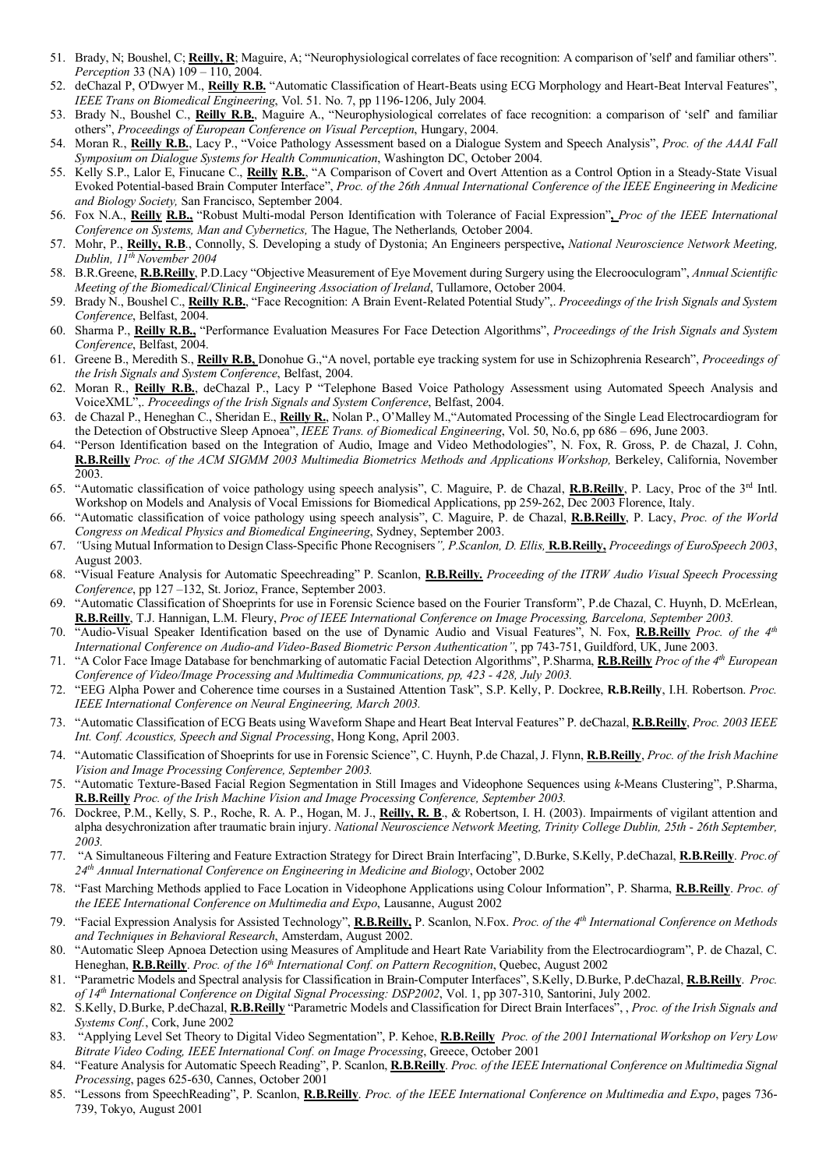- 51. Brady, N; Boushel, C; **Reilly, R**; Maguire, A; "Neurophysiological correlates of face recognition: A comparison of 'self' and familiar others". *Perception* 33 (NA) 109 – 110, 2004.
- 52. deChazal P, O'Dwyer M., **Reilly R.B.** "Automatic Classification of Heart-Beats using ECG Morphology and Heart-Beat Interval Features", *IEEE Trans on Biomedical Engineering*, Vol. 51. No. 7, pp 1196-1206, July 2004*.*
- 53. Brady N., Boushel C., **Reilly R.B.**, Maguire A., "Neurophysiological correlates of face recognition: a comparison of 'self' and familiar others", *Proceedings of European Conference on Visual Perception*, Hungary, 2004.
- 54. Moran R., **Reilly R.B.**, Lacy P., "Voice Pathology Assessment based on a Dialogue System and Speech Analysis", *Proc. of the AAAI Fall Symposium on Dialogue Systems for Health Communication*, Washington DC, October 2004.
- 55. Kelly S.P., Lalor E, Finucane C., **Reilly R.B.**, "A Comparison of Covert and Overt Attention as a Control Option in a Steady-State Visual Evoked Potential-based Brain Computer Interface", *Proc. of the 26th Annual International Conference of the IEEE Engineering in Medicine and Biology Society,* San Francisco, September 2004.
- 56. Fox N.A., **Reilly R.B.,** "Robust Multi-modal Person Identification with Tolerance of Facial Expression"**,** *Proc of the IEEE International Conference on Systems, Man and Cybernetics,* The Hague, The Netherlands*,* October 2004.
- 57. Mohr, P., **Reilly, R.B**., Connolly, S. Developing a study of Dystonia; An Engineers perspective**,** *National Neuroscience Network Meeting, Dublin, 11th November 2004*
- 58. B.R.Greene, **R.B.Reilly**, P.D.Lacy "Objective Measurement of Eye Movement during Surgery using the Elecrooculogram", *Annual Scientific Meeting of the Biomedical/Clinical Engineering Association of Ireland*, Tullamore, October 2004.
- 59. Brady N., Boushel C., **Reilly R.B.**, "Face Recognition: A Brain Event-Related Potential Study",. *Proceedings of the Irish Signals and System Conference*, Belfast, 2004.
- 60. Sharma P., **Reilly R.B.,** "Performance Evaluation Measures For Face Detection Algorithms", *Proceedings of the Irish Signals and System Conference*, Belfast, 2004.
- 61. Greene B., Meredith S., **Reilly R.B,** Donohue G.,"A novel, portable eye tracking system for use in Schizophrenia Research", *Proceedings of the Irish Signals and System Conference*, Belfast, 2004.
- 62. Moran R., **Reilly R.B.**, deChazal P., Lacy P "Telephone Based Voice Pathology Assessment using Automated Speech Analysis and VoiceXML",. *Proceedings of the Irish Signals and System Conference*, Belfast, 2004.
- 63. de Chazal P., Heneghan C., Sheridan E., **Reilly R.**, Nolan P., O'Malley M.,"Automated Processing of the Single Lead Electrocardiogram for the Detection of Obstructive Sleep Apnoea", *IEEE Trans. of Biomedical Engineering*, Vol. 50, No.6, pp 686 – 696, June 2003.
- 64. "Person Identification based on the Integration of Audio, Image and Video Methodologies", N. Fox, R. Gross, P. de Chazal, J. Cohn, **R.B.Reilly** *Proc. of the ACM SIGMM 2003 Multimedia Biometrics Methods and Applications Workshop,* Berkeley, California, November 2003.
- 65. "Automatic classification of voice pathology using speech analysis", C. Maguire, P. de Chazal, **R.B.Reilly**, P. Lacy, Proc of the 3rd Intl. Workshop on Models and Analysis of Vocal Emissions for Biomedical Applications, pp 259-262, Dec 2003 Florence, Italy.
- 66. "Automatic classification of voice pathology using speech analysis", C. Maguire, P. de Chazal, **R.B.Reilly**, P. Lacy, *Proc. of the World Congress on Medical Physics and Biomedical Engineering*, Sydney, September 2003.
- 67. *"*Using Mutual Information to Design Class-Specific Phone Recognisers*", P.Scanlon, D. Ellis,* **R.B.Reilly,** *Proceedings of EuroSpeech 2003*, August 2003.
- 68. "Visual Feature Analysis for Automatic Speechreading" P. Scanlon, **R.B.Reilly.** *Proceeding of the ITRW Audio Visual Speech Processing Conference*, pp 127 –132, St. Jorioz, France, September 2003.
- 69. "Automatic Classification of Shoeprints for use in Forensic Science based on the Fourier Transform", P.de Chazal, C. Huynh, D. McErlean, **R.B.Reilly**, T.J. Hannigan, L.M. Fleury, *Proc of IEEE International Conference on Image Processing, Barcelona, September 2003.*
- 70. "Audio-Visual Speaker Identification based on the use of Dynamic Audio and Visual Features", N. Fox, **R.B.Reilly** *Proc. of the 4th International Conference on Audio-and Video-Based Biometric Person Authentication"*, pp 743-751, Guildford, UK, June 2003.
- 71. "A Color Face Image Database for benchmarking of automatic Facial Detection Algorithms", P.Sharma, **R.B.Reilly** *Proc of the 4th European Conference of Video/Image Processing and Multimedia Communications, pp, 423 - 428, July 2003.*
- 72. "EEG Alpha Power and Coherence time courses in a Sustained Attention Task", S.P. Kelly, P. Dockree, **R.B.Reilly**, I.H. Robertson. *Proc. IEEE International Conference on Neural Engineering, March 2003.*
- 73. "Automatic Classification of ECG Beats using Waveform Shape and Heart Beat Interval Features" P. deChazal, **R.B.Reilly**, *Proc. 2003 IEEE Int. Conf. Acoustics, Speech and Signal Processing*, Hong Kong, April 2003.
- 74. "Automatic Classification of Shoeprints for use in Forensic Science", C. Huynh, P.de Chazal, J. Flynn, **R.B.Reilly**, *Proc. of the Irish Machine Vision and Image Processing Conference, September 2003.*
- 75. "Automatic Texture-Based Facial Region Segmentation in Still Images and Videophone Sequences using *k*-Means Clustering", P.Sharma, **R.B.Reilly** *Proc. of the Irish Machine Vision and Image Processing Conference, September 2003.*
- 76. Dockree, P.M., Kelly, S. P., Roche, R. A. P., Hogan, M. J., **Reilly, R. B**., & Robertson, I. H. (2003). Impairments of vigilant attention and alpha desychronization after traumatic brain injury. *National Neuroscience Network Meeting, Trinity College Dublin, 25th - 26th September, 2003.*
- 77. "A Simultaneous Filtering and Feature Extraction Strategy for Direct Brain Interfacing", D.Burke, S.Kelly, P.deChazal, **R.B.Reilly**. *Proc.of 24th Annual International Conference on Engineering in Medicine and Biology*, October 2002
- 78. "Fast Marching Methods applied to Face Location in Videophone Applications using Colour Information", P. Sharma, **R.B.Reilly**. *Proc. of the IEEE International Conference on Multimedia and Expo*, Lausanne, August 2002
- 79. "Facial Expression Analysis for Assisted Technology", **R.B.Reilly,** P. Scanlon, N.Fox. *Proc. of the 4th International Conference on Methods and Techniques in Behavioral Research*, Amsterdam, August 2002.
- 80. "Automatic Sleep Apnoea Detection using Measures of Amplitude and Heart Rate Variability from the Electrocardiogram", P. de Chazal, C. Heneghan, **R.B.Reilly**. *Proc. of the 16th International Conf. on Pattern Recognition*, Quebec, August 2002
- 81. "Parametric Models and Spectral analysis for Classification in Brain-Computer Interfaces", S.Kelly, D.Burke, P.deChazal, **R.B.Reilly**. *Proc. of 14th International Conference on Digital Signal Processing: DSP2002*, Vol. 1, pp 307-310, Santorini, July 2002.
- 82. S.Kelly, D.Burke, P.deChazal, **R.B.Reilly** "Parametric Models and Classification for Direct Brain Interfaces", , *Proc. of the Irish Signals and Systems Conf.*, Cork, June 2002
- 83. "Applying Level Set Theory to Digital Video Segmentation", P. Kehoe, **R.B.Reilly** *Proc. of the 2001 International Workshop on Very Low Bitrate Video Coding, IEEE International Conf. on Image Processing*, Greece, October 2001
- 84. "Feature Analysis for Automatic Speech Reading", P. Scanlon, **R.B.Reilly**. *Proc. of the IEEE International Conference on Multimedia Signal Processing*, pages 625-630, Cannes, October 2001
- 85. "Lessons from SpeechReading", P. Scanlon, **R.B.Reilly**. *Proc. of the IEEE International Conference on Multimedia and Expo*, pages 736- 739, Tokyo, August 2001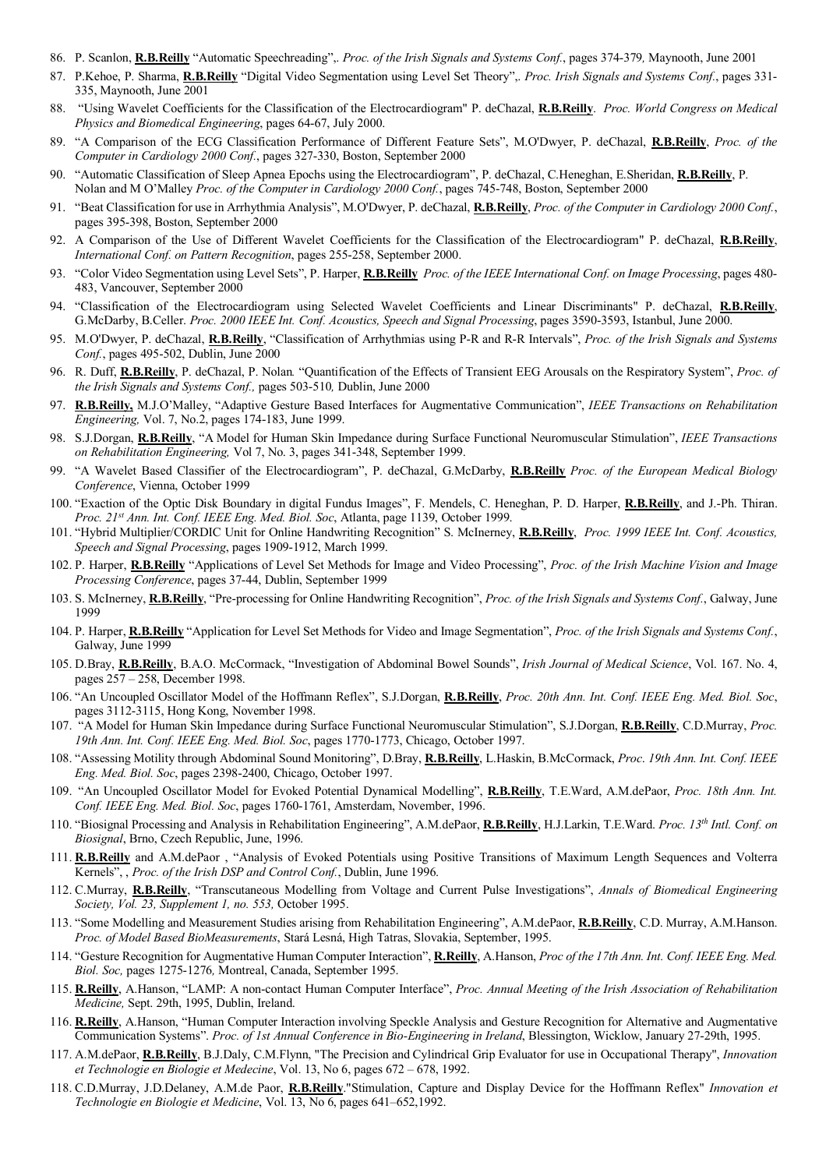- 86. P. Scanlon, **R.B.Reilly** "Automatic Speechreading",. *Proc. of the Irish Signals and Systems Conf.*, pages 374-379*,* Maynooth, June 2001
- 87. P.Kehoe, P. Sharma, **R.B.Reilly** "Digital Video Segmentation using Level Set Theory",. *Proc. Irish Signals and Systems Conf.*, pages 331- 335, Maynooth, June 2001
- 88. "Using Wavelet Coefficients for the Classification of the Electrocardiogram" P. deChazal, **R.B.Reilly**. *Proc. World Congress on Medical Physics and Biomedical Engineering*, pages 64-67, July 2000.
- 89. "A Comparison of the ECG Classification Performance of Different Feature Sets", M.O'Dwyer, P. deChazal, **R.B.Reilly**, *Proc. of the Computer in Cardiology 2000 Conf.*, pages 327-330, Boston, September 2000
- 90. "Automatic Classification of Sleep Apnea Epochs using the Electrocardiogram", P. deChazal, C.Heneghan, E.Sheridan, **R.B.Reilly**, P. Nolan and M O'Malley *Proc. of the Computer in Cardiology 2000 Conf.*, pages 745-748, Boston, September 2000
- 91. "Beat Classification for use in Arrhythmia Analysis", M.O'Dwyer, P. deChazal, **R.B.Reilly**, *Proc. of the Computer in Cardiology 2000 Conf.*, pages 395-398, Boston, September 2000
- 92. A Comparison of the Use of Different Wavelet Coefficients for the Classification of the Electrocardiogram" P. deChazal, **R.B.Reilly**, *International Conf. on Pattern Recognition*, pages 255-258, September 2000.
- 93. "Color Video Segmentation using Level Sets", P. Harper, **R.B.Reilly** *Proc. of the IEEE International Conf. on Image Processing*, pages 480- 483, Vancouver, September 2000
- 94. "Classification of the Electrocardiogram using Selected Wavelet Coefficients and Linear Discriminants" P. deChazal, **R.B.Reilly**, G.McDarby, B.Celler. *Proc. 2000 IEEE Int. Conf. Acoustics, Speech and Signal Processing*, pages 3590-3593, Istanbul, June 2000.
- 95. M.O'Dwyer, P. deChazal, **R.B.Reilly**, "Classification of Arrhythmias using P-R and R-R Intervals", *Proc. of the Irish Signals and Systems Conf.*, pages 495-502, Dublin, June 2000
- 96. R. Duff, **R.B.Reilly**, P. deChazal, P. Nolan*.* "Quantification of the Effects of Transient EEG Arousals on the Respiratory System", *Proc. of the Irish Signals and Systems Conf.,* pages 503-510*,* Dublin, June 2000
- 97. **R.B.Reilly,** M.J.O'Malley, "Adaptive Gesture Based Interfaces for Augmentative Communication", *IEEE Transactions on Rehabilitation Engineering,* Vol. 7, No.2, pages 174-183, June 1999.
- 98. S.J.Dorgan, **R.B.Reilly**, "A Model for Human Skin Impedance during Surface Functional Neuromuscular Stimulation", *IEEE Transactions on Rehabilitation Engineering,* Vol 7, No. 3, pages 341-348, September 1999.
- 99. "A Wavelet Based Classifier of the Electrocardiogram", P. deChazal, G.McDarby, **R.B.Reilly** *Proc. of the European Medical Biology Conference*, Vienna, October 1999
- 100. "Exaction of the Optic Disk Boundary in digital Fundus Images", F. Mendels, C. Heneghan, P. D. Harper, **R.B.Reilly**, and J.-Ph. Thiran. *Proc. 21st Ann. Int. Conf. IEEE Eng. Med. Biol. Soc*, Atlanta, page 1139, October 1999.
- 101. "Hybrid Multiplier/CORDIC Unit for Online Handwriting Recognition" S. McInerney, **R.B.Reilly**, *Proc. 1999 IEEE Int. Conf. Acoustics, Speech and Signal Processing*, pages 1909-1912, March 1999.
- 102. P. Harper, **R.B.Reilly** "Applications of Level Set Methods for Image and Video Processing", *Proc. of the Irish Machine Vision and Image Processing Conference*, pages 37-44, Dublin, September 1999
- 103. S. McInerney, **R.B.Reilly**, "Pre-processing for Online Handwriting Recognition", *Proc. of the Irish Signals and Systems Conf.*, Galway, June 1999
- 104. P. Harper, **R.B.Reilly** "Application for Level Set Methods for Video and Image Segmentation", *Proc. of the Irish Signals and Systems Conf.*, Galway, June 1999
- 105. D.Bray, **R.B.Reilly**, B.A.O. McCormack, "Investigation of Abdominal Bowel Sounds", *Irish Journal of Medical Science*, Vol. 167. No. 4, pages 257 – 258, December 1998.
- 106. "An Uncoupled Oscillator Model of the Hoffmann Reflex", S.J.Dorgan, **R.B.Reilly**, *Proc. 20th Ann. Int. Conf. IEEE Eng. Med. Biol. Soc*, pages 3112-3115, Hong Kong, November 1998.
- 107. "A Model for Human Skin Impedance during Surface Functional Neuromuscular Stimulation", S.J.Dorgan, **R.B.Reilly**, C.D.Murray, *Proc. 19th Ann. Int. Conf. IEEE Eng. Med. Biol. Soc*, pages 1770-1773, Chicago, October 1997.
- 108. "Assessing Motility through Abdominal Sound Monitoring", D.Bray, **R.B.Reilly**, L.Haskin, B.McCormack, *Proc*. *19th Ann. Int. Conf. IEEE Eng. Med. Biol. Soc*, pages 2398-2400, Chicago, October 1997.
- 109. "An Uncoupled Oscillator Model for Evoked Potential Dynamical Modelling", **R.B.Reilly**, T.E.Ward, A.M.dePaor, *Proc. 18th Ann. Int. Conf. IEEE Eng. Med. Biol. Soc*, pages 1760-1761, Amsterdam, November, 1996.
- 110. "Biosignal Processing and Analysis in Rehabilitation Engineering", A.M.dePaor, **R.B.Reilly**, H.J.Larkin, T.E.Ward. *Proc. 13th Intl. Conf. on Biosignal*, Brno, Czech Republic, June, 1996.
- 111. **R.B.Reilly** and A.M.dePaor , "Analysis of Evoked Potentials using Positive Transitions of Maximum Length Sequences and Volterra Kernels", , *Proc. of the Irish DSP and Control Conf.*, Dublin, June 1996.
- 112. C.Murray, **R.B.Reilly**, "Transcutaneous Modelling from Voltage and Current Pulse Investigations", *Annals of Biomedical Engineering Society, Vol. 23, Supplement 1, no. 553,* October 1995.
- 113. "Some Modelling and Measurement Studies arising from Rehabilitation Engineering", A.M.dePaor, **R.B.Reilly**, C.D. Murray, A.M.Hanson. *Proc. of Model Based BioMeasurements*, Stará Lesná, High Tatras, Slovakia, September, 1995.
- 114. "Gesture Recognition for Augmentative Human Computer Interaction", **R.Reilly**, A.Hanson, *Proc of the 17th Ann. Int. Conf. IEEE Eng. Med. Biol. Soc,* pages 1275-1276*,* Montreal, Canada, September 1995.
- 115. **R.Reilly**, A.Hanson, "LAMP: A non-contact Human Computer Interface", *Proc. Annual Meeting of the Irish Association of Rehabilitation Medicine,* Sept. 29th, 1995, Dublin, Ireland.
- 116. **R.Reilly**, A.Hanson, "Human Computer Interaction involving Speckle Analysis and Gesture Recognition for Alternative and Augmentative Communication Systems". *Proc. of 1st Annual Conference in Bio-Engineering in Ireland*, Blessington, Wicklow, January 27-29th, 1995.
- 117. A.M.dePaor, **R.B.Reilly**, B.J.Daly, C.M.Flynn, "The Precision and Cylindrical Grip Evaluator for use in Occupational Therapy", *Innovation et Technologie en Biologie et Medecine*, Vol. 13, No 6, pages 672 – 678, 1992.
- 118. C.D.Murray, J.D.Delaney, A.M.de Paor, **R.B.Reilly**."Stimulation, Capture and Display Device for the Hoffmann Reflex" *Innovation et Technologie en Biologie et Medicine*, Vol. 13, No 6, pages 641–652,1992.